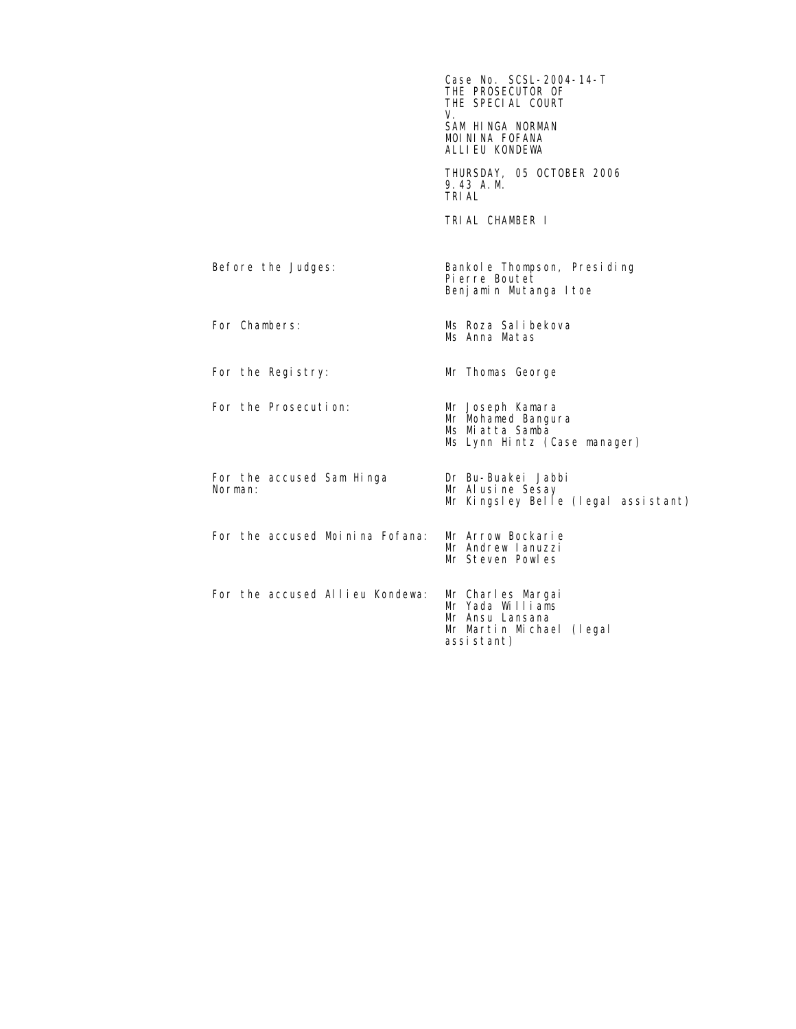|                                      | Case No. SCSL-2004-14-T<br>THE PROSECUTOR OF<br>THE SPECIAL COURT<br>V.<br>SAM HINGA NORMAN<br>MOININA FOFANA<br>ALLIEU KONDEWA |
|--------------------------------------|---------------------------------------------------------------------------------------------------------------------------------|
|                                      | THURSDAY, 05 OCTOBER 2006<br>9.43 A.M.<br><b>TRIAL</b>                                                                          |
|                                      | TRIAL CHAMBER I                                                                                                                 |
| Before the Judges:                   | Bankol e Thompson, Presiding<br>Pierre Boutet<br>Benjamin Mutanga I toe                                                         |
| For Chambers:                        | Ms Roza Salibekova<br>Ms Anna Matas                                                                                             |
| For the Registry:                    | Mr Thomas George                                                                                                                |
| For the Prosecution:                 | Mr Joseph Kamara<br>Mr Mohamed Bangura<br>Ms Miatta Samba<br>Ms Lynn Hintz (Case manager)                                       |
| For the accused Sam Hinga<br>Norman: | Dr Bu-Buakei Jabbi<br>Mr Alusine Sesay<br>Mr Kingsley Belle (legal assistant)                                                   |
| For the accused Moinina Fofana:      | Mr Arrow Bockarie<br>Mr Andrew Lanuzzi<br>Mr Steven Powles                                                                      |
| For the accused Allieu Kondewa:      | Mr Charles Margai<br>Mr Yada Williams<br>Mr Ansu Lansana<br>Mr Martin Michael (legal<br>assistant)                              |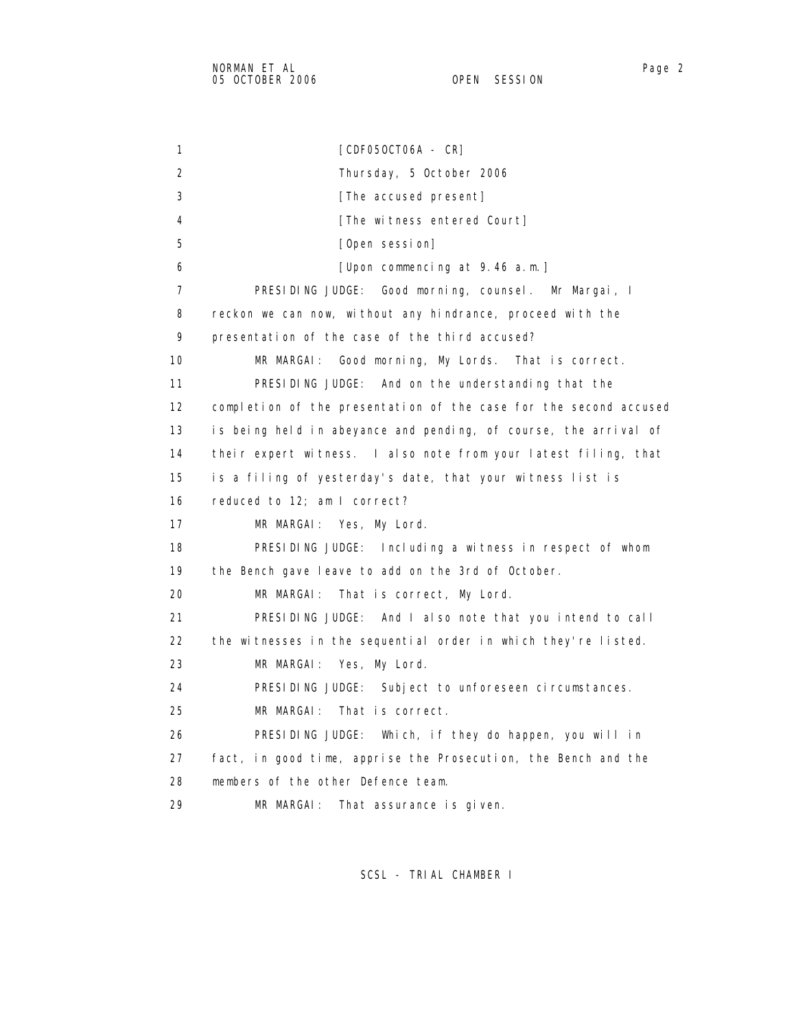1 [CDF05OCT06A - CR] 2 Thursday, 5 October 2006 3 **[The accused present]** 4 [The witness entered Court] 5 [Open session] 6 [Upon commencing at 9.46 a.m.] 7 PRESIDING JUDGE: Good morning, counsel. Mr Margai, I 8 reckon we can now, without any hindrance, proceed with the 9 presentation of the case of the third accused? 10 MR MARGAI: Good morning, My Lords. That is correct. 11 PRESIDING JUDGE: And on the understanding that the 12 completion of the presentation of the case for the second accused 13 is being held in abeyance and pending, of course, the arrival of 14 their expert witness. I also note from your latest filing, that 15 is a filing of yesterday's date, that your witness list is 16 reduced to 12; am I correct? 17 MR MARGAI: Yes, My Lord. 18 PRESIDING JUDGE: Including a witness in respect of whom 19 the Bench gave leave to add on the 3rd of October. 20 MR MARGAI: That is correct, My Lord. 21 PRESIDING JUDGE: And I also note that you intend to call 22 the witnesses in the sequential order in which they're listed. 23 MR MARGAI: Yes, My Lord. 24 PRESIDING JUDGE: Subject to unforeseen circumstances. 25 MR MARGAI: That is correct. 26 PRESIDING JUDGE: Which, if they do happen, you will in 27 fact, in good time, apprise the Prosecution, the Bench and the 28 members of the other Defence team. 29 MR MARGAI: That assurance is given.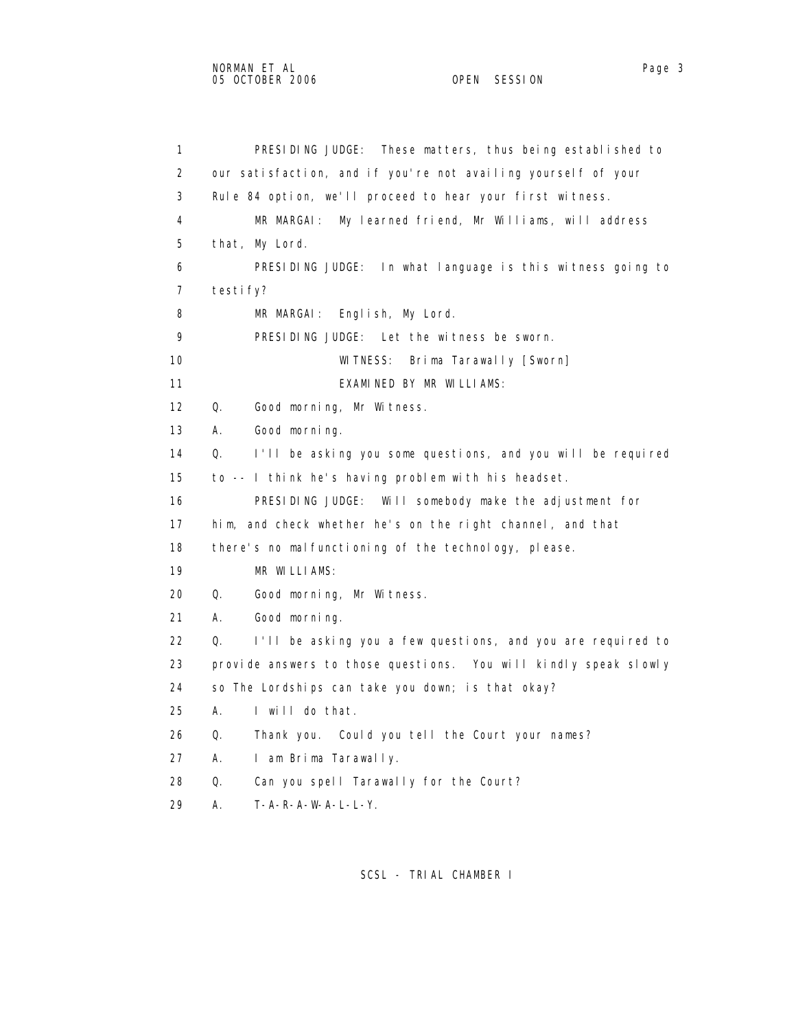1 PRESIDING JUDGE: These matters, thus being established to 2 our satisfaction, and if you're not availing yourself of your 3 Rule 84 option, we'll proceed to hear your first witness. 4 MR MARGAI: My learned friend, Mr Williams, will address 5 that, My Lord. 6 PRESIDING JUDGE: In what language is this witness going to 7 testify? 8 MR MARGAI: English, My Lord. 9 PRESIDING JUDGE: Let the witness be sworn. 10 WITNESS: Brima Tarawally [Sworn] 11 EXAMINED BY MR WILLIAMS: 12 Q. Good morning, Mr Witness. 13 A. Good morning. 14 Q. I'll be asking you some questions, and you will be required 15 to -- I think he's having problem with his headset. 16 PRESIDING JUDGE: Will somebody make the adjustment for 17 him, and check whether he's on the right channel, and that 18 there's no malfunctioning of the technology, please. 19 MR WILLIAMS: 20 Q. Good morning, Mr Witness. 21 A. Good morning. 22 Q. I'll be asking you a few questions, and you are required to 23 provide answers to those questions. You will kindly speak slowly 24 so The Lordships can take you down; is that okay? 25 A. I will do that. 26 Q. Thank you. Could you tell the Court your names?

- 27 A. I am Brima Tarawally.
- 28 Q. Can you spell Tarawally for the Court?
- 29 A. T-A-R-A-W-A-L-L-Y.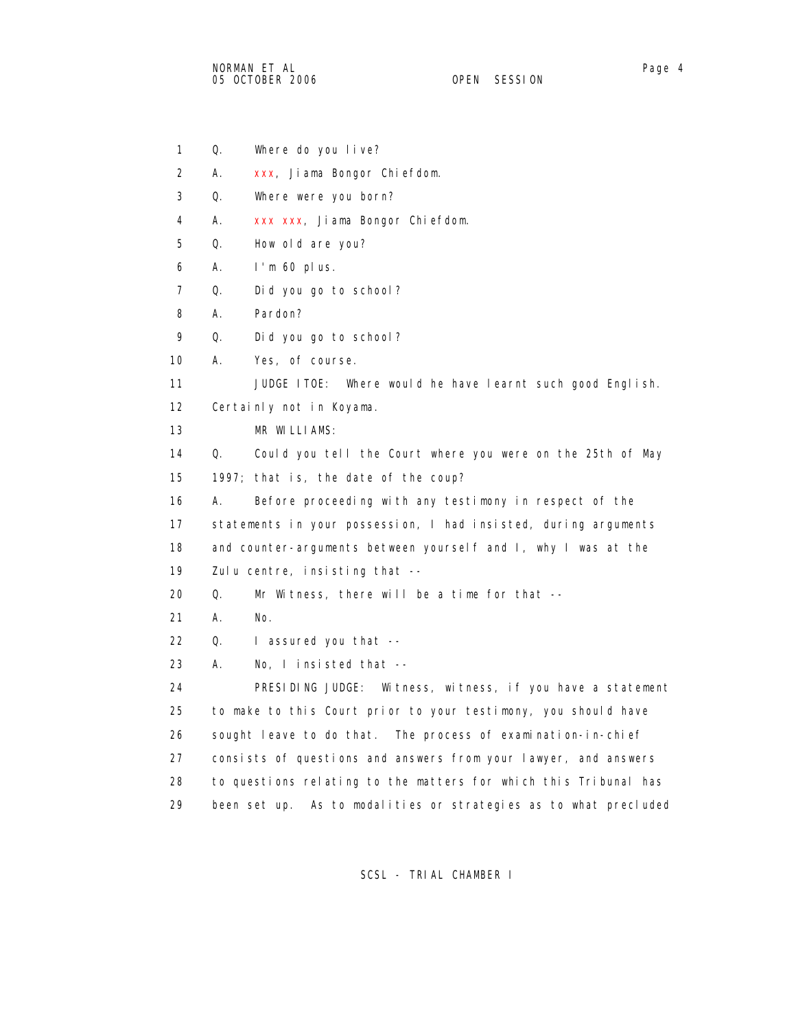- 1 Q. Where do you live?
- 2 A. xxx, Jiama Bongor Chiefdom.
- 3 Q. Where were you born?
- 4 A. xxx xxx, Jiama Bongor Chiefdom.
- 5 Q. How old are you?
- 6 A. I'm 60 plus.
- 7 Q. Did you go to school?
- 8 A. Pardon?
- 9 Q. Did you go to school?
- 10 A. Yes, of course.

11 JUDGE ITOE: Where would he have learnt such good English.

- 12 Certainly not in Koyama.
- 13 MR WILLIAMS:
- 14 Q. Could you tell the Court where you were on the 25th of May 15 1997; that is, the date of the coup?
- 16 A. Before proceeding with any testimony in respect of the 17 statements in your possession, I had insisted, during arguments 18 and counter-arguments between yourself and I, why I was at the 19 Zulu centre, insisting that --
- 20 Q. Mr Witness, there will be a time for that --
- 21 A. No.

22 Q. I assured you that --

23 A. No, I insisted that --

 24 PRESIDING JUDGE: Witness, witness, if you have a statement 25 to make to this Court prior to your testimony, you should have 26 sought leave to do that. The process of examination-in-chief 27 consists of questions and answers from your lawyer, and answers 28 to questions relating to the matters for which this Tribunal has 29 been set up. As to modalities or strategies as to what precluded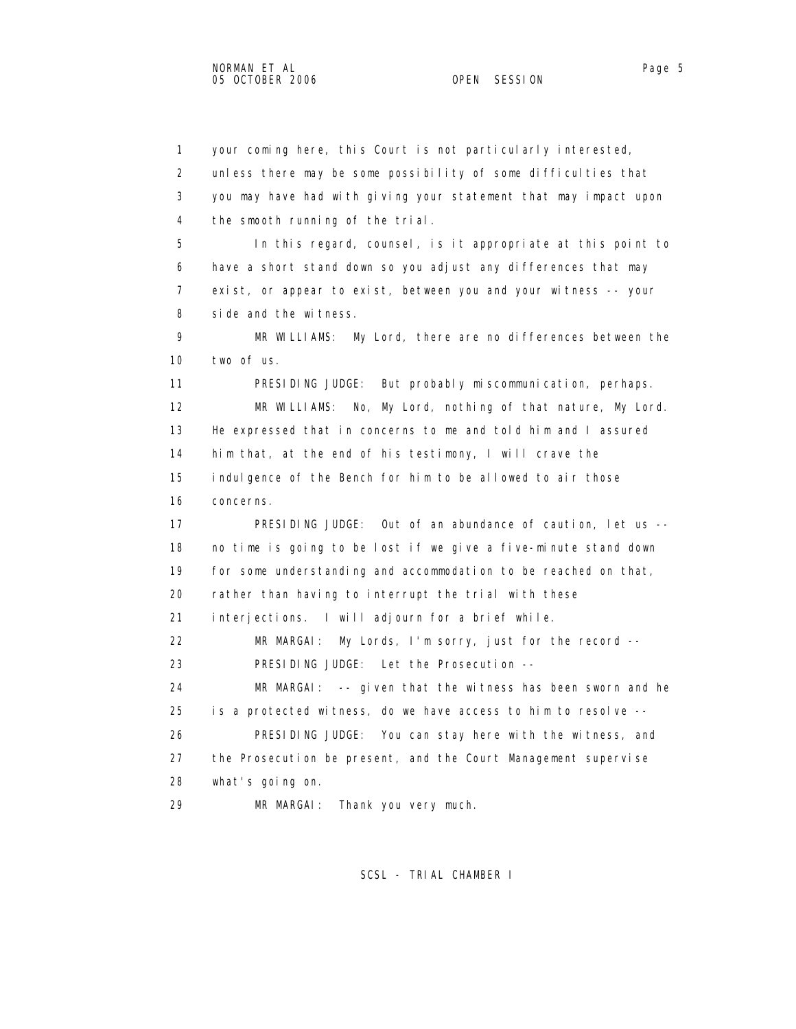1 your coming here, this Court is not particularly interested, 2 unless there may be some possibility of some difficulties that 3 you may have had with giving your statement that may impact upon 4 the smooth running of the trial. 5 In this regard, counsel, is it appropriate at this point to 6 have a short stand down so you adjust any differences that may 7 exist, or appear to exist, between you and your witness -- your 8 side and the witness. 9 MR WILLIAMS: My Lord, there are no differences between the 10 two of us. 11 PRESIDING JUDGE: But probably miscommunication, perhaps. 12 MR WILLIAMS: No, My Lord, nothing of that nature, My Lord. 13 He expressed that in concerns to me and told him and I assured 14 him that, at the end of his testimony, I will crave the 15 indulgence of the Bench for him to be allowed to air those 16 concerns. 17 PRESIDING JUDGE: Out of an abundance of caution, let us -- 18 no time is going to be lost if we give a five-minute stand down 19 for some understanding and accommodation to be reached on that, 20 rather than having to interrupt the trial with these 21 interjections. I will adjourn for a brief while. 22 MR MARGAI: My Lords, I'm sorry, just for the record -- 23 PRESIDING JUDGE: Let the Prosecution -- 24 MR MARGAI: -- given that the witness has been sworn and he 25 is a protected witness, do we have access to him to resolve -- 26 PRESIDING JUDGE: You can stay here with the witness, and 27 the Prosecution be present, and the Court Management supervise 28 what's going on. 29 MR MARGAI: Thank you very much.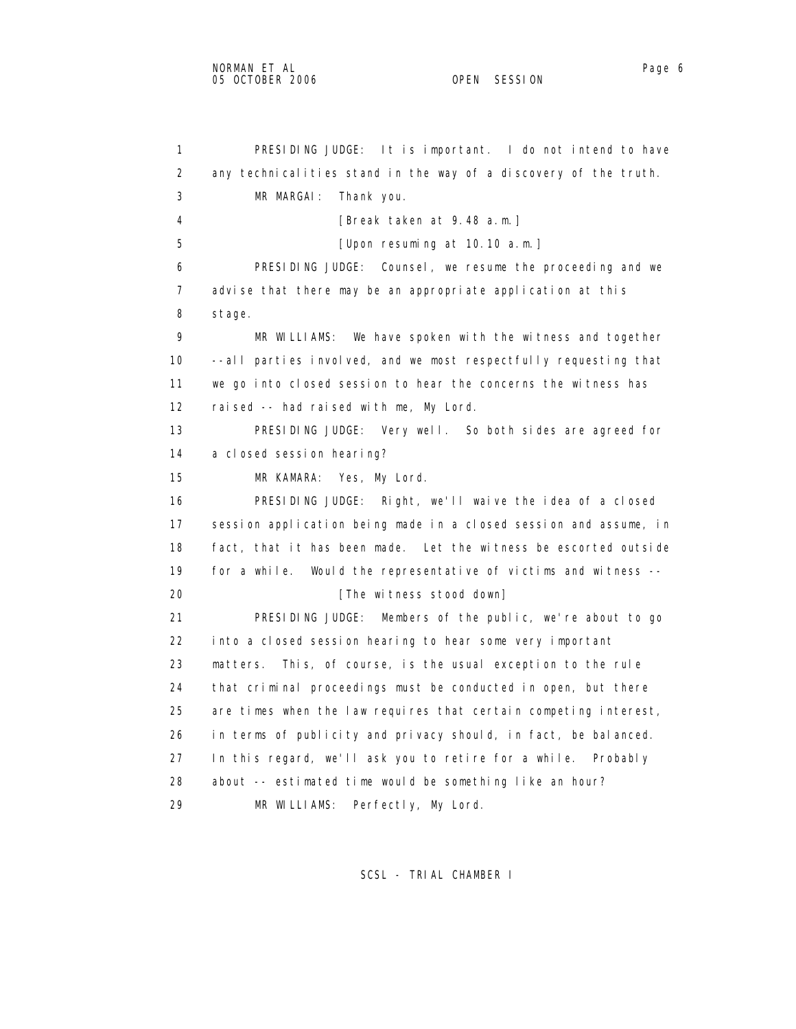1 PRESIDING JUDGE: It is important. I do not intend to have 2 any technicalities stand in the way of a discovery of the truth. 3 MR MARGAI: Thank you. 4 [Break taken at 9.48 a.m.] 5 [Upon resuming at 10.10 a.m.] 6 PRESIDING JUDGE: Counsel, we resume the proceeding and we 7 advise that there may be an appropriate application at this 8 stage. 9 MR WILLIAMS: We have spoken with the witness and together 10 --all parties involved, and we most respectfully requesting that 11 we go into closed session to hear the concerns the witness has 12 raised -- had raised with me, My Lord. 13 PRESIDING JUDGE: Very well. So both sides are agreed for 14 a closed session hearing? 15 MR KAMARA: Yes, My Lord. 16 PRESIDING JUDGE: Right, we'll waive the idea of a closed 17 session application being made in a closed session and assume, in 18 fact, that it has been made. Let the witness be escorted outside 19 for a while. Would the representative of victims and witness -- 20 **I** [The witness stood down] 21 PRESIDING JUDGE: Members of the public, we're about to go 22 into a closed session hearing to hear some very important 23 matters. This, of course, is the usual exception to the rule 24 that criminal proceedings must be conducted in open, but there 25 are times when the law requires that certain competing interest, 26 in terms of publicity and privacy should, in fact, be balanced. 27 In this regard, we'll ask you to retire for a while. Probably 28 about -- estimated time would be something like an hour? 29 MR WILLIAMS: Perfectly, My Lord.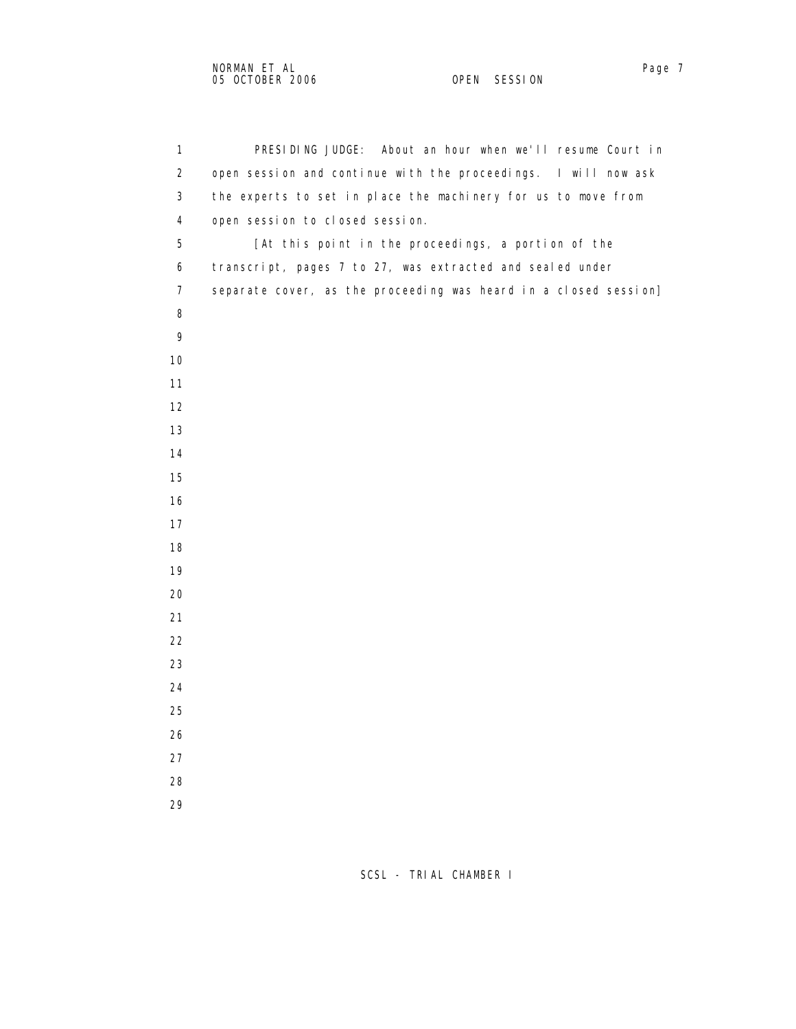| $\mathbf{1}$   | PRESIDING JUDGE: About an hour when we'll resume Court in        |
|----------------|------------------------------------------------------------------|
| $\overline{a}$ | open session and continue with the proceedings. I will now ask   |
| 3              | the experts to set in place the machinery for us to move from    |
| $\overline{4}$ | open session to closed session.                                  |
| 5              | [At this point in the proceedings, a portion of the              |
| 6              | transcript, pages 7 to 27, was extracted and sealed under        |
| $\overline{7}$ | separate cover, as the proceeding was heard in a closed session] |
| 8              |                                                                  |
| 9              |                                                                  |
| 10             |                                                                  |
| 11             |                                                                  |
| 12             |                                                                  |
| 13             |                                                                  |
| 14             |                                                                  |
| 15             |                                                                  |
| 16             |                                                                  |
| 17             |                                                                  |
| 18             |                                                                  |
| 19             |                                                                  |
| 20             |                                                                  |
| 21             |                                                                  |
| 22             |                                                                  |
| 23             |                                                                  |
| 24             |                                                                  |
| 25             |                                                                  |
| 26             |                                                                  |
| 27             |                                                                  |
| 28             |                                                                  |
| 29             |                                                                  |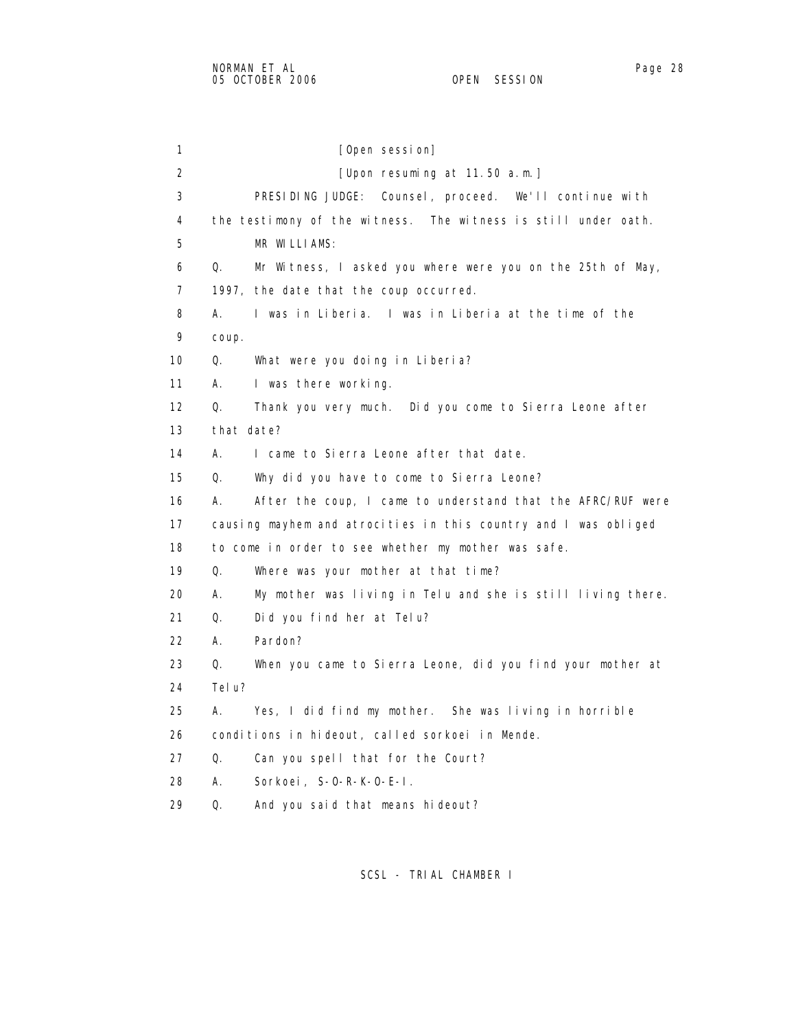1 [Open session] 2 [Upon resuming at 11.50 a.m.] 3 PRESIDING JUDGE: Counsel, proceed. We'll continue with 4 the testimony of the witness. The witness is still under oath. 5 MR WILLIAMS: 6 Q. Mr Witness, I asked you where were you on the 25th of May, 7 1997, the date that the coup occurred. 8 A. I was in Liberia. I was in Liberia at the time of the 9 coup. 10 Q. What were you doing in Liberia? 11 A. I was there working. 12 Q. Thank you very much. Did you come to Sierra Leone after 13 that date? 14 A. I came to Sierra Leone after that date. 15 Q. Why did you have to come to Sierra Leone? 16 A. After the coup, I came to understand that the AFRC/RUF were 17 causing mayhem and atrocities in this country and I was obliged 18 to come in order to see whether my mother was safe. 19 Q. Where was your mother at that time? 20 A. My mother was living in Telu and she is still living there. 21 Q. Did you find her at Telu? 22 A. Pardon? 23 Q. When you came to Sierra Leone, did you find your mother at 24 Telu? 25 A. Yes, I did find my mother. She was living in horrible 26 conditions in hideout, called sorkoei in Mende. 27 Q. Can you spell that for the Court? 28 A. Sorkoei, S-O-R-K-O-E-I. 29 Q. And you said that means hideout?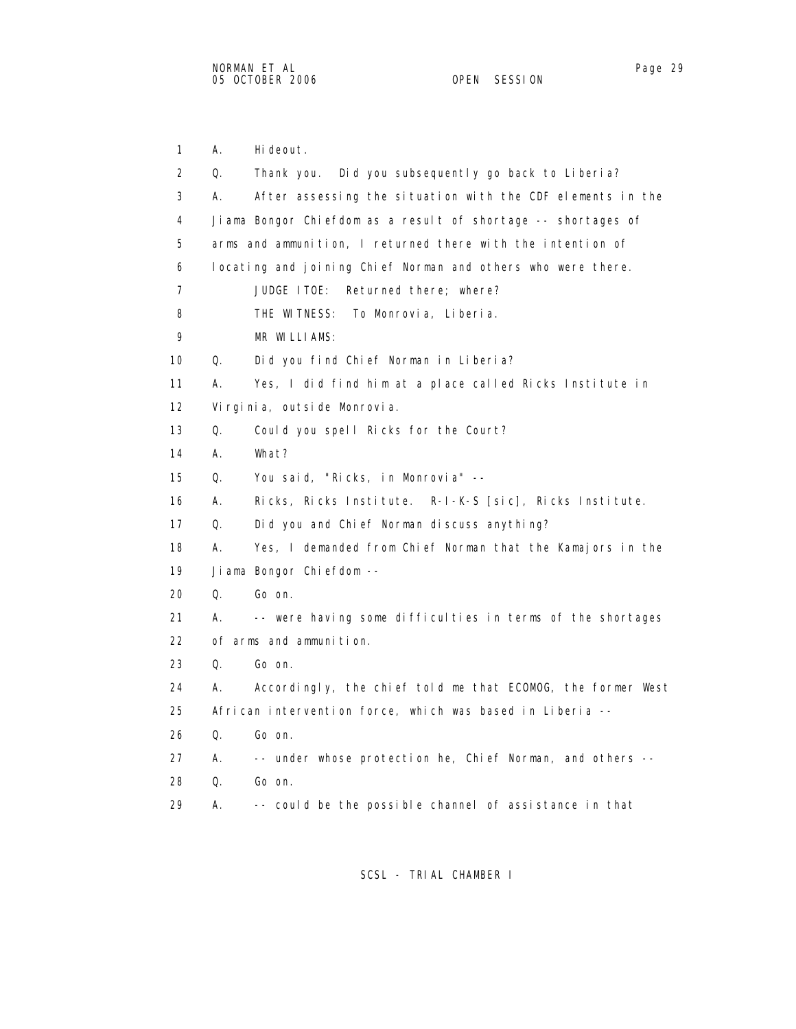1 A. Hideout. 2 Q. Thank you. Did you subsequently go back to Liberia? 3 A. After assessing the situation with the CDF elements in the 4 Jiama Bongor Chiefdom as a result of shortage -- shortages of 5 arms and ammunition, I returned there with the intention of 6 locating and joining Chief Norman and others who were there. 7 JUDGE ITOE: Returned there; where? 8 THE WITNESS: To Monrovia, Liberia. 9 MR WILLIAMS: 10 Q. Did you find Chief Norman in Liberia? 11 A. Yes, I did find him at a place called Ricks Institute in 12 Virginia, outside Monrovia. 13 Q. Could you spell Ricks for the Court? 14 A. What? 15 Q. You said, "Ricks, in Monrovia" -- 16 A. Ricks, Ricks Institute. R-I-K-S [sic], Ricks Institute. 17 Q. Did you and Chief Norman discuss anything? 18 A. Yes, I demanded from Chief Norman that the Kamajors in the 19 Jiama Bongor Chiefdom -- 20 Q. Go on. 21 A. -- were having some difficulties in terms of the shortages 22 of arms and ammunition. 23 Q. Go on. 24 A. Accordingly, the chief told me that ECOMOG, the former West 25 African intervention force, which was based in Liberia -- 26 Q. Go on. 27 A. -- under whose protection he, Chief Norman, and others -- 28 Q. Go on. 29 A. -- could be the possible channel of assistance in that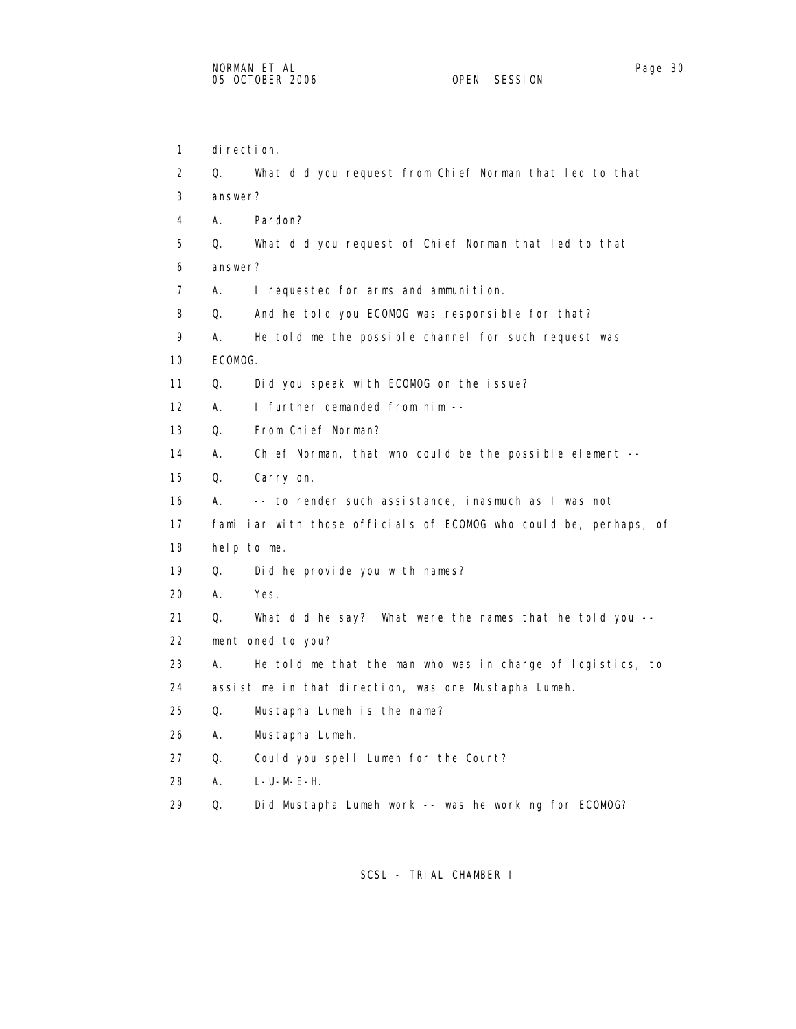| 1                 | di recti on. |                                                                   |
|-------------------|--------------|-------------------------------------------------------------------|
| 2                 | Q.           | What did you request from Chief Norman that led to that           |
| 3                 | answer?      |                                                                   |
| 4                 | А.           | Pardon?                                                           |
| 5                 | 0.           | What did you request of Chief Norman that led to that             |
| 6                 | answer?      |                                                                   |
| $\overline{7}$    | А.           | I requested for arms and ammunition.                              |
| 8                 | Q.           | And he told you ECOMOG was responsible for that?                  |
| 9                 | А.           | He told me the possible channel for such request was              |
| 10                | ECOMOG.      |                                                                   |
| 11                | Q.           | Did you speak with ECOMOG on the issue?                           |
| $12 \overline{ }$ | А.           | I further demanded from him --                                    |
| 13                | Q.           | From Chief Norman?                                                |
| 14                | А.           | Chief Norman, that who could be the possible element --           |
| 15                | Q.           | Carry on.                                                         |
| 16                | А.           | -- to render such assistance, inasmuch as I was not               |
| 17                |              | familiar with those officials of ECOMOG who could be, perhaps, of |
| 18                |              | help to me.                                                       |
| 19                | Q.           | Did he provide you with names?                                    |
| 20                | А.           | Yes.                                                              |
| 21                | Q.           | What did he say? What were the names that he told you --          |
| 22                |              | mentioned to you?                                                 |
| 23                | А.           | He told me that the man who was in charge of logistics, to        |
| 24                |              | assist me in that direction, was one Mustapha Lumeh.              |
| 25                | Q.           | Mustapha Lumeh is the name?                                       |
| 26                | А.           | Mustapha Lumeh.                                                   |
| 27                | Q.           | Could you spell Lumeh for the Court?                              |
| 28                | А.           | $L-U-M-E-H.$                                                      |
|                   |              |                                                                   |

SCSL - TRIAL CHAMBER I

29 Q. Did Mustapha Lumeh work -- was he working for ECOMOG?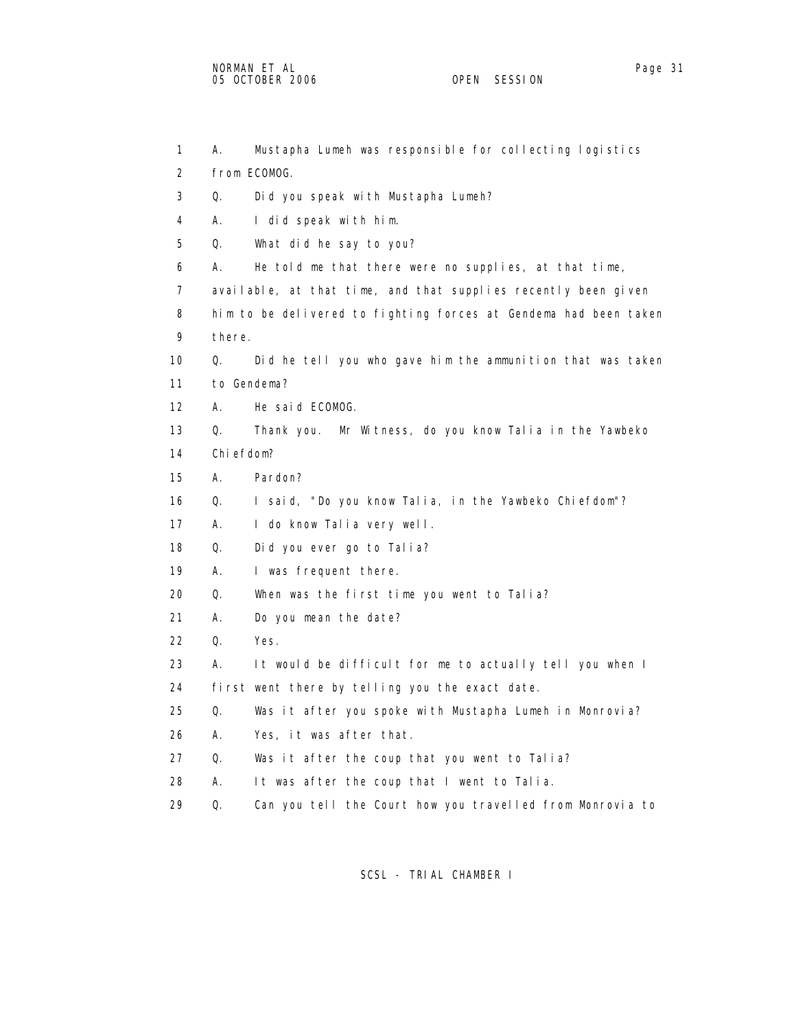1 A. Mustapha Lumeh was responsible for collecting logistics 2 from ECOMOG. 3 Q. Did you speak with Mustapha Lumeh? 4 A. I did speak with him. 5 Q. What did he say to you? 6 A. He told me that there were no supplies, at that time, 7 available, at that time, and that supplies recently been given 8 him to be delivered to fighting forces at Gendema had been taken 9 there. 10 Q. Did he tell you who gave him the ammunition that was taken 11 to Gendema? 12 A. He said ECOMOG. 13 Q. Thank you. Mr Witness, do you know Talia in the Yawbeko 14 Chiefdom? 15 A. Pardon? 16 Q. I said, "Do you know Talia, in the Yawbeko Chiefdom"? 17 A. I do know Talia very well. 18 Q. Did you ever go to Talia? 19 A. I was frequent there. 20 Q. When was the first time you went to Talia? 21 A. Do you mean the date? 22 Q. Yes. 23 A. It would be difficult for me to actually tell you when I 24 first went there by telling you the exact date. 25 Q. Was it after you spoke with Mustapha Lumeh in Monrovia? 26 A. Yes, it was after that. 27 Q. Was it after the coup that you went to Talia? 28 A. It was after the coup that I went to Talia. 29 Q. Can you tell the Court how you travelled from Monrovia to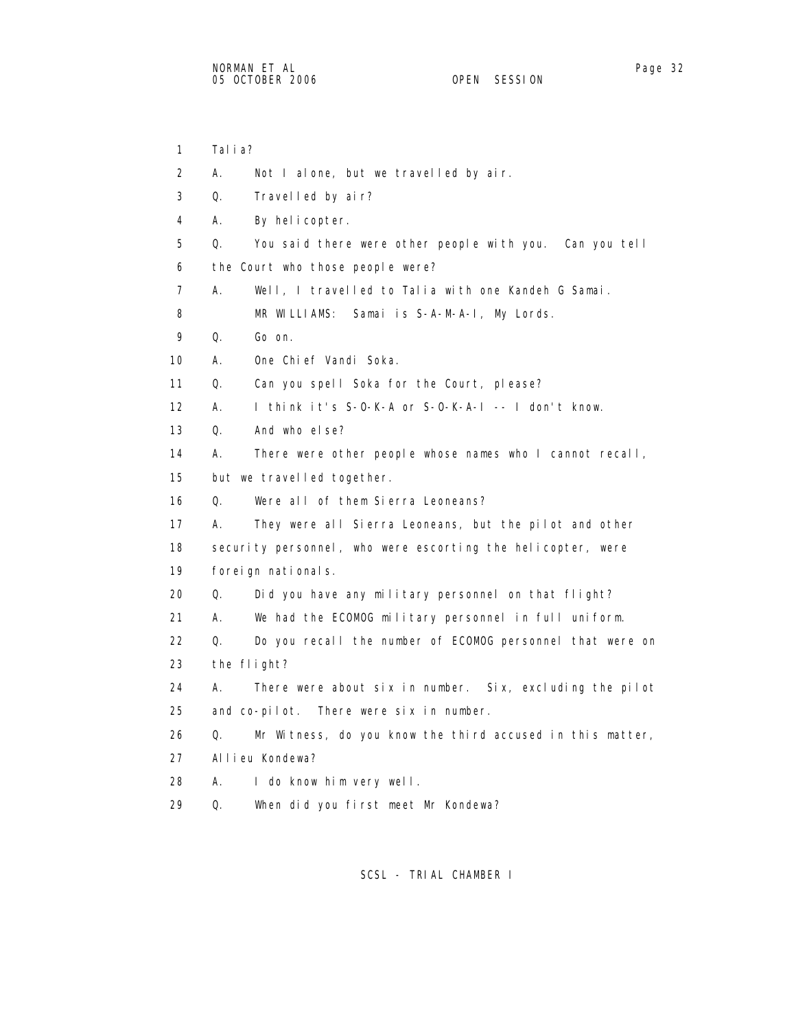1 Talia? 2 A. Not I alone, but we travelled by air. 3 Q. Travelled by air? 4 A. By helicopter. 5 Q. You said there were other people with you. Can you tell 6 the Court who those people were? 7 A. Well, I travelled to Talia with one Kandeh G Samai. 8 MR WILLIAMS: Samai is S-A-M-A-I, My Lords. 9 Q. Go on. 10 A. One Chief Vandi Soka. 11 Q. Can you spell Soka for the Court, please? 12 A. I think it's S-O-K-A or S-O-K-A-I -- I don't know. 13 Q. And who else? 14 A. There were other people whose names who I cannot recall, 15 but we travelled together. 16 Q. Were all of them Sierra Leoneans? 17 A. They were all Sierra Leoneans, but the pilot and other 18 security personnel, who were escorting the helicopter, were 19 foreign nationals. 20 Q. Did you have any military personnel on that flight? 21 A. We had the ECOMOG military personnel in full uniform. 22 Q. Do you recall the number of ECOMOG personnel that were on 23 the flight? 24 A. There were about six in number. Six, excluding the pilot 25 and co-pilot. There were six in number. 26 Q. Mr Witness, do you know the third accused in this matter, 27 Allieu Kondewa? 28 A. I do know him very well. 29 Q. When did you first meet Mr Kondewa?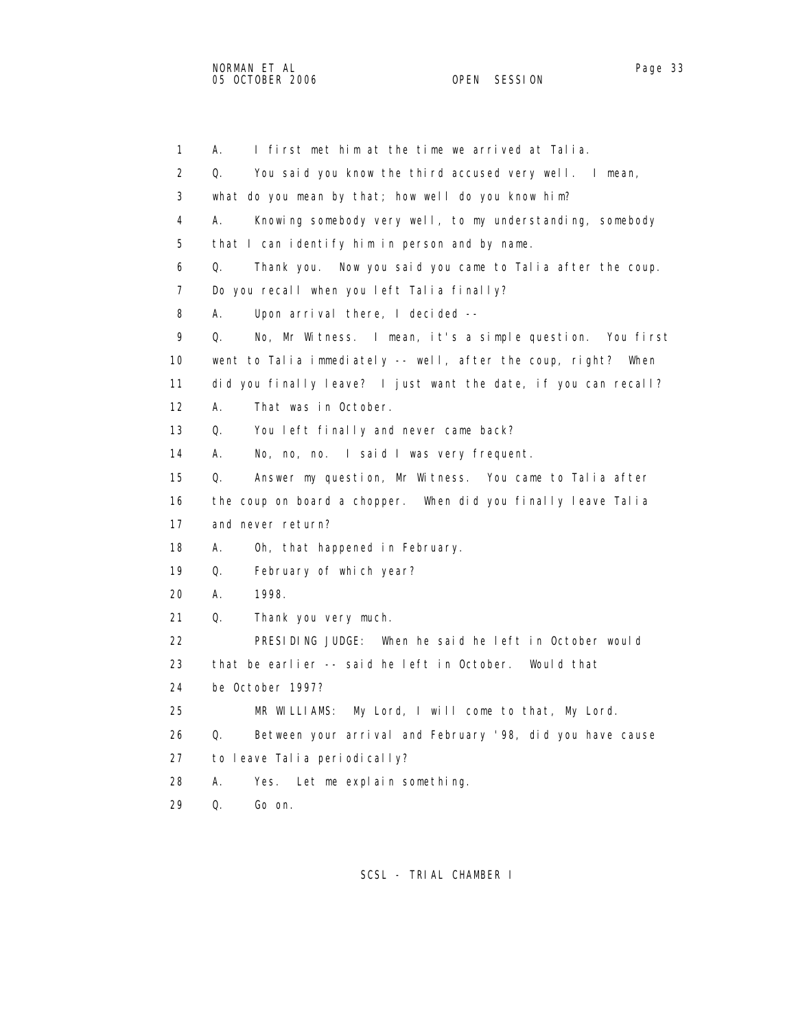1 A. I first met him at the time we arrived at Talia. 2 Q. You said you know the third accused very well. I mean, 3 what do you mean by that; how well do you know him? 4 A. Knowing somebody very well, to my understanding, somebody 5 that I can identify him in person and by name. 6 Q. Thank you. Now you said you came to Talia after the coup. 7 Do you recall when you left Talia finally? 8 A. Upon arrival there, I decided -- 9 Q. No, Mr Witness. I mean, it's a simple question. You first 10 went to Talia immediately -- well, after the coup, right? When 11 did you finally leave? I just want the date, if you can recall? 12 A. That was in October. 13 Q. You left finally and never came back? 14 A. No, no, no. I said I was very frequent. 15 Q. Answer my question, Mr Witness. You came to Talia after 16 the coup on board a chopper. When did you finally leave Talia 17 and never return? 18 A. Oh, that happened in February. 19 Q. February of which year? 20 A. 1998. 21 Q. Thank you very much. 22 PRESIDING JUDGE: When he said he left in October would 23 that be earlier -- said he left in October. Would that 24 be October 1997? 25 MR WILLIAMS: My Lord, I will come to that, My Lord. 26 Q. Between your arrival and February '98, did you have cause 27 to leave Talia periodically? 28 A. Yes. Let me explain something. 29 Q. Go on.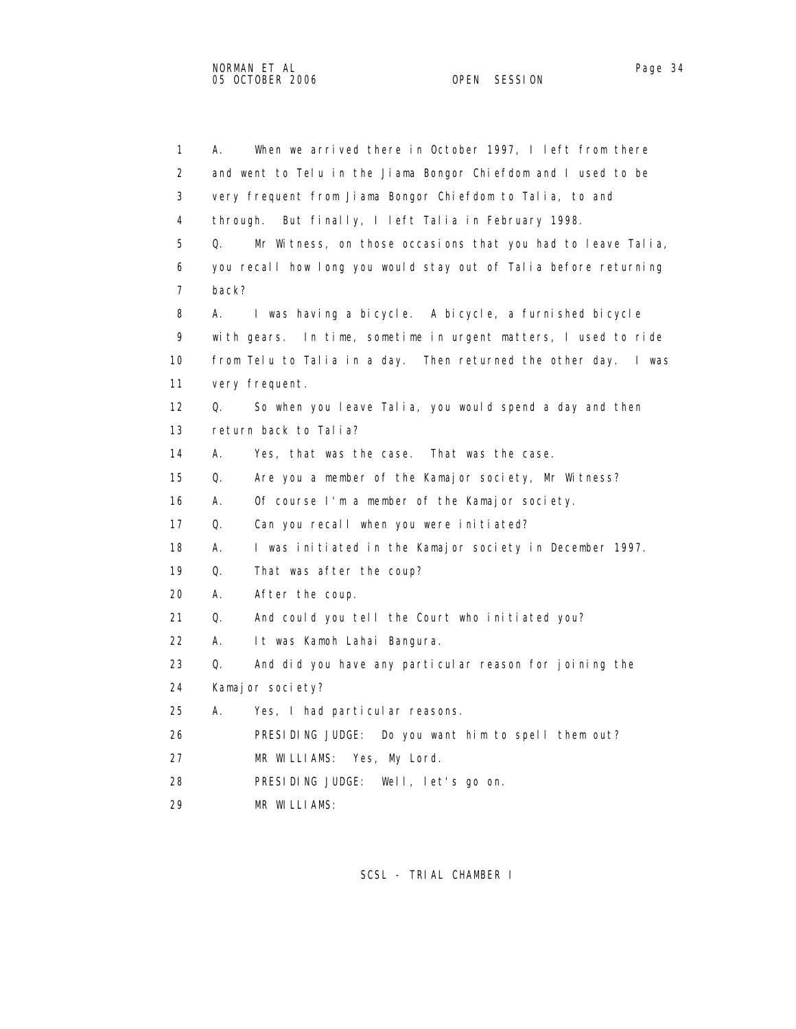| $\mathbf{1}$ | When we arrived there in October 1997, I left from there<br>Α.    |
|--------------|-------------------------------------------------------------------|
| 2            | and went to Telu in the Jiama Bongor Chiefdom and I used to be    |
| 3            | very frequent from Jiama Bongor Chiefdom to Talia, to and         |
| 4            | through.<br>But finally, I left Talia in February 1998.           |
| 5            | Q.<br>Mr Witness, on those occasions that you had to leave Talia, |
| 6            | you recall how long you would stay out of Talia before returning  |
| 7            | back?                                                             |
| 8            | I was having a bicycle. A bicycle, a furnished bicycle<br>А.      |
| 9            | with gears. In time, sometime in urgent matters, I used to ride   |
| 10           | from Telu to Talia in a day. Then returned the other day. I was   |
| 11           | very frequent.                                                    |
| 12           | So when you leave Talia, you would spend a day and then<br>Q.     |
| 13           | return back to Talia?                                             |
| 14           | А.<br>Yes, that was the case. That was the case.                  |
| 15           | Q.<br>Are you a member of the Kamajor society, Mr Witness?        |
| 16           | А.<br>Of course I'm a member of the Kamajor society.              |
| 17           | Q.<br>Can you recall when you were initiated?                     |
| 18           | А.<br>I was initiated in the Kamajor society in December 1997.    |
| 19           | Q.<br>That was after the coup?                                    |
| 20           | А.<br>After the coup.                                             |
| 21           | Q.<br>And could you tell the Court who initiated you?             |
| 22           | А.<br>It was Kamoh Lahai Bangura.                                 |
| 23           | Q.<br>And did you have any particular reason for joining the      |
| 24           | Kamaj or society?                                                 |
| 25           | А.<br>Yes, I had particular reasons.                              |
| 26           | PRESIDING JUDGE: Do you want him to spell them out?               |
| 27           | MR WILLIAMS: Yes, My Lord.                                        |
| 28           | PRESIDING JUDGE: Well, let's go on.                               |
| 29           | MR WILLIAMS:                                                      |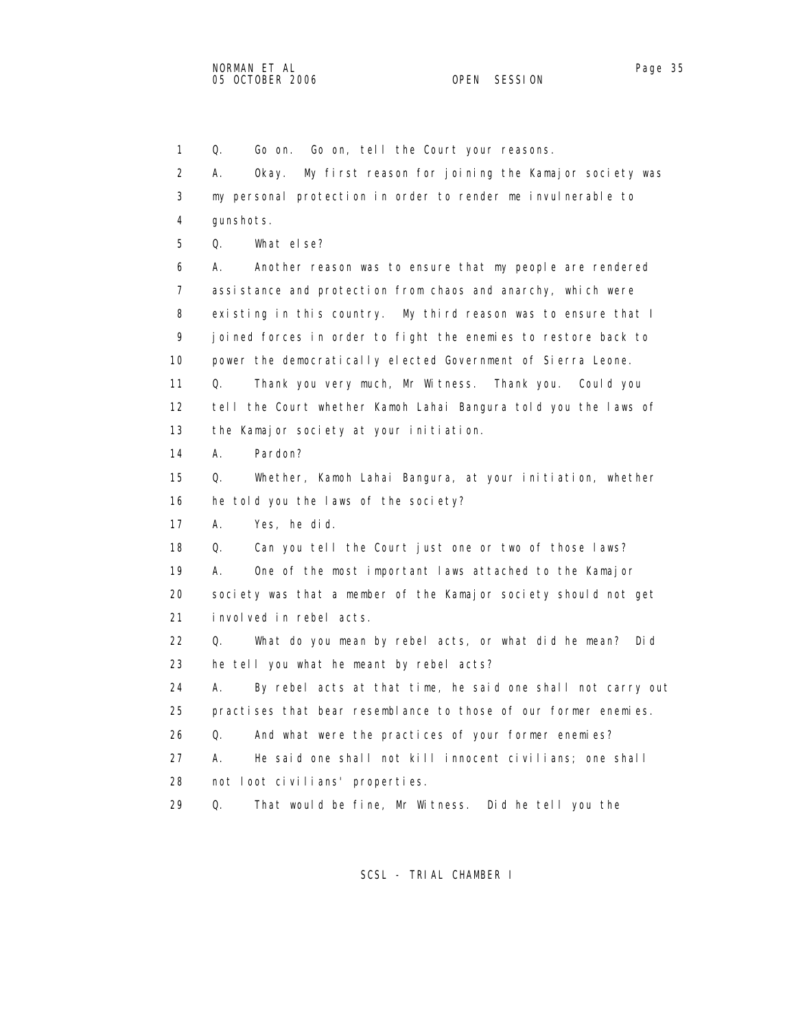1 Q. Go on. Go on, tell the Court your reasons. 2 A. Okay. My first reason for joining the Kamajor society was 3 my personal protection in order to render me invulnerable to 4 gunshots. 5 Q. What else? 6 A. Another reason was to ensure that my people are rendered 7 assistance and protection from chaos and anarchy, which were 8 existing in this country. My third reason was to ensure that I 9 joined forces in order to fight the enemies to restore back to 10 power the democratically elected Government of Sierra Leone. 11 Q. Thank you very much, Mr Witness. Thank you. Could you 12 tell the Court whether Kamoh Lahai Bangura told you the laws of 13 the Kamajor society at your initiation. 14 A. Pardon? 15 Q. Whether, Kamoh Lahai Bangura, at your initiation, whether 16 he told you the laws of the society? 17 A. Yes, he did. 18 Q. Can you tell the Court just one or two of those laws? 19 A. One of the most important laws attached to the Kamajor 20 society was that a member of the Kamajor society should not get 21 involved in rebel acts. 22 Q. What do you mean by rebel acts, or what did he mean? Did 23 he tell you what he meant by rebel acts? 24 A. By rebel acts at that time, he said one shall not carry out 25 practises that bear resemblance to those of our former enemies. 26 Q. And what were the practices of your former enemies? 27 A. He said one shall not kill innocent civilians; one shall 28 not loot civilians' properties. 29 Q. That would be fine, Mr Witness. Did he tell you the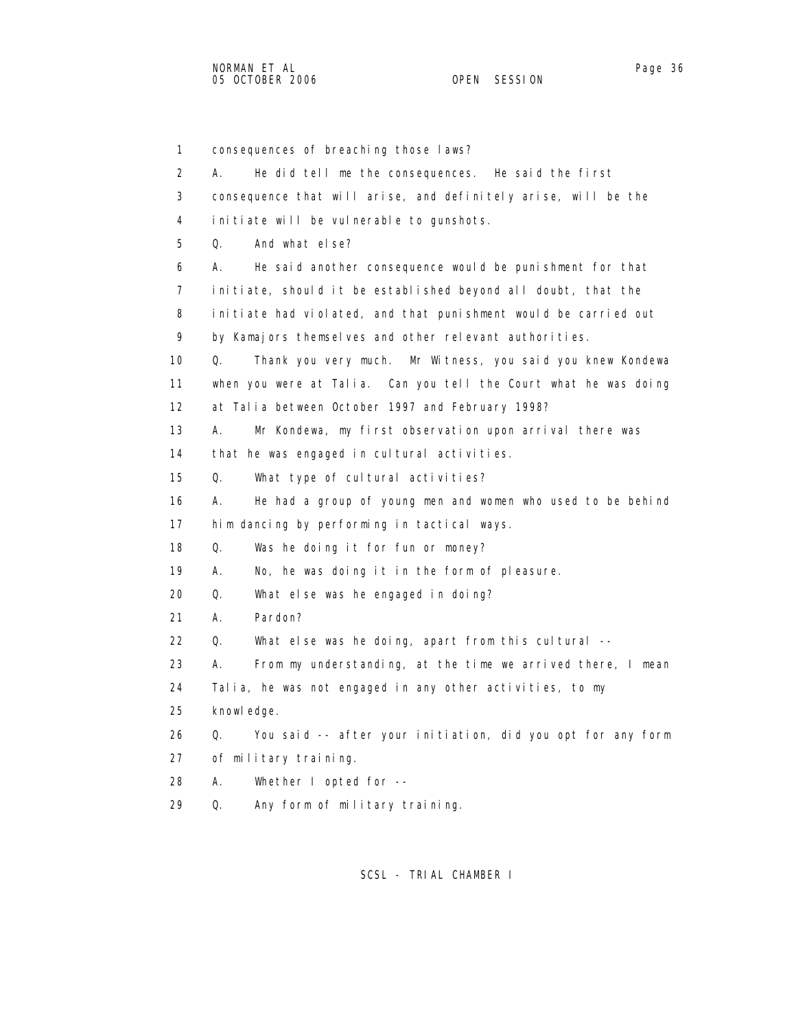1 consequences of breaching those laws? 2 A. He did tell me the consequences. He said the first 3 consequence that will arise, and definitely arise, will be the 4 initiate will be vulnerable to gunshots. 5 Q. And what else? 6 A. He said another consequence would be punishment for that 7 initiate, should it be established beyond all doubt, that the 8 initiate had violated, and that punishment would be carried out 9 by Kamajors themselves and other relevant authorities. 10 Q. Thank you very much. Mr Witness, you said you knew Kondewa 11 when you were at Talia. Can you tell the Court what he was doing 12 at Talia between October 1997 and February 1998? 13 A. Mr Kondewa, my first observation upon arrival there was 14 that he was engaged in cultural activities. 15 Q. What type of cultural activities? 16 A. He had a group of young men and women who used to be behind 17 him dancing by performing in tactical ways. 18 Q. Was he doing it for fun or money? 19 A. No, he was doing it in the form of pleasure. 20 Q. What else was he engaged in doing? 21 A. Pardon? 22 Q. What else was he doing, apart from this cultural -- 23 A. From my understanding, at the time we arrived there, I mean 24 Talia, he was not engaged in any other activities, to my 25 knowledge. 26 Q. You said -- after your initiation, did you opt for any form 27 of military training. 28 A. Whether I opted for -- 29 Q. Any form of military training.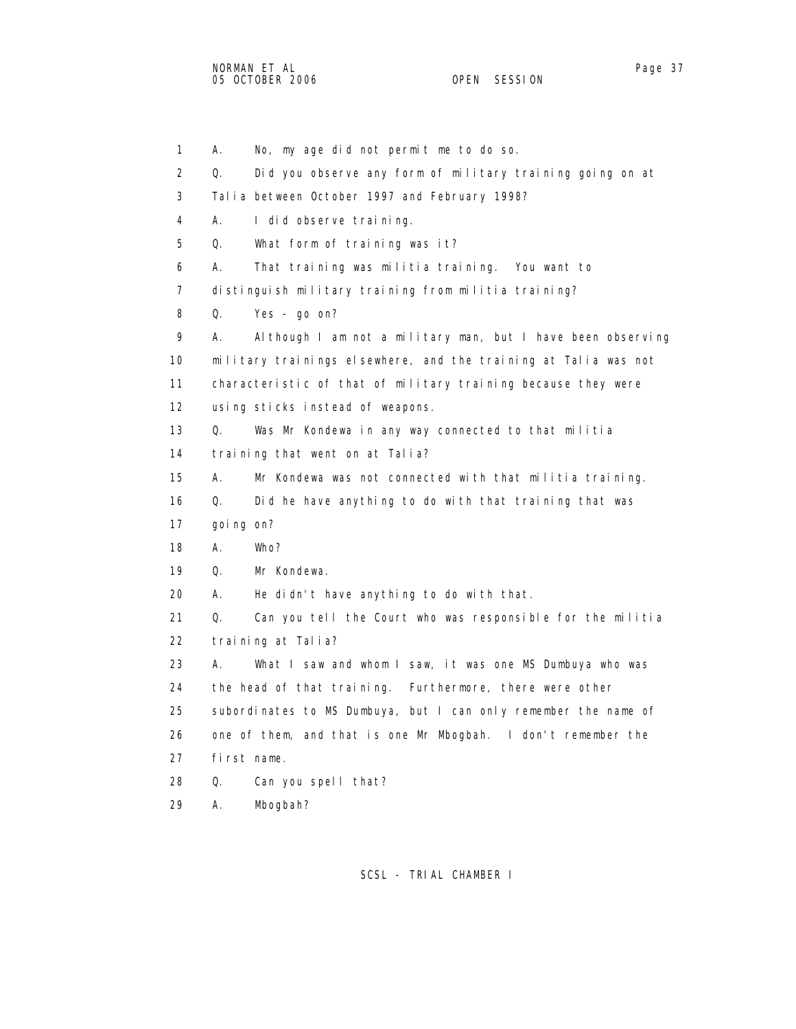1 A. No, my age did not permit me to do so. 2 Q. Did you observe any form of military training going on at 3 Talia between October 1997 and February 1998? 4 A. I did observe training. 5 Q. What form of training was it? 6 A. That training was militia training. You want to 7 distinguish military training from militia training? 8 Q. Yes - go on? 9 A. Although I am not a military man, but I have been observing 10 military trainings elsewhere, and the training at Talia was not 11 characteristic of that of military training because they were 12 using sticks instead of weapons. 13 Q. Was Mr Kondewa in any way connected to that militia 14 training that went on at Talia? 15 A. Mr Kondewa was not connected with that militia training. 16 Q. Did he have anything to do with that training that was 17 going on? 18 A. Who? 19 Q. Mr Kondewa. 20 A. He didn't have anything to do with that. 21 Q. Can you tell the Court who was responsible for the militia 22 training at Talia? 23 A. What I saw and whom I saw, it was one MS Dumbuya who was 24 the head of that training. Furthermore, there were other 25 subordinates to MS Dumbuya, but I can only remember the name of 26 one of them, and that is one Mr Mbogbah. I don't remember the 27 first name. 28 Q. Can you spell that? 29 A. Mbogbah?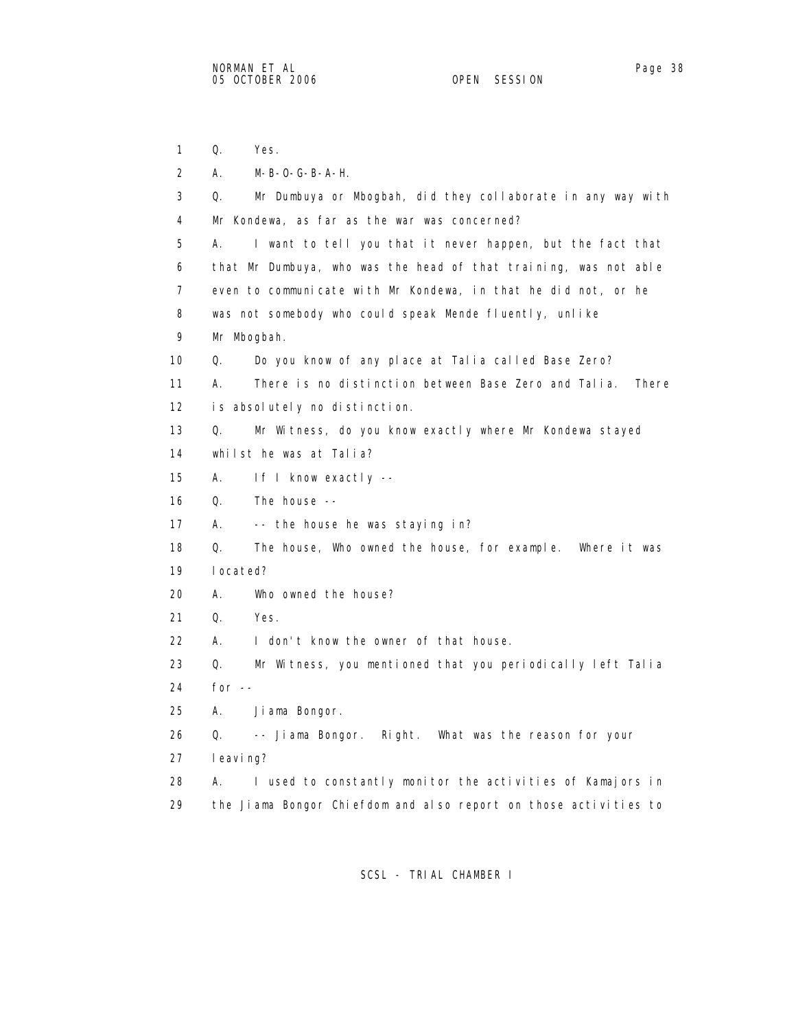1 Q. Yes. 2 A. M-B-O-G-B-A-H. 3 Q. Mr Dumbuya or Mbogbah, did they collaborate in any way with 4 Mr Kondewa, as far as the war was concerned? 5 A. I want to tell you that it never happen, but the fact that 6 that Mr Dumbuya, who was the head of that training, was not able 7 even to communicate with Mr Kondewa, in that he did not, or he 8 was not somebody who could speak Mende fluently, unlike 9 Mr Mbogbah. 10 Q. Do you know of any place at Talia called Base Zero? 11 A. There is no distinction between Base Zero and Talia. There 12 is absolutely no distinction. 13 Q. Mr Witness, do you know exactly where Mr Kondewa stayed 14 whilst he was at Talia? 15 A. If I know exactly -- 16 Q. The house -- 17 A. -- the house he was staying in? 18 Q. The house, Who owned the house, for example. Where it was 19 located? 20 A. Who owned the house? 21 Q. Yes. 22 A. I don't know the owner of that house. 23 Q. Mr Witness, you mentioned that you periodically left Talia 24 for -- 25 A. Jiama Bongor. 26 Q. -- Jiama Bongor. Right. What was the reason for your 27 leaving? 28 A. I used to constantly monitor the activities of Kamajors in 29 the Jiama Bongor Chiefdom and also report on those activities to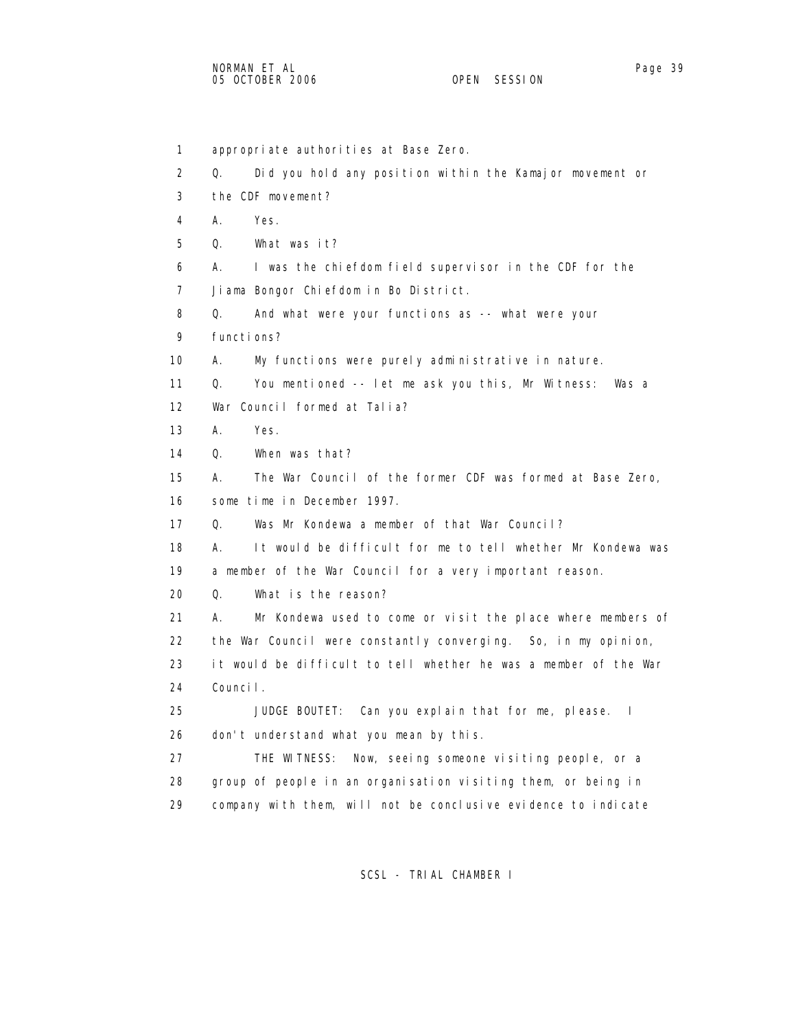1 appropriate authorities at Base Zero. 2 Q. Did you hold any position within the Kamajor movement or 3 the CDF movement? 4 A. Yes. 5 Q. What was it? 6 A. I was the chiefdom field supervisor in the CDF for the 7 Jiama Bongor Chiefdom in Bo District. 8 Q. And what were your functions as -- what were your 9 functions? 10 A. My functions were purely administrative in nature. 11 Q. You mentioned -- let me ask you this, Mr Witness: Was a 12 War Council formed at Talia? 13 A. Yes. 14 Q. When was that? 15 A. The War Council of the former CDF was formed at Base Zero, 16 some time in December 1997. 17 Q. Was Mr Kondewa a member of that War Council? 18 A. It would be difficult for me to tell whether Mr Kondewa was 19 a member of the War Council for a very important reason. 20 Q. What is the reason? 21 A. Mr Kondewa used to come or visit the place where members of 22 the War Council were constantly converging. So, in my opinion, 23 it would be difficult to tell whether he was a member of the War 24 Council. 25 JUDGE BOUTET: Can you explain that for me, please. I 26 don't understand what you mean by this. 27 THE WITNESS: Now, seeing someone visiting people, or a 28 group of people in an organisation visiting them, or being in 29 company with them, will not be conclusive evidence to indicate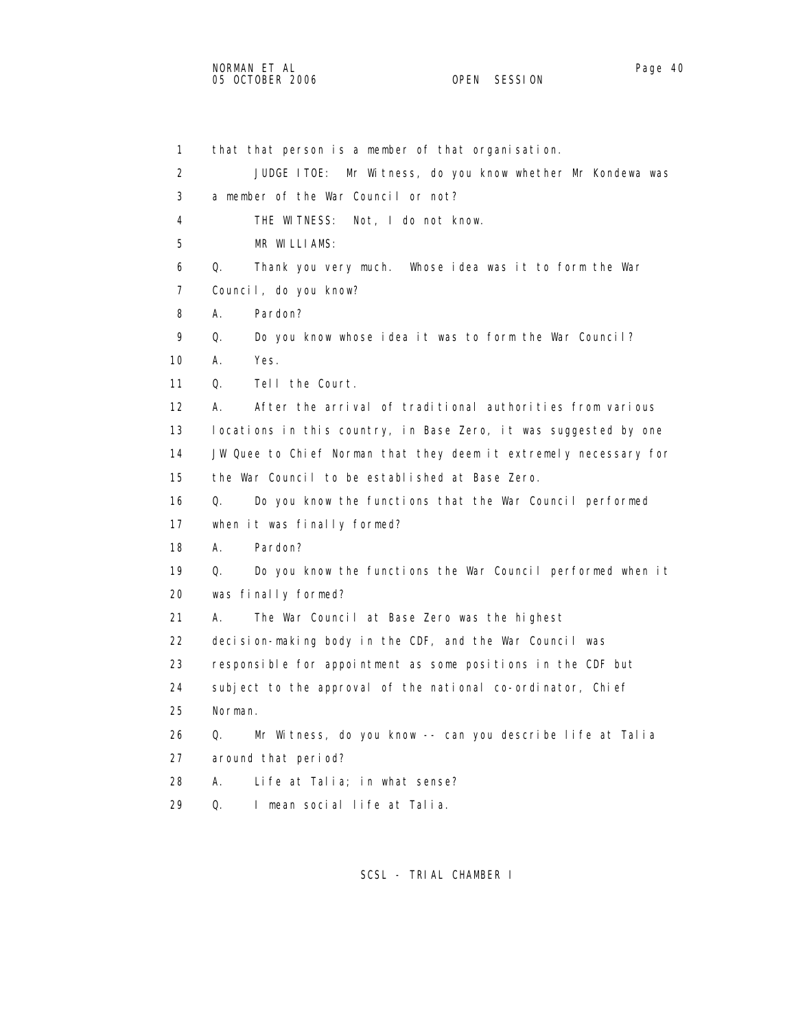1 that that person is a member of that organisation. 2 JUDGE ITOE: Mr Witness, do you know whether Mr Kondewa was 3 a member of the War Council or not? 4 THE WITNESS: Not, I do not know. 5 MR WILLIAMS: 6 Q. Thank you very much. Whose idea was it to form the War 7 Council, do you know? 8 A. Pardon? 9 Q. Do you know whose idea it was to form the War Council? 10 A. Yes. 11 Q. Tell the Court. 12 A. After the arrival of traditional authorities from various 13 locations in this country, in Base Zero, it was suggested by one 14 JW Quee to Chief Norman that they deem it extremely necessary for 15 the War Council to be established at Base Zero. 16 Q. Do you know the functions that the War Council performed 17 when it was finally formed? 18 A. Pardon? 19 Q. Do you know the functions the War Council performed when it 20 was finally formed? 21 A. The War Council at Base Zero was the highest 22 decision-making body in the CDF, and the War Council was 23 responsible for appointment as some positions in the CDF but 24 subject to the approval of the national co-ordinator, Chief 25 Norman. 26 Q. Mr Witness, do you know -- can you describe life at Talia 27 around that period? 28 A. Life at Talia; in what sense? 29 Q. I mean social life at Talia.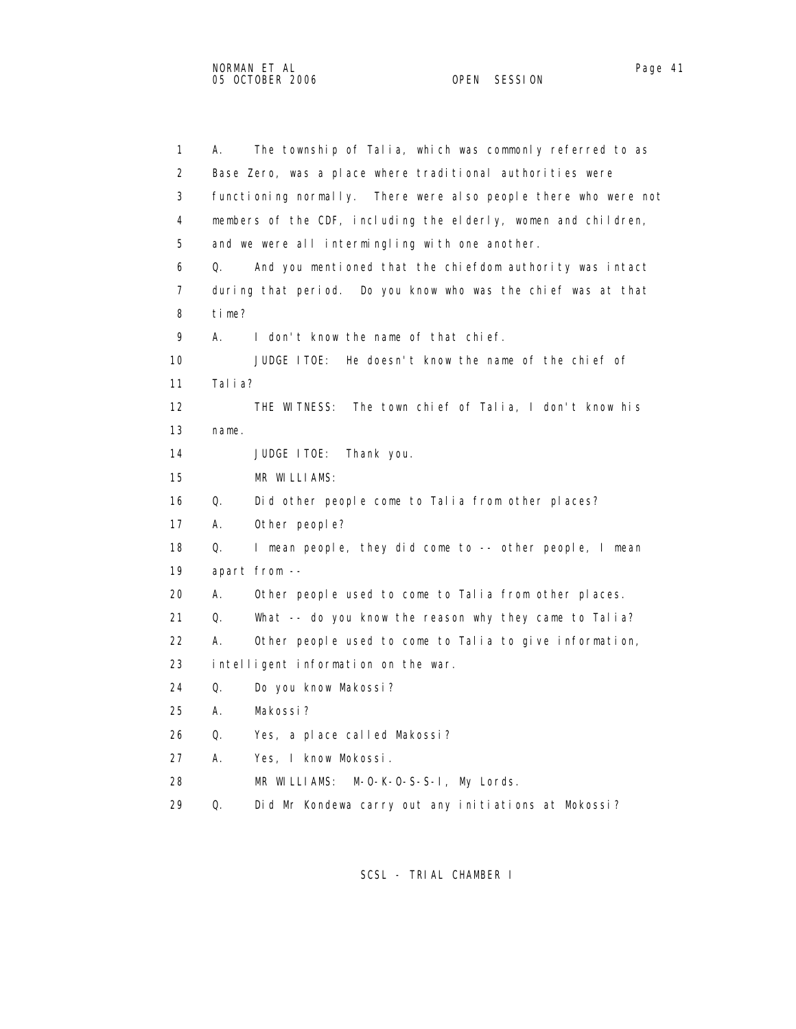1 A. The township of Talia, which was commonly referred to as 2 Base Zero, was a place where traditional authorities were 3 functioning normally. There were also people there who were not 4 members of the CDF, including the elderly, women and children, 5 and we were all intermingling with one another. 6 Q. And you mentioned that the chiefdom authority was intact 7 during that period. Do you know who was the chief was at that 8 time? 9 A. I don't know the name of that chief. 10 JUDGE ITOE: He doesn't know the name of the chief of 11 Talia? 12 THE WITNESS: The town chief of Talia, I don't know his 13 name. 14 JUDGE ITOE: Thank you. 15 MR WILLIAMS: 16 Q. Did other people come to Talia from other places? 17 A. Other people? 18 Q. I mean people, they did come to -- other people, I mean 19 apart from -- 20 A. Other people used to come to Talia from other places. 21 Q. What -- do you know the reason why they came to Talia? 22 A. Other people used to come to Talia to give information, 23 intelligent information on the war. 24 Q. Do you know Makossi? 25 A. Makossi? 26 Q. Yes, a place called Makossi? 27 A. Yes, I know Mokossi.

- 28 MR WILLIAMS: M-O-K-O-S-S-I, My Lords.
- 29 Q. Did Mr Kondewa carry out any initiations at Mokossi?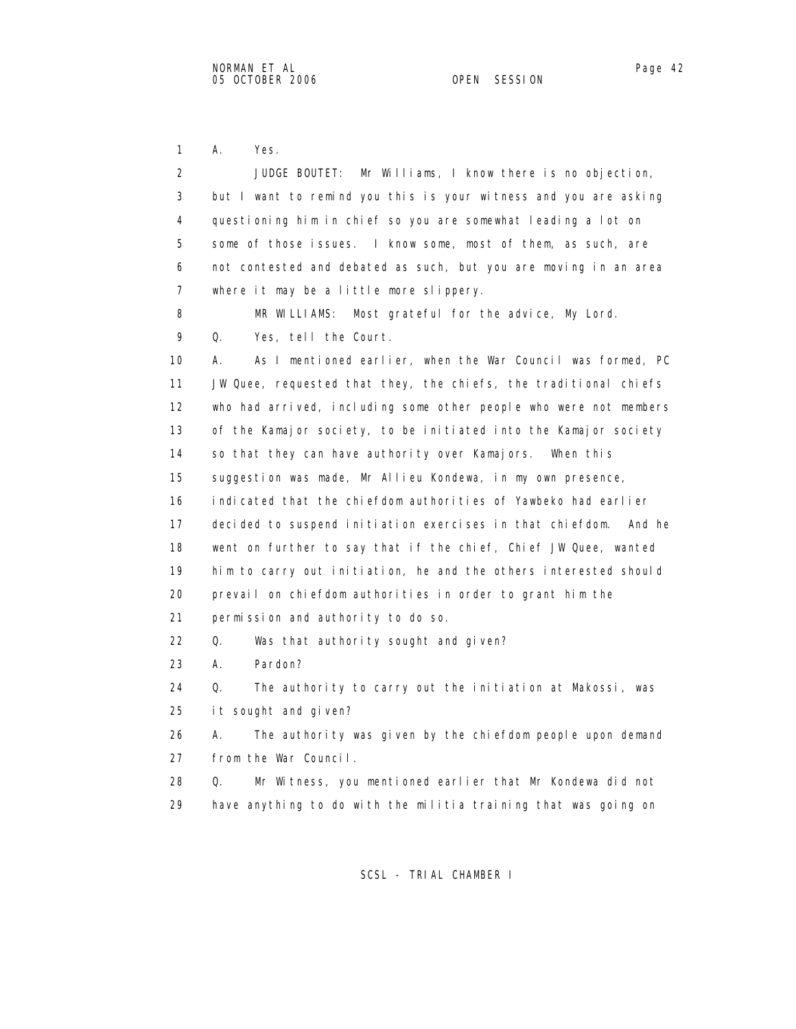1 A. Yes.

| 2  | JUDGE BOUTET: Mr Williams, I know there is no objection,            |
|----|---------------------------------------------------------------------|
| 3  | but I want to remind you this is your witness and you are asking    |
| 4  | questioning him in chief so you are somewhat leading a lot on       |
| 5  | some of those issues. I know some, most of them, as such, are       |
| 6  | not contested and debated as such, but you are moving in an area    |
| 7  | where it may be a little more slippery.                             |
| 8  | MR WILLIAMS:<br>Most grateful for the advice, My Lord.              |
| 9  | Q.<br>Yes, tell the Court.                                          |
| 10 | As I mentioned earlier, when the War Council was formed, PC<br>А.   |
| 11 | JW Quee, requested that they, the chiefs, the traditional chiefs    |
| 12 | who had arrived, including some other people who were not members   |
| 13 | of the Kamajor society, to be initiated into the Kamajor society    |
| 14 | so that they can have authority over Kamajors. When this            |
| 15 | suggestion was made, Mr Allieu Kondewa, in my own presence,         |
| 16 | indicated that the chiefdom authorities of Yawbeko had earlier      |
| 17 | decided to suspend initiation exercises in that chiefdom.<br>And he |
| 18 | went on further to say that if the chief, Chief JW Quee, wanted     |
| 19 | him to carry out initiation, he and the others interested should    |
| 20 | prevail on chiefdom authorities in order to grant him the           |
| 21 | permission and authority to do so.                                  |
| 22 | Q.<br>Was that authority sought and given?                          |
| 23 | Pardon?<br>А.                                                       |
| 24 | Q.<br>The authority to carry out the initiation at Makossi, was     |
| 25 | it sought and given?                                                |
| 26 | А.<br>The authority was given by the chiefdom people upon demand    |
| 27 | from the War Council.                                               |
| 28 | Mr Witness, you mentioned earlier that Mr Kondewa did not<br>Q.     |
| 29 | have anything to do with the militia training that was going on     |
|    |                                                                     |
|    |                                                                     |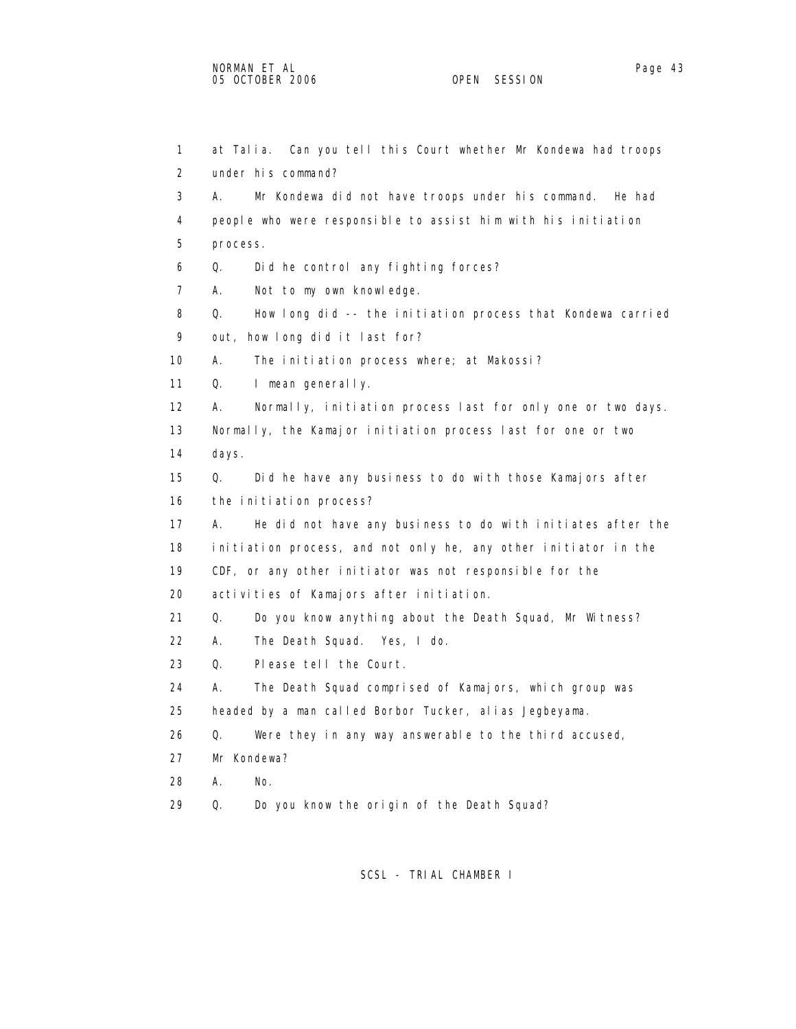| $\mathbf{1}$ | at Talia. Can you tell this Court whether Mr Kondewa had troops   |
|--------------|-------------------------------------------------------------------|
| 2            | under his command?                                                |
| 3            | А.<br>Mr Kondewa did not have troops under his command.<br>He had |
| 4            | people who were responsible to assist him with his initiation     |
| 5            | process.                                                          |
| 6            | Q.<br>Did he control any fighting forces?                         |
| 7            | А.<br>Not to my own knowledge.                                    |
| 8            | Q.<br>How long did -- the initiation process that Kondewa carried |
| 9            | out, how long did it last for?                                    |
| 10           | А.<br>The initiation process where; at Makossi?                   |
| 11           | Q.<br>I mean generally.                                           |
| 12           | Normally, initiation process last for only one or two days.<br>А. |
| 13           | Normally, the Kamajor initiation process last for one or two      |
| 14           | days.                                                             |
| 15           | Q.<br>Did he have any business to do with those Kamajors after    |
| 16           | the initiation process?                                           |
| 17           | А.<br>He did not have any business to do with initiates after the |
| 18           | initiation process, and not only he, any other initiator in the   |
| 19           | CDF, or any other initiator was not responsible for the           |
| 20           | activities of Kamajors after initiation.                          |
| 21           | Q.<br>Do you know anything about the Death Squad, Mr Witness?     |
| 22           | А.<br>The Death Squad. Yes, I do.                                 |
| 23           | Q.<br>Please tell the Court.                                      |
| 24           | А.<br>The Death Squad comprised of Kamajors, which group was      |
| 25           | headed by a man called Borbor Tucker, alias Jegbeyama.            |
| 26           | Q.<br>Were they in any way answerable to the third accused,       |
| 27           | Mr Kondewa?                                                       |
| 28           | А.<br>No.                                                         |
| 29           | Do you know the origin of the Death Squad?<br>Q.                  |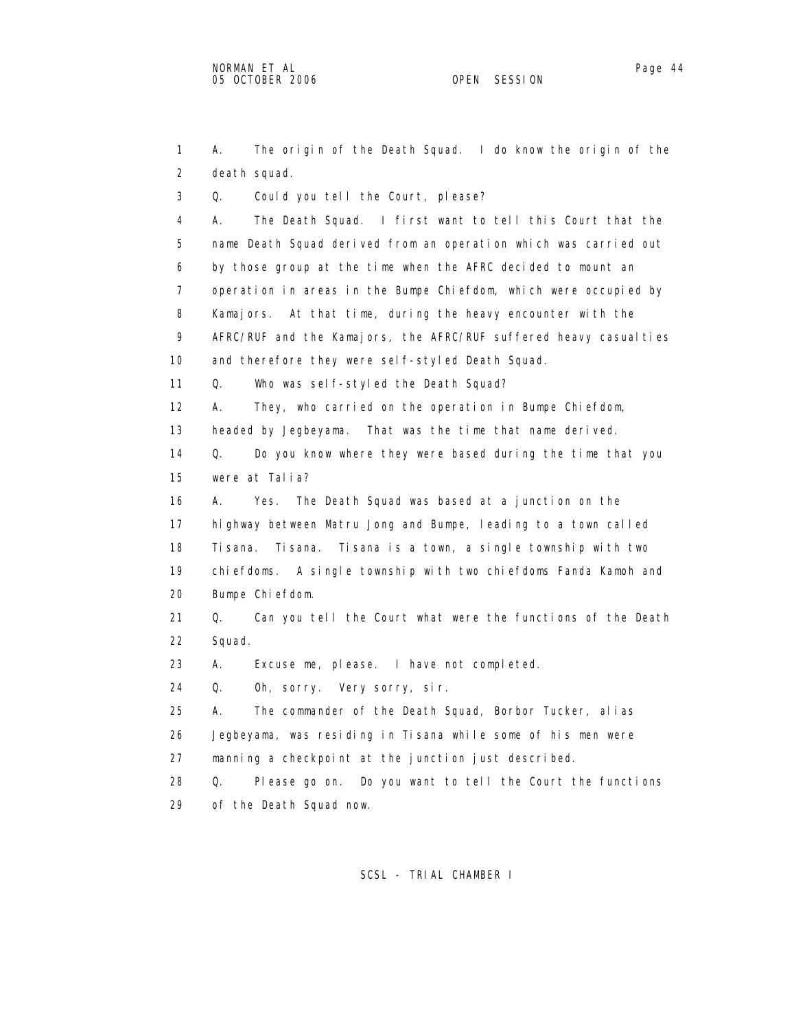1 A. The origin of the Death Squad. I do know the origin of the 2 death squad. 3 Q. Could you tell the Court, please? 4 A. The Death Squad. I first want to tell this Court that the 5 name Death Squad derived from an operation which was carried out 6 by those group at the time when the AFRC decided to mount an 7 operation in areas in the Bumpe Chiefdom, which were occupied by 8 Kamajors. At that time, during the heavy encounter with the 9 AFRC/RUF and the Kamajors, the AFRC/RUF suffered heavy casualties 10 and therefore they were self-styled Death Squad. 11 Q. Who was self-styled the Death Squad? 12 A. They, who carried on the operation in Bumpe Chiefdom, 13 headed by Jegbeyama. That was the time that name derived. 14 Q. Do you know where they were based during the time that you 15 were at Talia? 16 A. Yes. The Death Squad was based at a junction on the 17 highway between Matru Jong and Bumpe, leading to a town called 18 Tisana. Tisana. Tisana is a town, a single township with two 19 chiefdoms. A single township with two chiefdoms Fanda Kamoh and 20 Bumpe Chiefdom. 21 Q. Can you tell the Court what were the functions of the Death 22 Squad. 23 A. Excuse me, please. I have not completed. 24 Q. Oh, sorry. Very sorry, sir. 25 A. The commander of the Death Squad, Borbor Tucker, alias 26 Jegbeyama, was residing in Tisana while some of his men were 27 manning a checkpoint at the junction just described. 28 Q. Please go on. Do you want to tell the Court the functions 29 of the Death Squad now.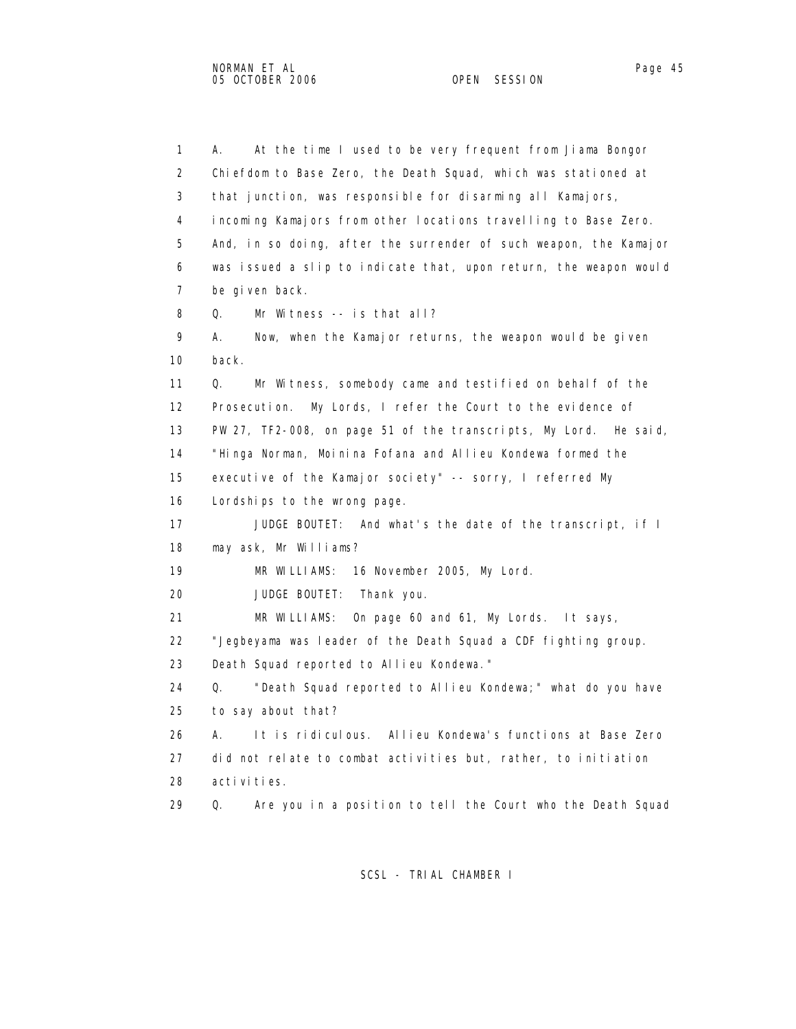1 A. At the time I used to be very frequent from Jiama Bongor 2 Chiefdom to Base Zero, the Death Squad, which was stationed at 3 that junction, was responsible for disarming all Kamajors, 4 incoming Kamajors from other locations travelling to Base Zero. 5 And, in so doing, after the surrender of such weapon, the Kamajor 6 was issued a slip to indicate that, upon return, the weapon would 7 be given back. 8 Q. Mr Witness -- is that all? 9 A. Now, when the Kamajor returns, the weapon would be given 10 back. 11 Q. Mr Witness, somebody came and testified on behalf of the 12 Prosecution. My Lords, I refer the Court to the evidence of 13 PW 27, TF2-008, on page 51 of the transcripts, My Lord. He said, 14 "Hinga Norman, Moinina Fofana and Allieu Kondewa formed the 15 executive of the Kamajor society" -- sorry, I referred My 16 Lordships to the wrong page. 17 JUDGE BOUTET: And what's the date of the transcript, if I 18 may ask, Mr Williams? 19 MR WILLIAMS: 16 November 2005, My Lord. 20 JUDGE BOUTET: Thank you. 21 MR WILLIAMS: On page 60 and 61, My Lords. It says, 22 "Jegbeyama was leader of the Death Squad a CDF fighting group. 23 Death Squad reported to Allieu Kondewa." 24 Q. "Death Squad reported to Allieu Kondewa;" what do you have 25 to say about that? 26 A. It is ridiculous. Allieu Kondewa's functions at Base Zero 27 did not relate to combat activities but, rather, to initiation 28 activities. 29 Q. Are you in a position to tell the Court who the Death Squad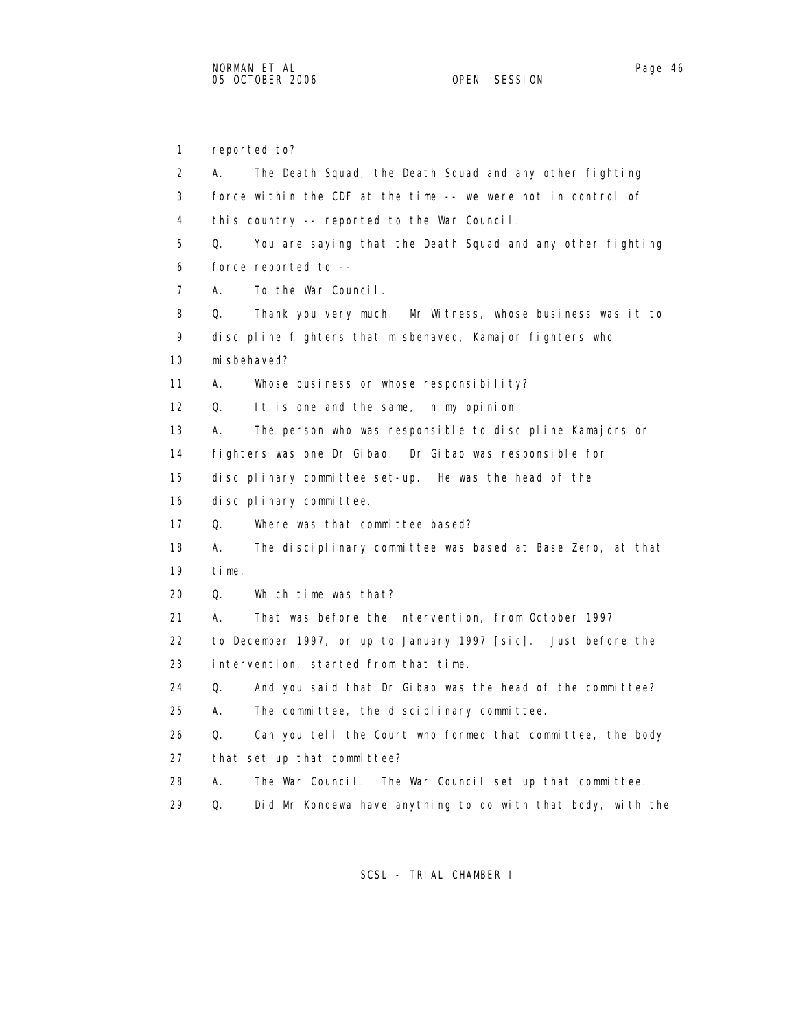1 reported to? 2 A. The Death Squad, the Death Squad and any other fighting 3 force within the CDF at the time -- we were not in control of 4 this country -- reported to the War Council. 5 Q. You are saying that the Death Squad and any other fighting 6 force reported to -- 7 A. To the War Council. 8 Q. Thank you very much. Mr Witness, whose business was it to 9 discipline fighters that misbehaved, Kamajor fighters who 10 misbehaved? 11 A. Whose business or whose responsibility? 12 Q. It is one and the same, in my opinion. 13 A. The person who was responsible to discipline Kamajors or 14 fighters was one Dr Gibao. Dr Gibao was responsible for 15 disciplinary committee set-up. He was the head of the 16 disciplinary committee. 17 Q. Where was that committee based? 18 A. The disciplinary committee was based at Base Zero, at that 19 time. 20 Q. Which time was that? 21 A. That was before the intervention, from October 1997 22 to December 1997, or up to January 1997 [sic]. Just before the 23 intervention, started from that time. 24 Q. And you said that Dr Gibao was the head of the committee? 25 A. The committee, the disciplinary committee. 26 Q. Can you tell the Court who formed that committee, the body 27 that set up that committee? 28 A. The War Council. The War Council set up that committee. 29 Q. Did Mr Kondewa have anything to do with that body, with the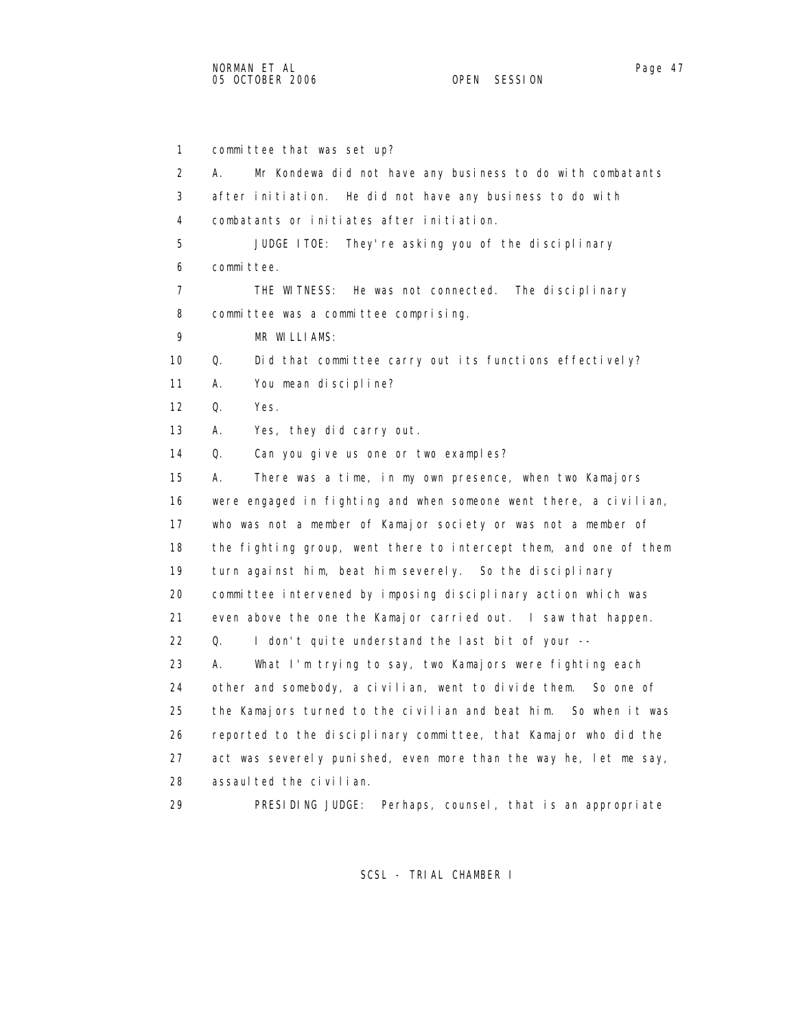1 committee that was set up? 2 A. Mr Kondewa did not have any business to do with combatants 3 after initiation. He did not have any business to do with 4 combatants or initiates after initiation. 5 JUDGE ITOE: They're asking you of the disciplinary 6 committee. 7 THE WITNESS: He was not connected. The disciplinary 8 committee was a committee comprising. 9 MR WILLIAMS: 10 Q. Did that committee carry out its functions effectively? 11 A. You mean discipline? 12 Q. Yes. 13 A. Yes, they did carry out. 14 Q. Can you give us one or two examples? 15 A. There was a time, in my own presence, when two Kamajors 16 were engaged in fighting and when someone went there, a civilian, 17 who was not a member of Kamajor society or was not a member of 18 the fighting group, went there to intercept them, and one of them 19 turn against him, beat him severely. So the disciplinary 20 committee intervened by imposing disciplinary action which was 21 even above the one the Kamajor carried out. I saw that happen. 22 Q. I don't quite understand the last bit of your -- 23 A. What I'm trying to say, two Kamajors were fighting each 24 other and somebody, a civilian, went to divide them. So one of 25 the Kamajors turned to the civilian and beat him. So when it was 26 reported to the disciplinary committee, that Kamajor who did the 27 act was severely punished, even more than the way he, let me say, 28 assaulted the civilian.

29 PRESIDING JUDGE: Perhaps, counsel, that is an appropriate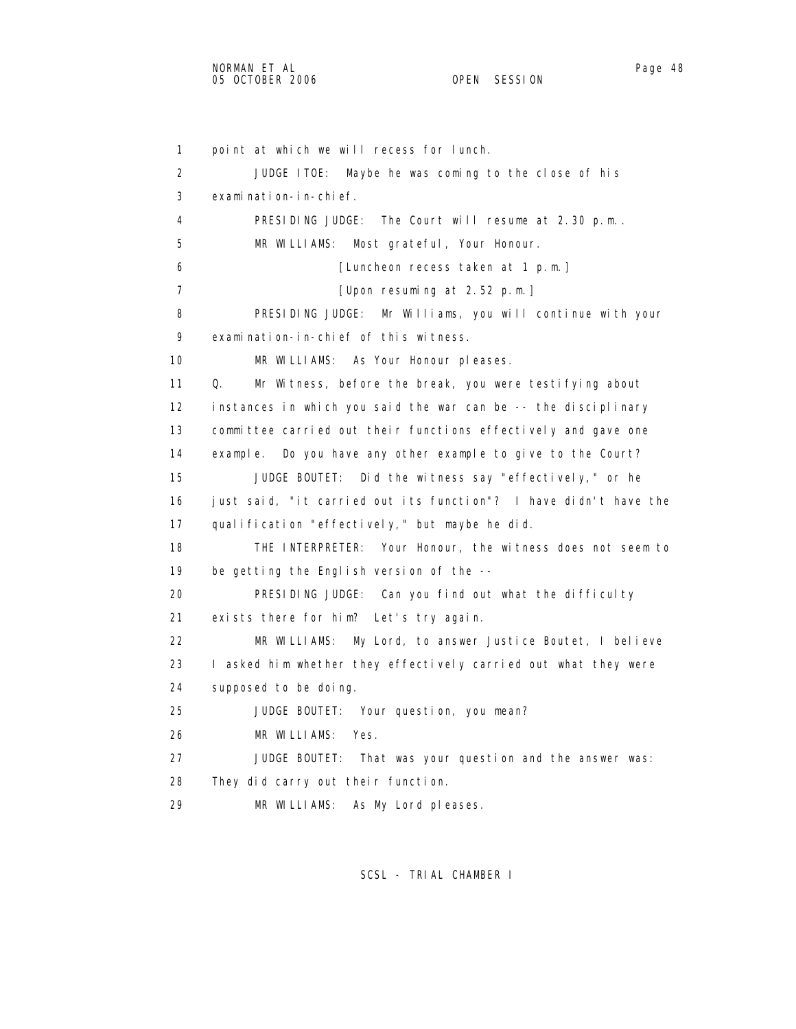```
 1 point at which we will recess for lunch. 
 2 JUDGE ITOE: Maybe he was coming to the close of his 
 3 examination-in-chief. 
 4 PRESIDING JUDGE: The Court will resume at 2.30 p.m.. 
 5 MR WILLIAMS: Most grateful, Your Honour. 
 6 [Luncheon recess taken at 1 p.m.] 
7 [Upon resuming at 2.52 p.m.]
 8 PRESIDING JUDGE: Mr Williams, you will continue with your 
 9 examination-in-chief of this witness. 
 10 MR WILLIAMS: As Your Honour pleases. 
 11 Q. Mr Witness, before the break, you were testifying about 
 12 instances in which you said the war can be -- the disciplinary 
 13 committee carried out their functions effectively and gave one 
 14 example. Do you have any other example to give to the Court? 
 15 JUDGE BOUTET: Did the witness say "effectively," or he 
 16 just said, "it carried out its function"? I have didn't have the 
17 qualification "effectively," but maybe he did.
 18 THE INTERPRETER: Your Honour, the witness does not seem to 
 19 be getting the English version of the -- 
 20 PRESIDING JUDGE: Can you find out what the difficulty 
 21 exists there for him? Let's try again. 
 22 MR WILLIAMS: My Lord, to answer Justice Boutet, I believe 
 23 I asked him whether they effectively carried out what they were 
 24 supposed to be doing. 
 25 JUDGE BOUTET: Your question, you mean? 
 26 MR WILLIAMS: Yes. 
 27 JUDGE BOUTET: That was your question and the answer was: 
 28 They did carry out their function. 
 29 MR WILLIAMS: As My Lord pleases.
```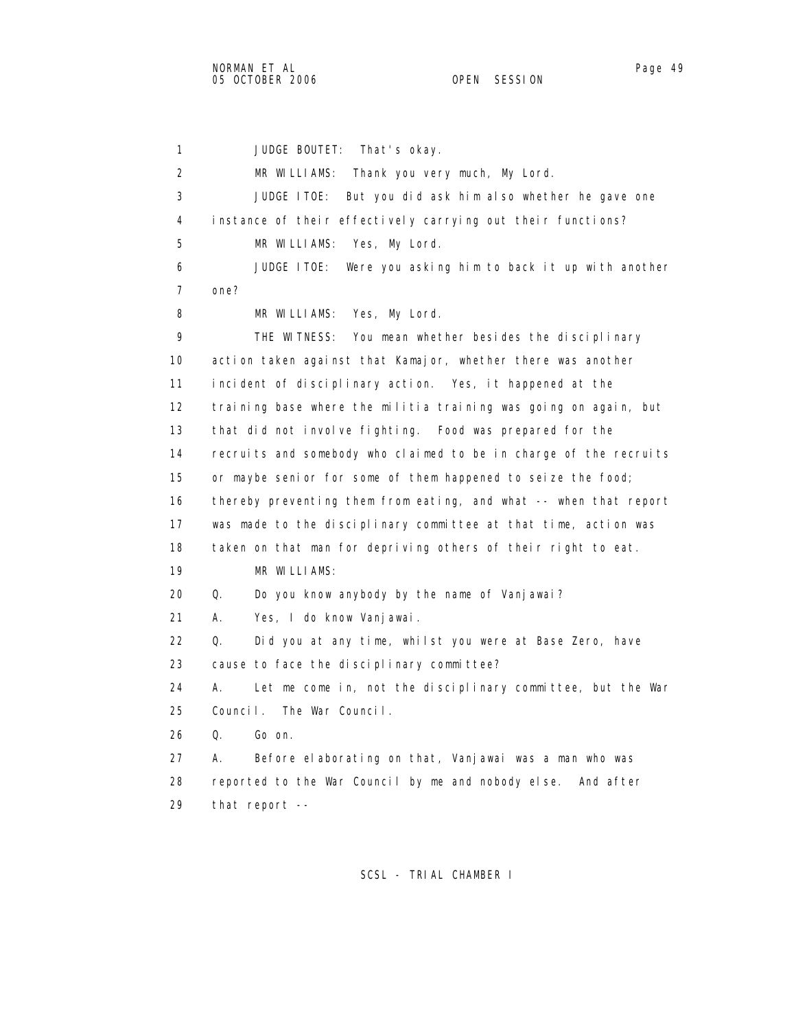1 JUDGE BOUTET: That's okay. 2 MR WILLIAMS: Thank you very much, My Lord. 3 JUDGE ITOE: But you did ask him also whether he gave one 4 instance of their effectively carrying out their functions? 5 MR WILLIAMS: Yes, My Lord. 6 JUDGE ITOE: Were you asking him to back it up with another 7 one? 8 MR WILLIAMS: Yes, My Lord. 9 THE WITNESS: You mean whether besides the disciplinary 10 action taken against that Kamajor, whether there was another 11 incident of disciplinary action. Yes, it happened at the 12 training base where the militia training was going on again, but 13 that did not involve fighting. Food was prepared for the 14 recruits and somebody who claimed to be in charge of the recruits 15 or maybe senior for some of them happened to seize the food; 16 thereby preventing them from eating, and what -- when that report 17 was made to the disciplinary committee at that time, action was 18 taken on that man for depriving others of their right to eat. 19 MR WILLIAMS: 20 Q. Do you know anybody by the name of Vanjawai? 21 A. Yes, I do know Vanjawai. 22 Q. Did you at any time, whilst you were at Base Zero, have 23 cause to face the disciplinary committee? 24 A. Let me come in, not the disciplinary committee, but the War 25 Council. The War Council. 26 Q. Go on. 27 A. Before elaborating on that, Vanjawai was a man who was 28 reported to the War Council by me and nobody else. And after 29 that report --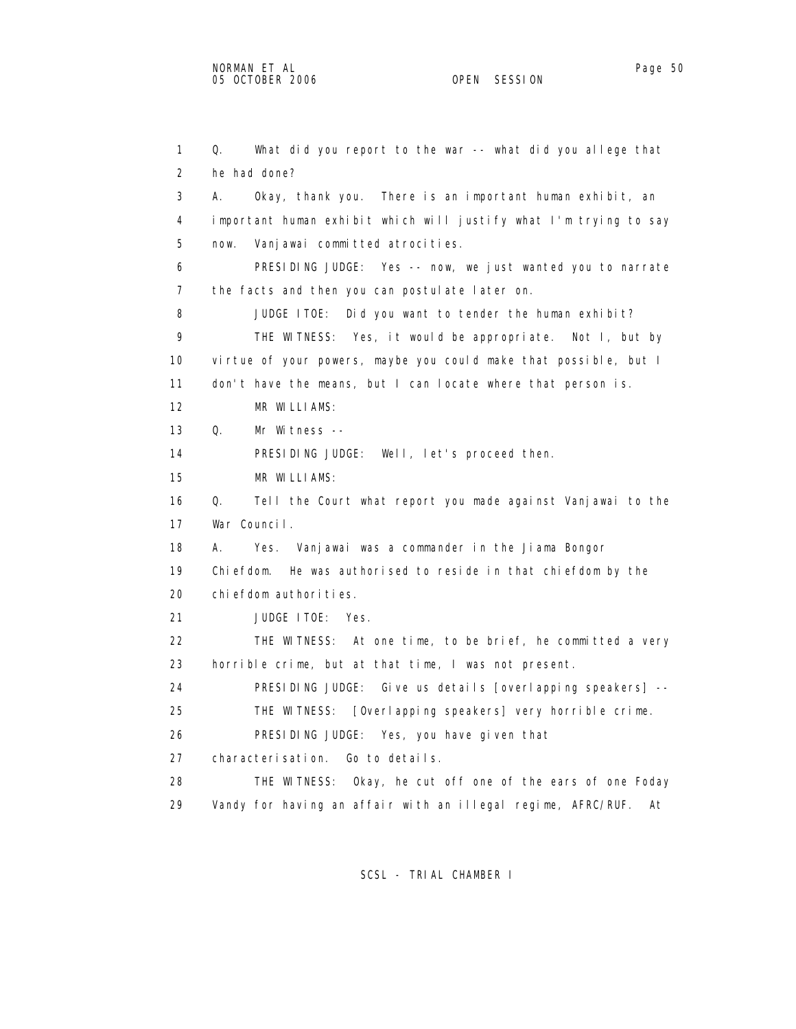1 Q. What did you report to the war -- what did you allege that 2 he had done? 3 A. Okay, thank you. There is an important human exhibit, an 4 important human exhibit which will justify what I'm trying to say 5 now. Vanjawai committed atrocities. 6 PRESIDING JUDGE: Yes -- now, we just wanted you to narrate 7 the facts and then you can postulate later on. 8 JUDGE ITOE: Did you want to tender the human exhibit? 9 THE WITNESS: Yes, it would be appropriate. Not I, but by 10 virtue of your powers, maybe you could make that possible, but I 11 don't have the means, but I can locate where that person is. 12 MR WILLIAMS: 13 Q. Mr Witness -- 14 PRESIDING JUDGE: Well, let's proceed then. 15 MR WILLIAMS: 16 Q. Tell the Court what report you made against Vanjawai to the 17 War Council. 18 A. Yes. Vanjawai was a commander in the Jiama Bongor 19 Chiefdom. He was authorised to reside in that chiefdom by the 20 chiefdom authorities. 21 JUDGE ITOE: Yes. 22 THE WITNESS: At one time, to be brief, he committed a very 23 horrible crime, but at that time, I was not present. 24 PRESIDING JUDGE: Give us details [overlapping speakers] -- 25 THE WITNESS: [Overlapping speakers] very horrible crime. 26 PRESIDING JUDGE: Yes, you have given that 27 characterisation. Go to details. 28 THE WITNESS: Okay, he cut off one of the ears of one Foday 29 Vandy for having an affair with an illegal regime, AFRC/RUF. At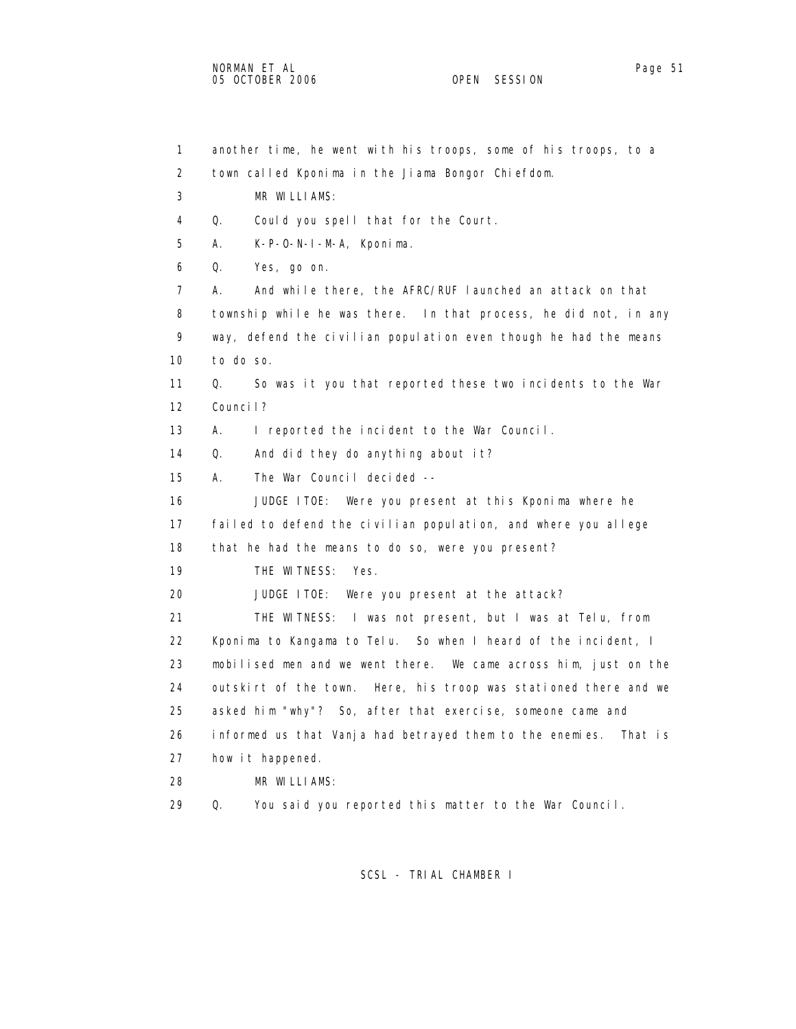1 another time, he went with his troops, some of his troops, to a 2 town called Kponima in the Jiama Bongor Chiefdom. 3 MR WILLIAMS: 4 Q. Could you spell that for the Court. 5 A. K-P-O-N-I-M-A, Kponima. 6 Q. Yes, go on. 7 A. And while there, the AFRC/RUF launched an attack on that 8 township while he was there. In that process, he did not, in any 9 way, defend the civilian population even though he had the means 10 to do so. 11 Q. So was it you that reported these two incidents to the War 12 Council? 13 A. I reported the incident to the War Council. 14 Q. And did they do anything about it? 15 A. The War Council decided -- 16 JUDGE ITOE: Were you present at this Kponima where he 17 failed to defend the civilian population, and where you allege 18 that he had the means to do so, were you present? 19 THE WITNESS: Yes. 20 JUDGE ITOE: Were you present at the attack? 21 THE WITNESS: I was not present, but I was at Telu, from 22 Kponima to Kangama to Telu. So when I heard of the incident, I 23 mobilised men and we went there. We came across him, just on the 24 outskirt of the town. Here, his troop was stationed there and we 25 asked him "why"? So, after that exercise, someone came and 26 informed us that Vanja had betrayed them to the enemies. That is 27 how it happened. 28 MR WILLIAMS: 29 Q. You said you reported this matter to the War Council.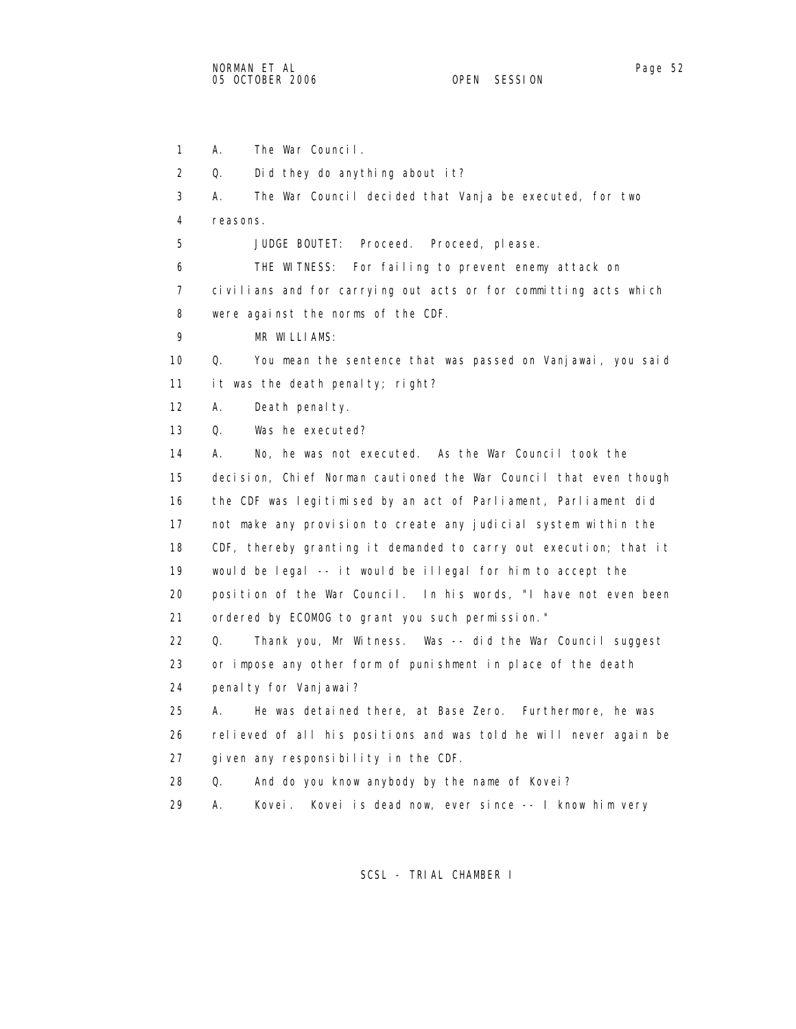1 A. The War Council. 2 Q. Did they do anything about it? 3 A. The War Council decided that Vanja be executed, for two 4 reasons. 5 JUDGE BOUTET: Proceed. Proceed, please. 6 THE WITNESS: For failing to prevent enemy attack on 7 civilians and for carrying out acts or for committing acts which 8 were against the norms of the CDF. 9 MR WILLIAMS: 10 Q. You mean the sentence that was passed on Vanjawai, you said 11 it was the death penalty; right? 12 A. Death penalty. 13 Q. Was he executed? 14 A. No, he was not executed. As the War Council took the 15 decision, Chief Norman cautioned the War Council that even though 16 the CDF was legitimised by an act of Parliament, Parliament did 17 not make any provision to create any judicial system within the 18 CDF, thereby granting it demanded to carry out execution; that it 19 would be legal -- it would be illegal for him to accept the 20 position of the War Council. In his words, "I have not even been 21 ordered by ECOMOG to grant you such permission." 22 Q. Thank you, Mr Witness. Was -- did the War Council suggest 23 or impose any other form of punishment in place of the death

24 penalty for Vanjawai?

 25 A. He was detained there, at Base Zero. Furthermore, he was 26 relieved of all his positions and was told he will never again be 27 given any responsibility in the CDF.

- 28 Q. And do you know anybody by the name of Kovei?
- 29 A. Kovei. Kovei is dead now, ever since -- I know him very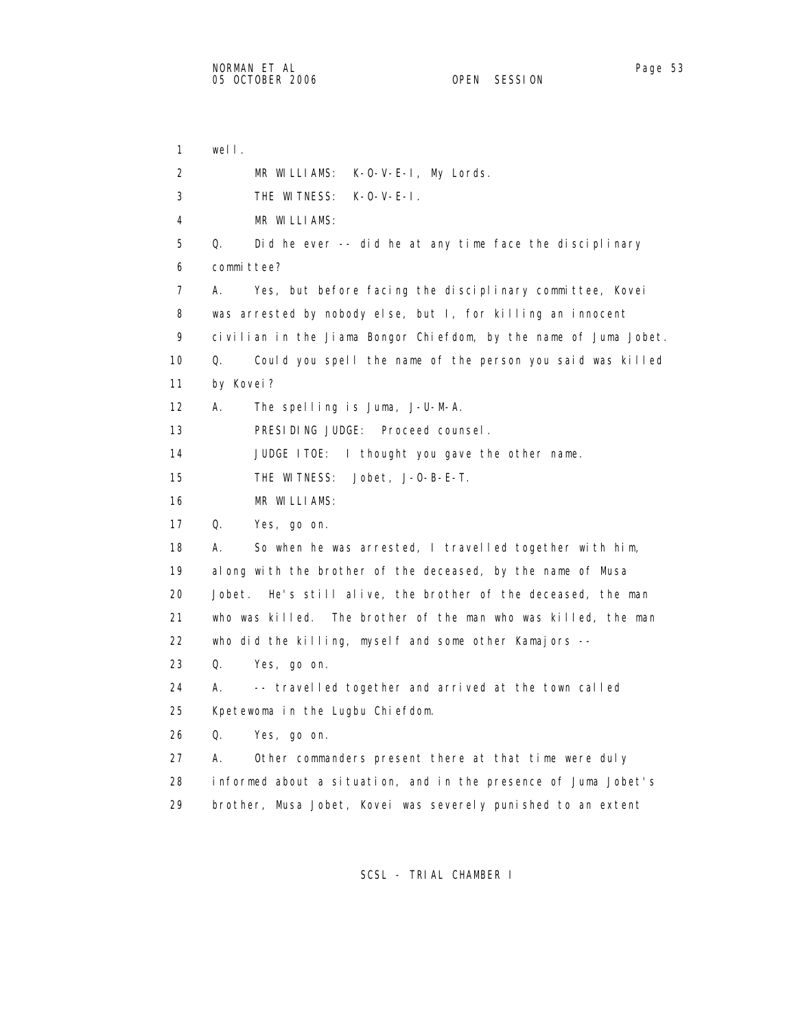1 well. 2 MR WILLIAMS: K-O-V-E-I, My Lords. 3 THE WITNESS: K-O-V-E-I. 4 MR WILLIAMS: 5 Q. Did he ever -- did he at any time face the disciplinary 6 committee? 7 A. Yes, but before facing the disciplinary committee, Kovei 8 was arrested by nobody else, but I, for killing an innocent 9 civilian in the Jiama Bongor Chiefdom, by the name of Juma Jobet. 10 Q. Could you spell the name of the person you said was killed 11 by Kovei? 12 A. The spelling is Juma, J-U-M-A. 13 PRESIDING JUDGE: Proceed counsel. 14 JUDGE ITOE: I thought you gave the other name. 15 THE WITNESS: Jobet, J-O-B-E-T. 16 MR WILLIAMS: 17 Q. Yes, go on. 18 A. So when he was arrested, I travelled together with him, 19 along with the brother of the deceased, by the name of Musa 20 Jobet. He's still alive, the brother of the deceased, the man 21 who was killed. The brother of the man who was killed, the man 22 who did the killing, myself and some other Kamajors -- 23 Q. Yes, go on. 24 A. -- travelled together and arrived at the town called 25 Kpetewoma in the Lugbu Chiefdom. 26 Q. Yes, go on. 27 A. Other commanders present there at that time were duly 28 informed about a situation, and in the presence of Juma Jobet's 29 brother, Musa Jobet, Kovei was severely punished to an extent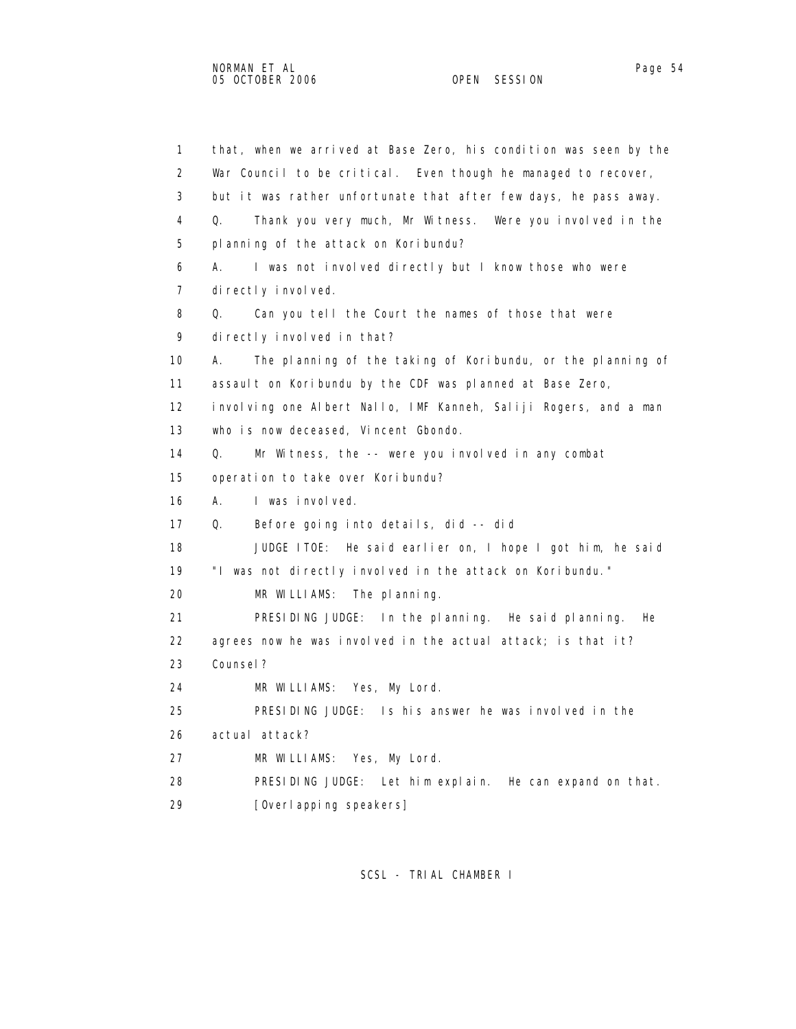1 that, when we arrived at Base Zero, his condition was seen by the 2 War Council to be critical. Even though he managed to recover, 3 but it was rather unfortunate that after few days, he pass away. 4 Q. Thank you very much, Mr Witness. Were you involved in the 5 planning of the attack on Koribundu? 6 A. I was not involved directly but I know those who were 7 directly involved. 8 Q. Can you tell the Court the names of those that were 9 directly involved in that? 10 A. The planning of the taking of Koribundu, or the planning of 11 assault on Koribundu by the CDF was planned at Base Zero, 12 involving one Albert Nallo, IMF Kanneh, Saliji Rogers, and a man 13 who is now deceased, Vincent Gbondo. 14 Q. Mr Witness, the -- were you involved in any combat 15 operation to take over Koribundu? 16 A. I was involved. 17 Q. Before going into details, did -- did 18 JUDGE ITOE: He said earlier on, I hope I got him, he said 19 "I was not directly involved in the attack on Koribundu." 20 MR WILLIAMS: The planning. 21 PRESIDING JUDGE: In the planning. He said planning. He 22 agrees now he was involved in the actual attack; is that it? 23 Counsel? 24 MR WILLIAMS: Yes, My Lord. 25 PRESIDING JUDGE: Is his answer he was involved in the 26 actual attack? 27 MR WILLIAMS: Yes, My Lord. 28 PRESIDING JUDGE: Let him explain. He can expand on that.

29 [Overlapping speakers]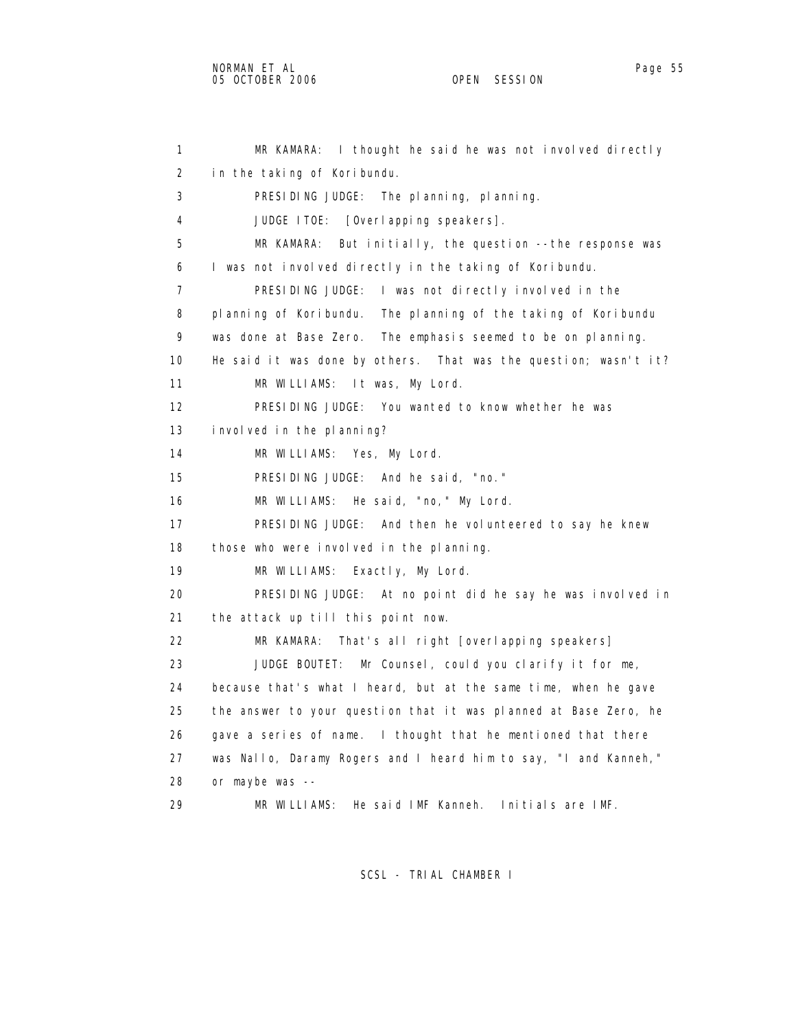1 MR KAMARA: I thought he said he was not involved directly 2 in the taking of Koribundu. 3 PRESIDING JUDGE: The planning, planning. 4 JUDGE ITOE: [Overlapping speakers]. 5 MR KAMARA: But initially, the question --the response was 6 I was not involved directly in the taking of Koribundu. 7 PRESIDING JUDGE: I was not directly involved in the 8 planning of Koribundu. The planning of the taking of Koribundu 9 was done at Base Zero. The emphasis seemed to be on planning. 10 He said it was done by others. That was the question; wasn't it? 11 MR WILLIAMS: It was, My Lord. 12 PRESIDING JUDGE: You wanted to know whether he was 13 involved in the planning? 14 MR WILLIAMS: Yes, My Lord. 15 PRESIDING JUDGE: And he said, "no." 16 MR WILLIAMS: He said, "no," My Lord. 17 PRESIDING JUDGE: And then he volunteered to say he knew 18 those who were involved in the planning. 19 MR WILLIAMS: Exactly, My Lord. 20 PRESIDING JUDGE: At no point did he say he was involved in 21 the attack up till this point now. 22 MR KAMARA: That's all right [overlapping speakers] 23 JUDGE BOUTET: Mr Counsel, could you clarify it for me, 24 because that's what I heard, but at the same time, when he gave 25 the answer to your question that it was planned at Base Zero, he 26 gave a series of name. I thought that he mentioned that there 27 was Nallo, Daramy Rogers and I heard him to say, "I and Kanneh," 28 or maybe was -- 29 MR WILLIAMS: He said IMF Kanneh. Initials are IMF.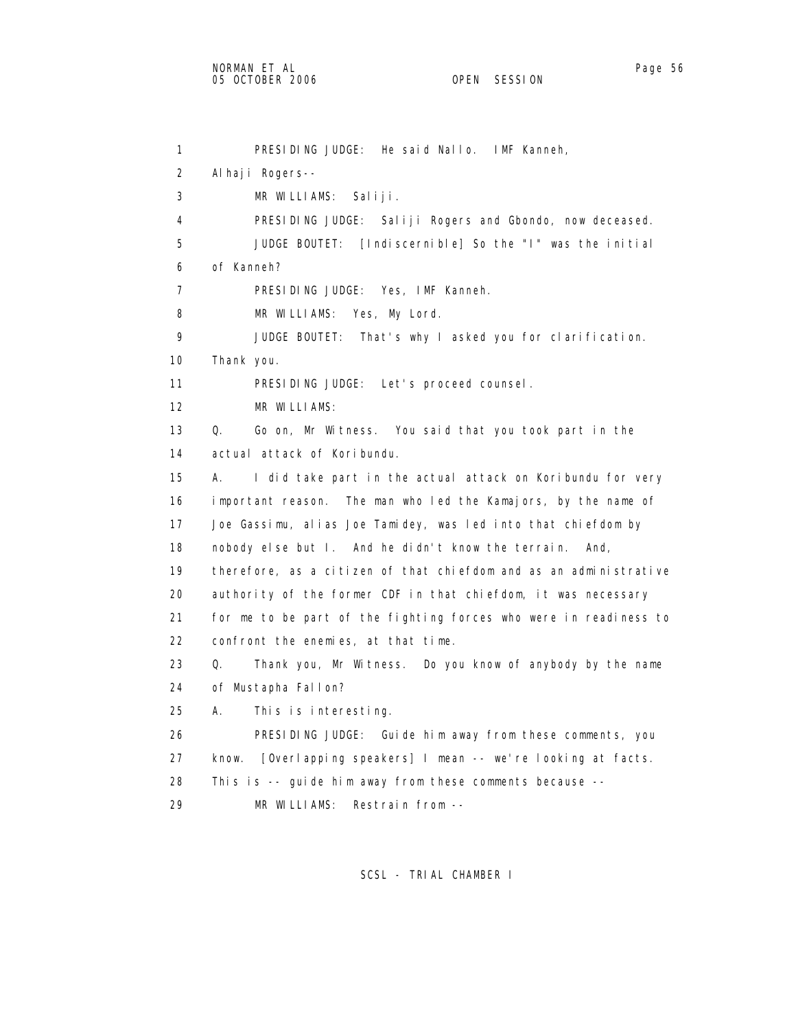1 PRESIDING JUDGE: He said Nallo. IMF Kanneh, 2 Alhaji Rogers-- 3 MR WILLIAMS: Saliji. 4 PRESIDING JUDGE: Saliji Rogers and Gbondo, now deceased. 5 JUDGE BOUTET: [Indiscernible] So the "I" was the initial 6 of Kanneh? 7 PRESIDING JUDGE: Yes, IMF Kanneh. 8 MR WILLIAMS: Yes, My Lord. 9 JUDGE BOUTET: That's why I asked you for clarification. 10 Thank you. 11 PRESIDING JUDGE: Let's proceed counsel. 12 MR WILLIAMS: 13 Q. Go on, Mr Witness. You said that you took part in the 14 actual attack of Koribundu. 15 A. I did take part in the actual attack on Koribundu for very 16 important reason. The man who led the Kamajors, by the name of 17 Joe Gassimu, alias Joe Tamidey, was led into that chiefdom by 18 nobody else but I. And he didn't know the terrain. And, 19 therefore, as a citizen of that chiefdom and as an administrative 20 authority of the former CDF in that chiefdom, it was necessary 21 for me to be part of the fighting forces who were in readiness to 22 confront the enemies, at that time. 23 Q. Thank you, Mr Witness. Do you know of anybody by the name 24 of Mustapha Fallon? 25 A. This is interesting. 26 PRESIDING JUDGE: Guide him away from these comments, you 27 know. [Overlapping speakers] I mean -- we're looking at facts. 28 This is -- guide him away from these comments because --

29 MR WILLIAMS: Restrain from --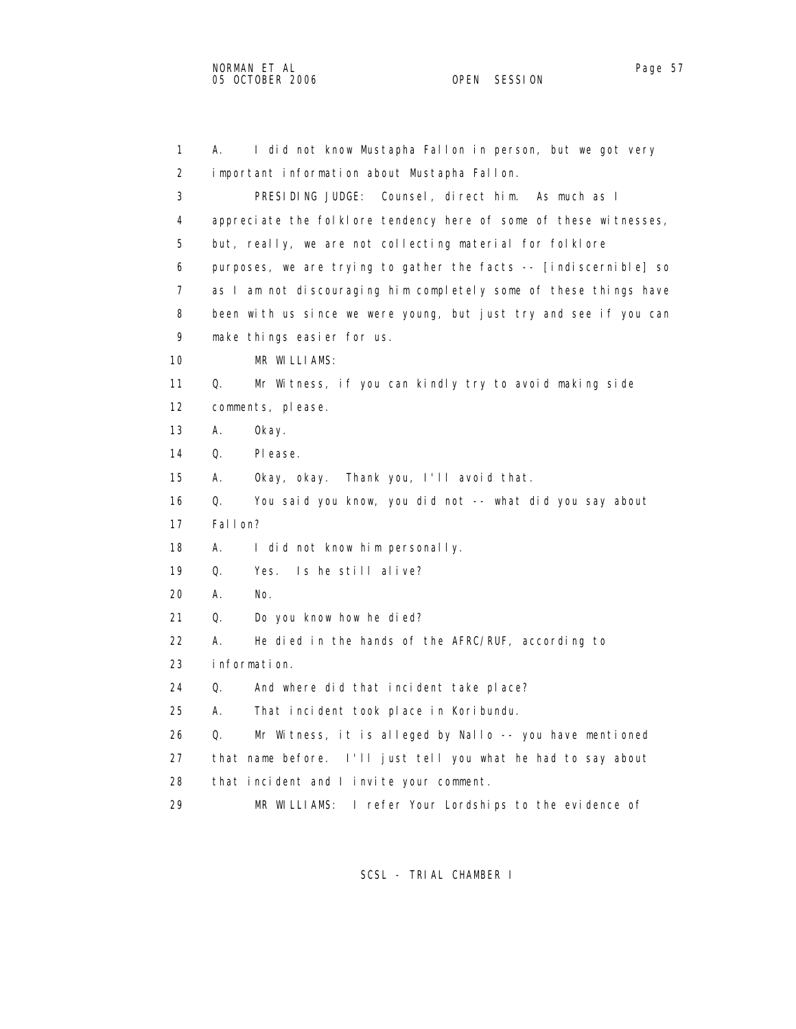1 A. I did not know Mustapha Fallon in person, but we got very 2 important information about Mustapha Fallon. 3 PRESIDING JUDGE: Counsel, direct him. As much as I 4 appreciate the folklore tendency here of some of these witnesses, 5 but, really, we are not collecting material for folklore 6 purposes, we are trying to gather the facts -- [indiscernible] so 7 as I am not discouraging him completely some of these things have 8 been with us since we were young, but just try and see if you can 9 make things easier for us. 10 MR WILLIAMS: 11 Q. Mr Witness, if you can kindly try to avoid making side 12 comments, please. 13 A. Okay. 14 Q. Please. 15 A. Okay, okay. Thank you, I'll avoid that. 16 Q. You said you know, you did not -- what did you say about 17 Fallon? 18 A. I did not know him personally. 19 Q. Yes. Is he still alive? 20 A. No. 21 Q. Do you know how he died? 22 A. He died in the hands of the AFRC/RUF, according to 23 information. 24 Q. And where did that incident take place? 25 A. That incident took place in Koribundu. 26 Q. Mr Witness, it is alleged by Nallo -- you have mentioned 27 that name before. I'll just tell you what he had to say about 28 that incident and I invite your comment. 29 MR WILLIAMS: I refer Your Lordships to the evidence of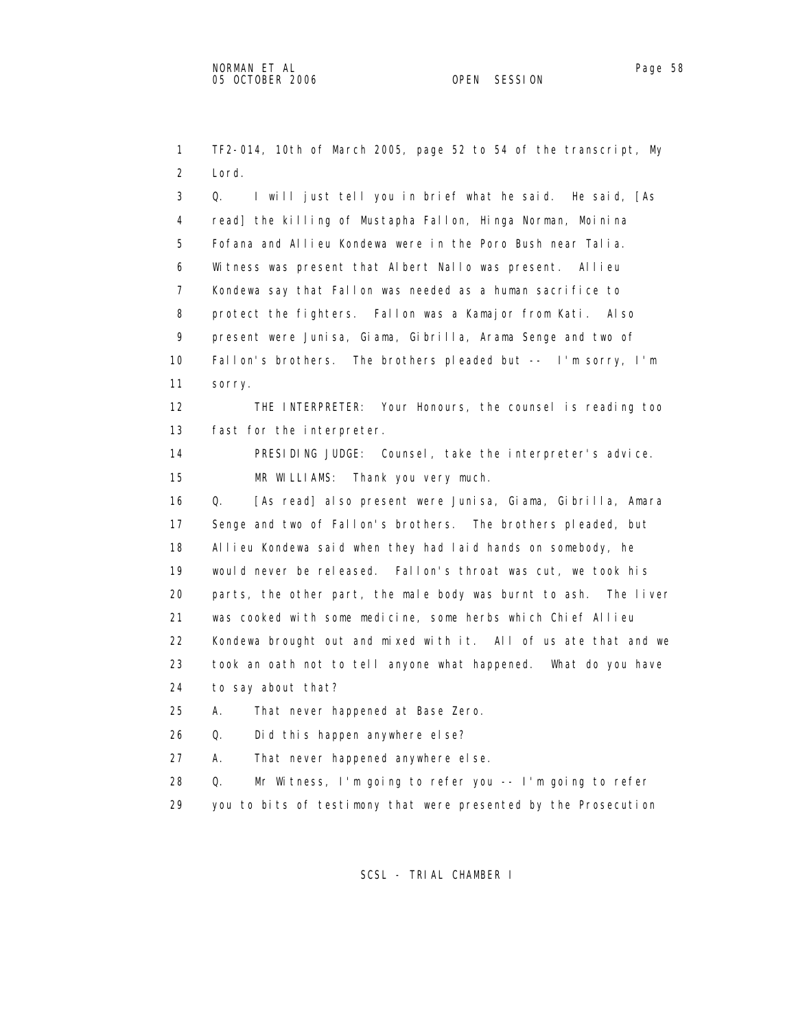1 TF2-014, 10th of March 2005, page 52 to 54 of the transcript, My 2 Lord. 3 Q. I will just tell you in brief what he said. He said, [As 4 read] the killing of Mustapha Fallon, Hinga Norman, Moinina 5 Fofana and Allieu Kondewa were in the Poro Bush near Talia. 6 Witness was present that Albert Nallo was present. Allieu 7 Kondewa say that Fallon was needed as a human sacrifice to 8 protect the fighters. Fallon was a Kamajor from Kati. Also 9 present were Junisa, Giama, Gibrilla, Arama Senge and two of 10 Fallon's brothers. The brothers pleaded but -- I'm sorry, I'm 11 sorry. 12 THE INTERPRETER: Your Honours, the counsel is reading too 13 fast for the interpreter. 14 PRESIDING JUDGE: Counsel, take the interpreter's advice. 15 MR WILLIAMS: Thank you very much. 16 Q. [As read] also present were Junisa, Giama, Gibrilla, Amara 17 Senge and two of Fallon's brothers. The brothers pleaded, but 18 Allieu Kondewa said when they had laid hands on somebody, he 19 would never be released. Fallon's throat was cut, we took his 20 parts, the other part, the male body was burnt to ash. The liver 21 was cooked with some medicine, some herbs which Chief Allieu 22 Kondewa brought out and mixed with it. All of us ate that and we 23 took an oath not to tell anyone what happened. What do you have 24 to say about that? 25 A. That never happened at Base Zero. 26 Q. Did this happen anywhere else? 27 A. That never happened anywhere else. 28 Q. Mr Witness, I'm going to refer you -- I'm going to refer 29 you to bits of testimony that were presented by the Prosecution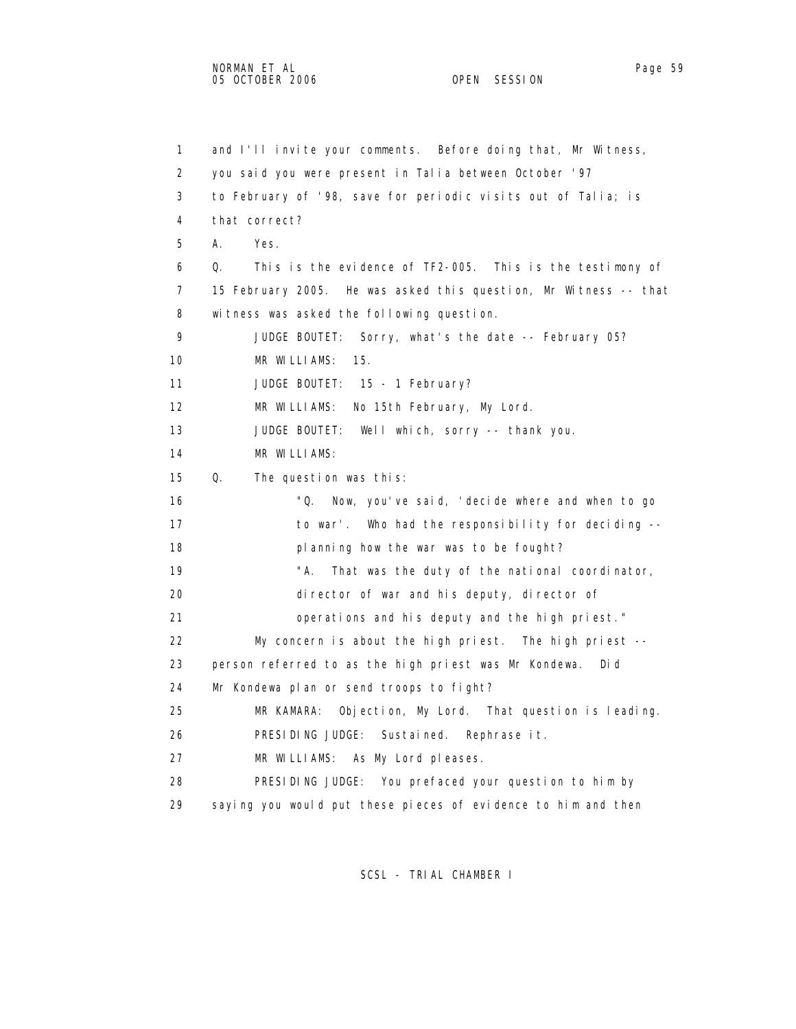1 and I'll invite your comments. Before doing that, Mr Witness, 2 you said you were present in Talia between October '97 3 to February of '98, save for periodic visits out of Talia; is 4 that correct? 5 A. Yes. 6 Q. This is the evidence of TF2-005. This is the testimony of 7 15 February 2005. He was asked this question, Mr Witness -- that 8 witness was asked the following question. 9 JUDGE BOUTET: Sorry, what's the date -- February 05? 10 MR WILLIAMS: 15. 11 JUDGE BOUTET: 15 - 1 February? 12 MR WILLIAMS: No 15th February, My Lord. 13 JUDGE BOUTET: Well which, sorry -- thank you. 14 MR WILLIAMS: 15 Q. The question was this: 16 "Q. Now, you've said, 'decide where and when to go 17 to war'. Who had the responsibility for deciding -- 18 planning how the war was to be fought? 19 That was the duty of the national coordinator, 20 director of war and his deputy, director of 21 operations and his deputy and the high priest." 22 My concern is about the high priest. The high priest -- 23 person referred to as the high priest was Mr Kondewa. Did 24 Mr Kondewa plan or send troops to fight? 25 MR KAMARA: Objection, My Lord. That question is leading. 26 PRESIDING JUDGE: Sustained. Rephrase it. 27 MR WILLIAMS: As My Lord pleases. 28 PRESIDING JUDGE: You prefaced your question to him by 29 saying you would put these pieces of evidence to him and then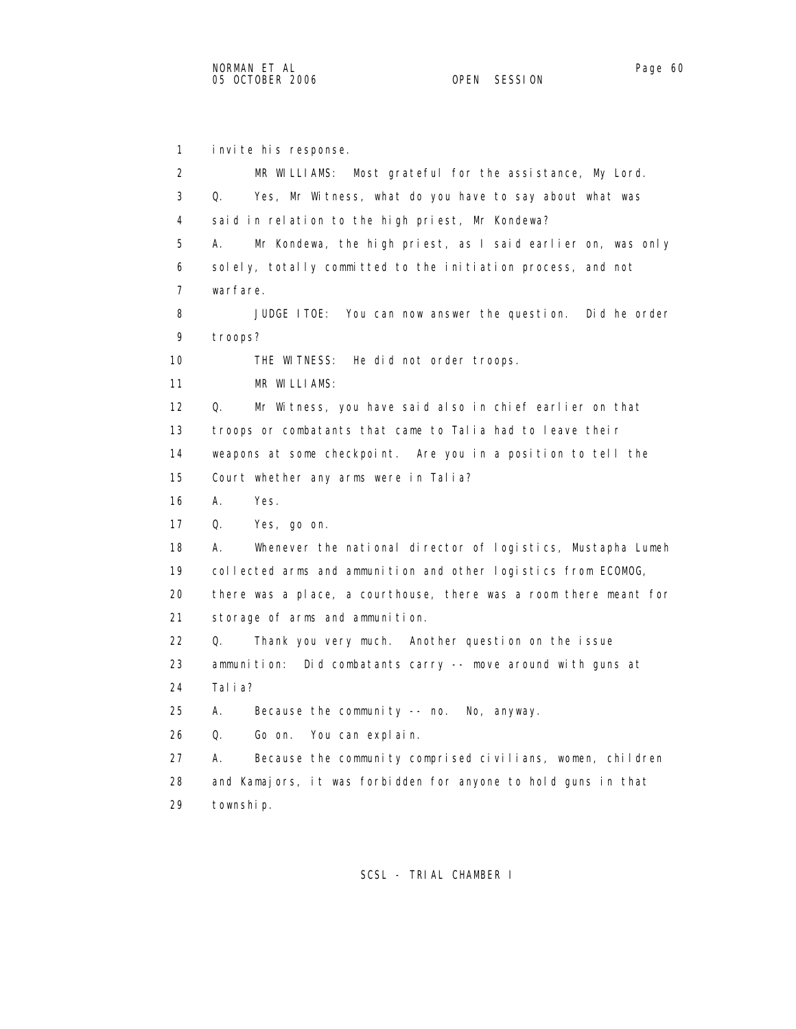1 invite his response. 2 MR WILLIAMS: Most grateful for the assistance, My Lord. 3 Q. Yes, Mr Witness, what do you have to say about what was 4 said in relation to the high priest, Mr Kondewa? 5 A. Mr Kondewa, the high priest, as I said earlier on, was only 6 solely, totally committed to the initiation process, and not 7 warfare. 8 JUDGE ITOE: You can now answer the question. Did he order 9 troops? 10 THE WITNESS: He did not order troops. 11 MR WILLIAMS: 12 Q. Mr Witness, you have said also in chief earlier on that 13 troops or combatants that came to Talia had to leave their 14 weapons at some checkpoint. Are you in a position to tell the 15 Court whether any arms were in Talia? 16 A. Yes. 17 Q. Yes, go on. 18 A. Whenever the national director of logistics, Mustapha Lumeh 19 collected arms and ammunition and other logistics from ECOMOG, 20 there was a place, a courthouse, there was a room there meant for 21 storage of arms and ammunition. 22 Q. Thank you very much. Another question on the issue 23 ammunition: Did combatants carry -- move around with guns at 24 Talia? 25 A. Because the community -- no. No, anyway. 26 Q. Go on. You can explain. 27 A. Because the community comprised civilians, women, children 28 and Kamajors, it was forbidden for anyone to hold guns in that 29 township.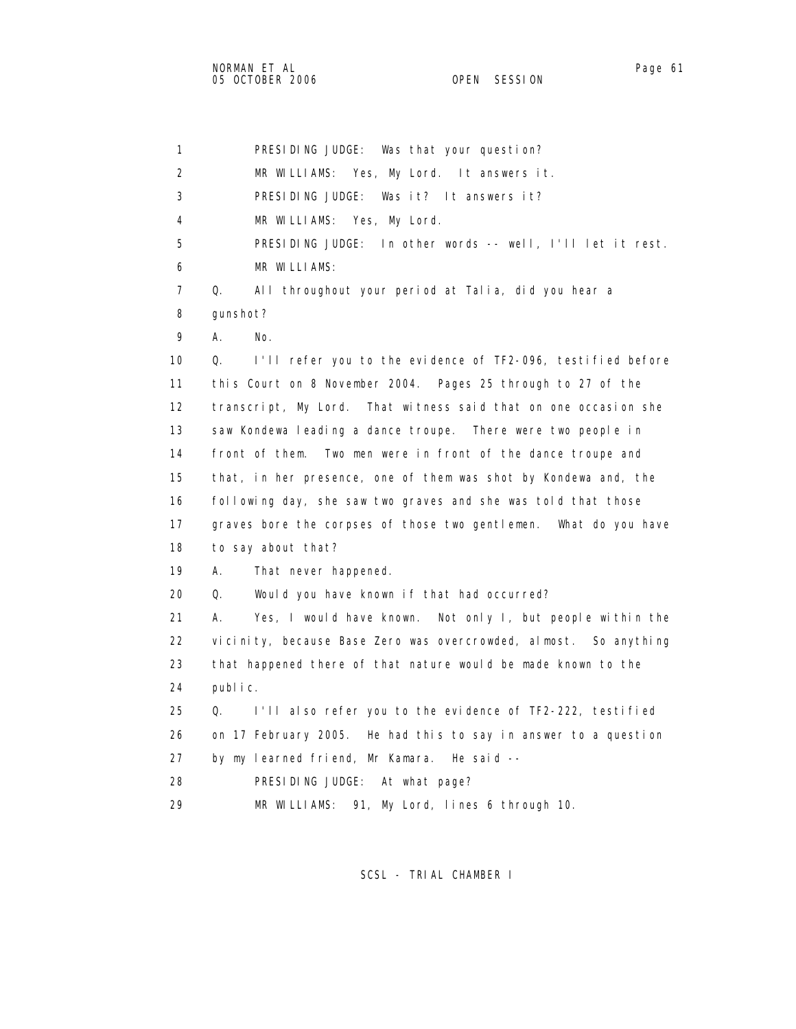1 PRESIDING JUDGE: Was that your question? 2 MR WILLIAMS: Yes, My Lord. It answers it. 3 PRESIDING JUDGE: Was it? It answers it? 4 MR WILLIAMS: Yes, My Lord. 5 PRESIDING JUDGE: In other words -- well, I'll let it rest. 6 MR WILLIAMS: 7 Q. All throughout your period at Talia, did you hear a 8 gunshot? 9 A. No. 10 Q. I'll refer you to the evidence of TF2-096, testified before 11 this Court on 8 November 2004. Pages 25 through to 27 of the 12 transcript, My Lord. That witness said that on one occasion she 13 saw Kondewa leading a dance troupe. There were two people in 14 front of them. Two men were in front of the dance troupe and 15 that, in her presence, one of them was shot by Kondewa and, the 16 following day, she saw two graves and she was told that those 17 graves bore the corpses of those two gentlemen. What do you have 18 to say about that? 19 A. That never happened. 20 Q. Would you have known if that had occurred? 21 A. Yes, I would have known. Not only I, but people within the 22 vicinity, because Base Zero was overcrowded, almost. So anything 23 that happened there of that nature would be made known to the 24 public. 25 Q. I'll also refer you to the evidence of TF2-222, testified 26 on 17 February 2005. He had this to say in answer to a question 27 by my learned friend, Mr Kamara. He said -- 28 PRESIDING JUDGE: At what page? 29 MR WILLIAMS: 91, My Lord, lines 6 through 10.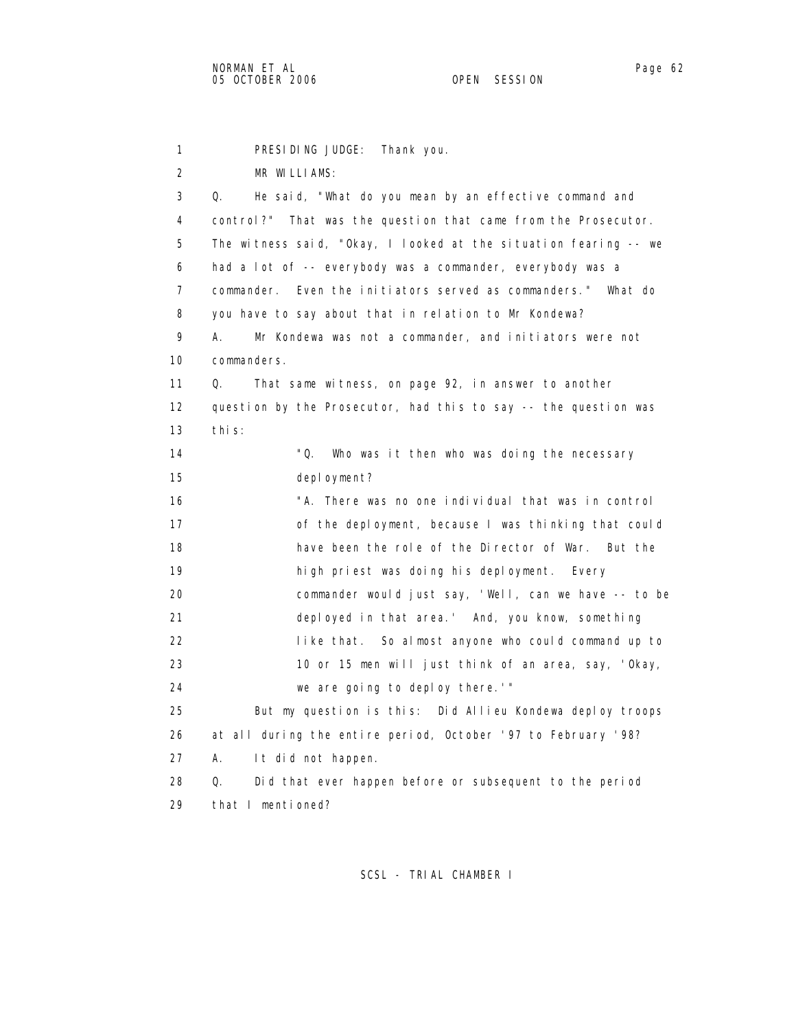1 PRESIDING JUDGE: Thank you. 2 MR WILLIAMS: 3 Q. He said, "What do you mean by an effective command and 4 control?" That was the question that came from the Prosecutor. 5 The witness said, "Okay, I looked at the situation fearing -- we 6 had a lot of -- everybody was a commander, everybody was a 7 commander. Even the initiators served as commanders." What do 8 you have to say about that in relation to Mr Kondewa? 9 A. Mr Kondewa was not a commander, and initiators were not 10 commanders. 11 Q. That same witness, on page 92, in answer to another 12 question by the Prosecutor, had this to say -- the question was 13 this: 14 "Q. Who was it then who was doing the necessary 15 deployment? 16 "A. There was no one individual that was in control 17 of the deployment, because I was thinking that could 18 have been the role of the Director of War. But the 19 high priest was doing his deployment. Every 20 commander would just say, 'Well, can we have -- to be 21 deployed in that area.' And, you know, something 22 like that. So almost anyone who could command up to 23 10 or 15 men will just think of an area, say, 'Okay, 24 we are going to deploy there.'" 25 But my question is this: Did Allieu Kondewa deploy troops 26 at all during the entire period, October '97 to February '98? 27 A. It did not happen. 28 Q. Did that ever happen before or subsequent to the period 29 that I mentioned?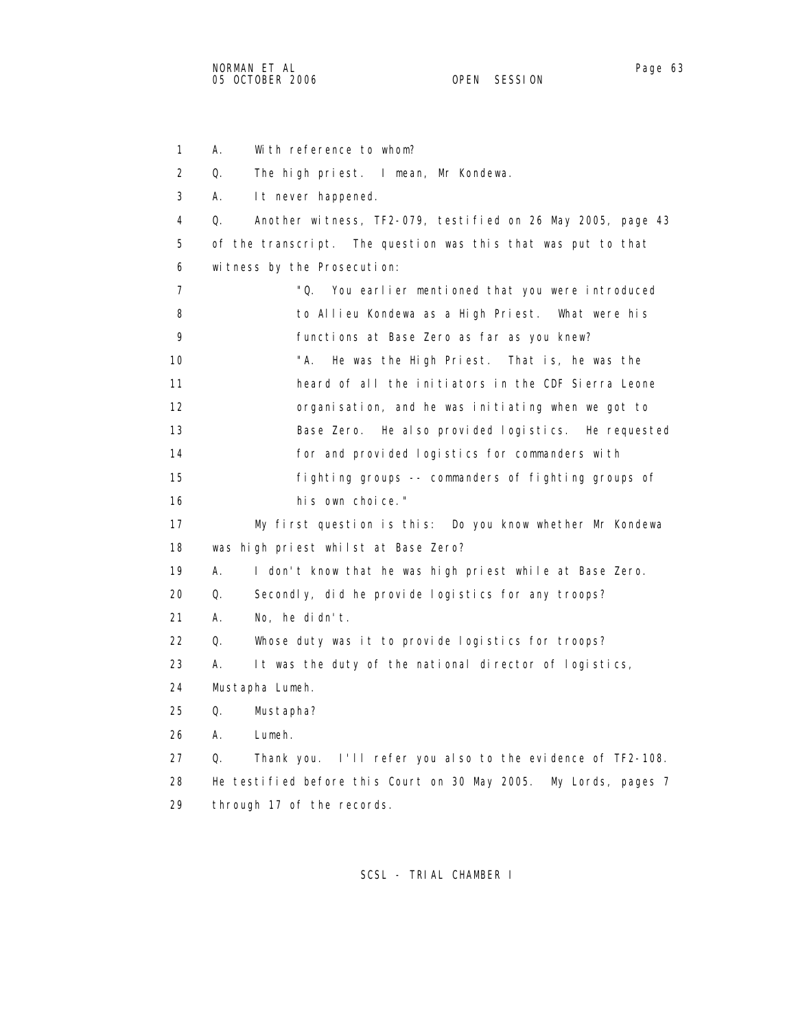1 A. With reference to whom? 2 Q. The high priest. I mean, Mr Kondewa. 3 A. It never happened. 4 Q. Another witness, TF2-079, testified on 26 May 2005, page 43 5 of the transcript. The question was this that was put to that 6 witness by the Prosecution: 7 "Q. You earlier mentioned that you were introduced 8 to Allieu Kondewa as a High Priest. What were his 9 functions at Base Zero as far as you knew? 10 "A. He was the High Priest. That is, he was the 11 heard of all the initiators in the CDF Sierra Leone 12 organisation, and he was initiating when we got to 13 Base Zero. He also provided logistics. He requested 14 for and provided logistics for commanders with 15 fighting groups -- commanders of fighting groups of 16 his own choice." 17 My first question is this: Do you know whether Mr Kondewa 18 was high priest whilst at Base Zero? 19 A. I don't know that he was high priest while at Base Zero. 20 Q. Secondly, did he provide logistics for any troops? 21 A. No, he didn't. 22 Q. Whose duty was it to provide logistics for troops? 23 A. It was the duty of the national director of logistics, 24 Mustapha Lumeh. 25 Q. Mustapha? 26 A. Lumeh. 27 Q. Thank you. I'll refer you also to the evidence of TF2-108. 28 He testified before this Court on 30 May 2005. My Lords, pages 7 29 through 17 of the records.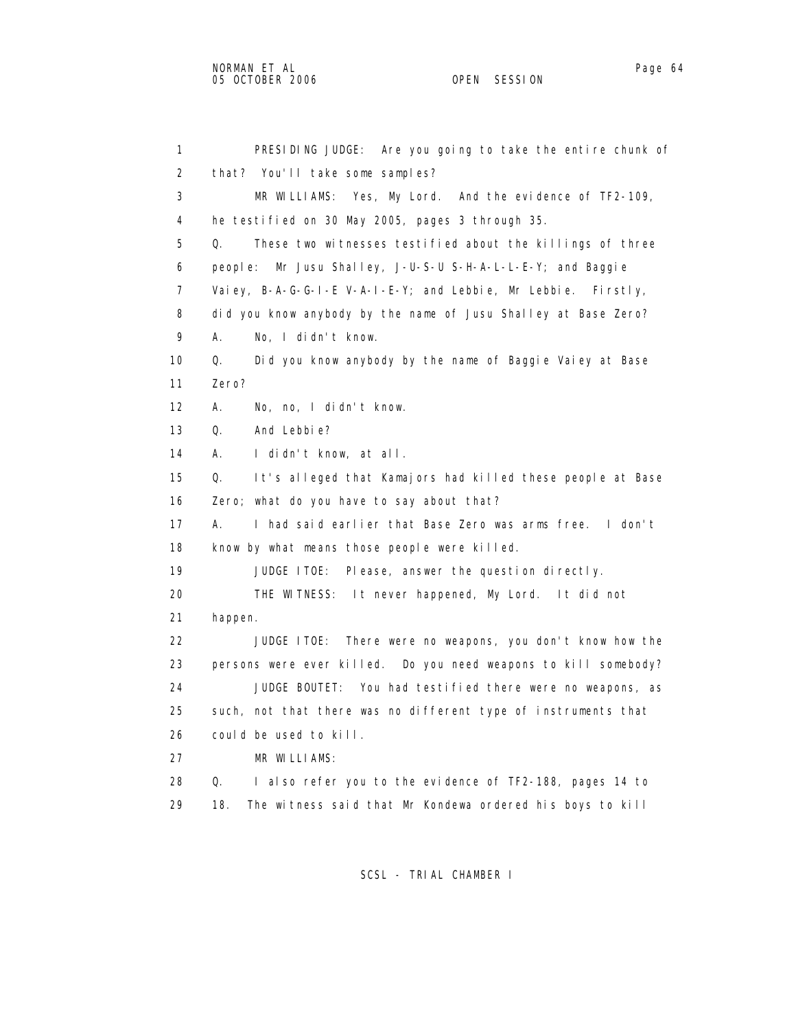1 PRESIDING JUDGE: Are you going to take the entire chunk of 2 that? You'll take some samples? 3 MR WILLIAMS: Yes, My Lord. And the evidence of TF2-109, 4 he testified on 30 May 2005, pages 3 through 35. 5 Q. These two witnesses testified about the killings of three 6 people: Mr Jusu Shalley, J-U-S-U S-H-A-L-L-E-Y; and Baggie 7 Vaiey, B-A-G-G-I-E V-A-I-E-Y; and Lebbie, Mr Lebbie. Firstly, 8 did you know anybody by the name of Jusu Shalley at Base Zero? 9 A. No, I didn't know. 10 Q. Did you know anybody by the name of Baggie Vaiey at Base 11 Zero? 12 A. No, no, I didn't know. 13 Q. And Lebbie? 14 A. I didn't know, at all. 15 Q. It's alleged that Kamajors had killed these people at Base 16 Zero; what do you have to say about that? 17 A. I had said earlier that Base Zero was arms free. I don't 18 know by what means those people were killed. 19 JUDGE ITOE: Please, answer the question directly. 20 THE WITNESS: It never happened, My Lord. It did not 21 happen. 22 JUDGE ITOE: There were no weapons, you don't know how the 23 persons were ever killed. Do you need weapons to kill somebody? 24 JUDGE BOUTET: You had testified there were no weapons, as 25 such, not that there was no different type of instruments that 26 could be used to kill. 27 MR WILLIAMS: 28 Q. I also refer you to the evidence of TF2-188, pages 14 to 29 18. The witness said that Mr Kondewa ordered his boys to kill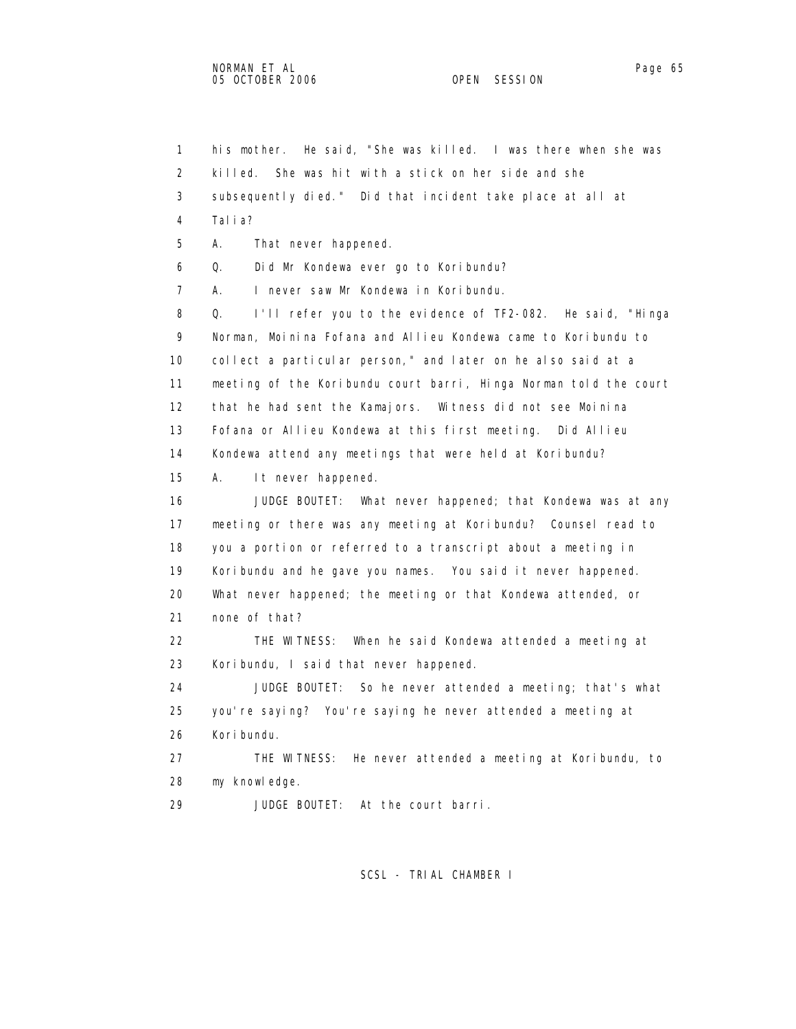1 his mother. He said, "She was killed. I was there when she was 2 killed. She was hit with a stick on her side and she 3 subsequently died." Did that incident take place at all at 4 Talia? 5 A. That never happened. 6 Q. Did Mr Kondewa ever go to Koribundu? 7 A. I never saw Mr Kondewa in Koribundu. 8 Q. I'll refer you to the evidence of TF2-082. He said, "Hinga 9 Norman, Moinina Fofana and Allieu Kondewa came to Koribundu to 10 collect a particular person," and later on he also said at a 11 meeting of the Koribundu court barri, Hinga Norman told the court 12 that he had sent the Kamajors. Witness did not see Moinina 13 Fofana or Allieu Kondewa at this first meeting. Did Allieu 14 Kondewa attend any meetings that were held at Koribundu? 15 A. It never happened. 16 JUDGE BOUTET: What never happened; that Kondewa was at any 17 meeting or there was any meeting at Koribundu? Counsel read to 18 you a portion or referred to a transcript about a meeting in 19 Koribundu and he gave you names. You said it never happened. 20 What never happened; the meeting or that Kondewa attended, or 21 none of that? 22 THE WITNESS: When he said Kondewa attended a meeting at 23 Koribundu, I said that never happened. 24 JUDGE BOUTET: So he never attended a meeting; that's what 25 you're saying? You're saying he never attended a meeting at 26 Koribundu. 27 THE WITNESS: He never attended a meeting at Koribundu, to 28 my knowledge. 29 JUDGE BOUTET: At the court barri.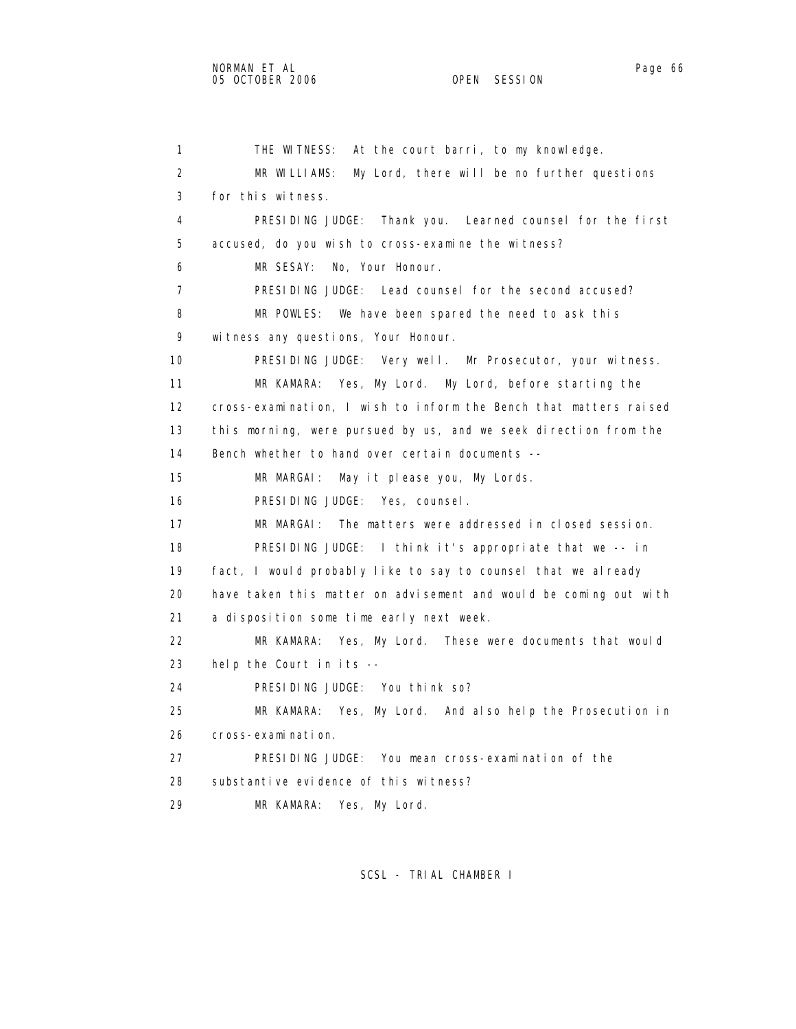```
1 THE WITNESS: At the court barri, to my knowledge.
2 MR WILLIAMS: My Lord, there will be no further questions 
3 for this witness. 
4 PRESIDING JUDGE: Thank you. Learned counsel for the first 
5 accused, do you wish to cross-examine the witness? 
6 MR SESAY: No, Your Honour. 
7 PRESIDING JUDGE: Lead counsel for the second accused? 
8 MR POWLES: We have been spared the need to ask this 
9 witness any questions, Your Honour. 
10 PRESIDING JUDGE: Very well. Mr Prosecutor, your witness. 
11 MR KAMARA: Yes, My Lord. My Lord, before starting the 
12 cross-examination, I wish to inform the Bench that matters raised 
13 this morning, were pursued by us, and we seek direction from the 
14 Bench whether to hand over certain documents -- 
15 MR MARGAI: May it please you, My Lords. 
16 PRESIDING JUDGE: Yes, counsel. 
17 MR MARGAI: The matters were addressed in closed session. 
18 PRESIDING JUDGE: I think it's appropriate that we -- in 
19 fact, I would probably like to say to counsel that we already 
20 have taken this matter on advisement and would be coming out with 
21 a disposition some time early next week. 
22 MR KAMARA: Yes, My Lord. These were documents that would 
23 help the Court in its -- 
24 PRESIDING JUDGE: You think so? 
25 MR KAMARA: Yes, My Lord. And also help the Prosecution in 
26 cross-examination. 
27 PRESIDING JUDGE: You mean cross-examination of the 
28 substantive evidence of this witness? 
29 MR KAMARA: Yes, My Lord.
```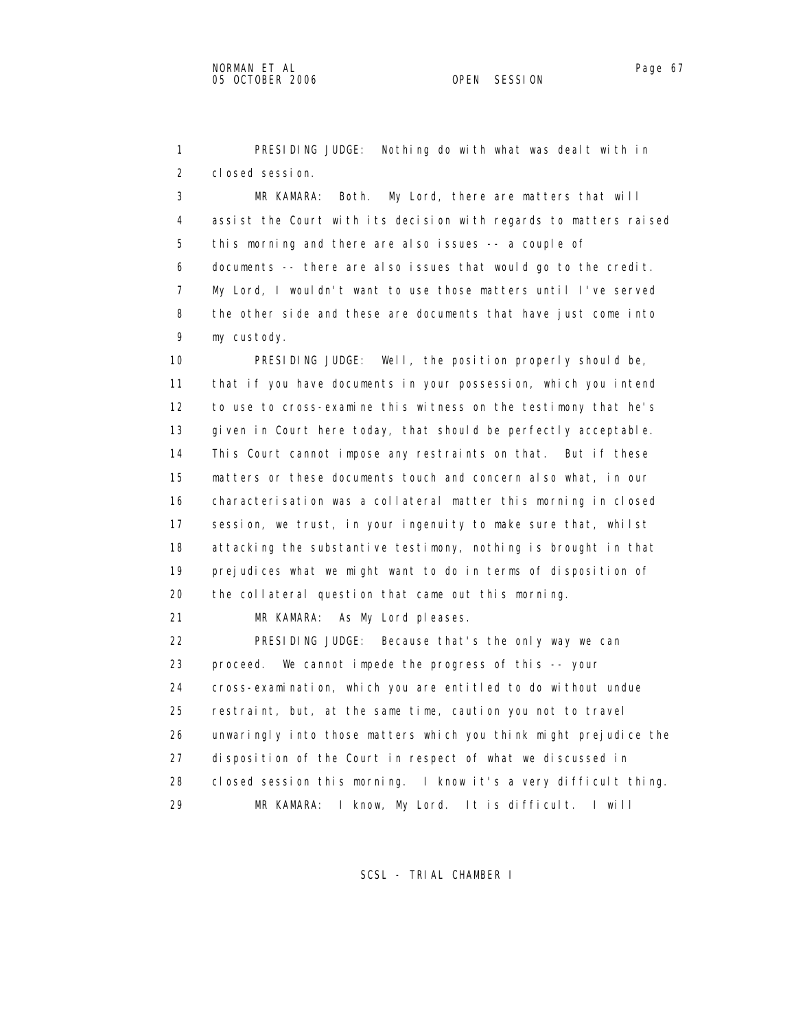1 PRESIDING JUDGE: Nothing do with what was dealt with in 2 closed session.

 3 MR KAMARA: Both. My Lord, there are matters that will 4 assist the Court with its decision with regards to matters raised 5 this morning and there are also issues -- a couple of 6 documents -- there are also issues that would go to the credit. 7 My Lord, I wouldn't want to use those matters until I've served 8 the other side and these are documents that have just come into 9 my custody.

 10 PRESIDING JUDGE: Well, the position properly should be, 11 that if you have documents in your possession, which you intend 12 to use to cross-examine this witness on the testimony that he's 13 given in Court here today, that should be perfectly acceptable. 14 This Court cannot impose any restraints on that. But if these 15 matters or these documents touch and concern also what, in our 16 characterisation was a collateral matter this morning in closed 17 session, we trust, in your ingenuity to make sure that, whilst 18 attacking the substantive testimony, nothing is brought in that 19 prejudices what we might want to do in terms of disposition of 20 the collateral question that came out this morning.

21 MR KAMARA: As My Lord pleases.

 22 PRESIDING JUDGE: Because that's the only way we can 23 proceed. We cannot impede the progress of this -- your 24 cross-examination, which you are entitled to do without undue 25 restraint, but, at the same time, caution you not to travel 26 unwaringly into those matters which you think might prejudice the 27 disposition of the Court in respect of what we discussed in 28 closed session this morning. I know it's a very difficult thing. 29 MR KAMARA: I know, My Lord. It is difficult. I will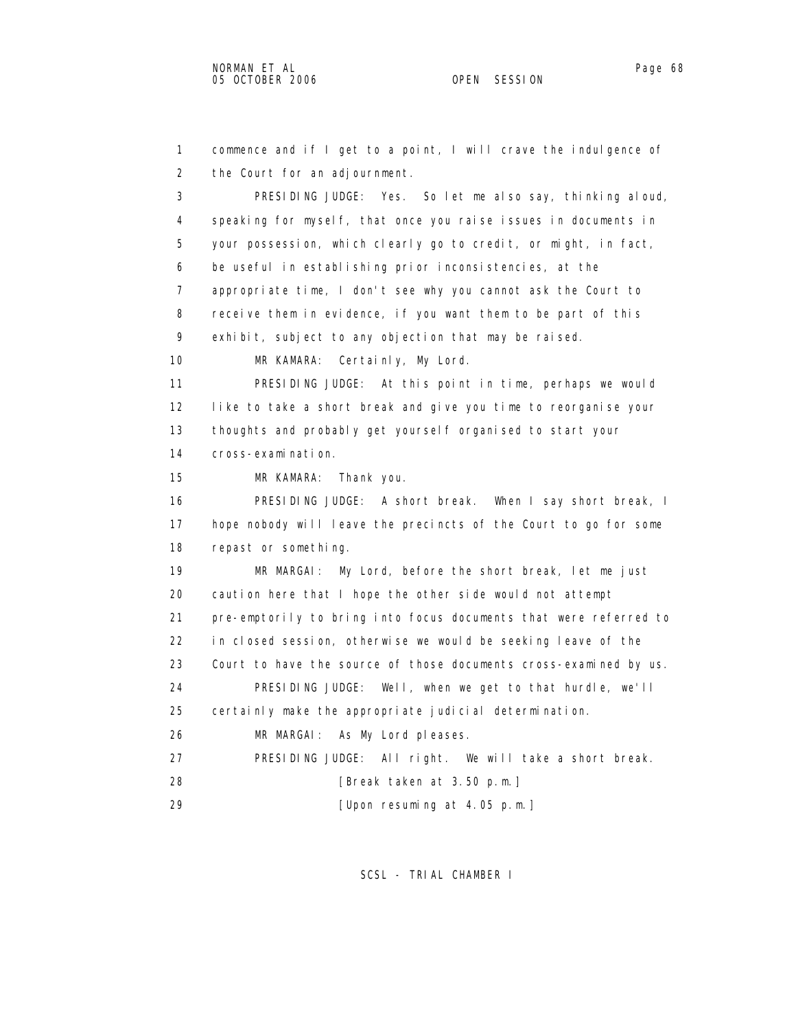```
 1 commence and if I get to a point, I will crave the indulgence of 
2 the Court for an adjournment. 
3 PRESIDING JUDGE: Yes. So let me also say, thinking aloud, 
4 speaking for myself, that once you raise issues in documents in 
5 your possession, which clearly go to credit, or might, in fact, 
6 be useful in establishing prior inconsistencies, at the 
7 appropriate time, I don't see why you cannot ask the Court to 
8 receive them in evidence, if you want them to be part of this 
9 exhibit, subject to any objection that may be raised. 
10 MR KAMARA: Certainly, My Lord. 
11 PRESIDING JUDGE: At this point in time, perhaps we would 
12 like to take a short break and give you time to reorganise your 
13 thoughts and probably get yourself organised to start your 
14 cross-examination. 
15 MR KAMARA: Thank you. 
16 PRESIDING JUDGE: A short break. When I say short break, I 
17 hope nobody will leave the precincts of the Court to go for some 
18 repast or something. 
19 MR MARGAI: My Lord, before the short break, let me just 
20 caution here that I hope the other side would not attempt 
21 pre-emptorily to bring into focus documents that were referred to 
22 in closed session, otherwise we would be seeking leave of the 
23 Court to have the source of those documents cross-examined by us. 
24 PRESIDING JUDGE: Well, when we get to that hurdle, we'll 
25 certainly make the appropriate judicial determination. 
26 MR MARGAI: As My Lord pleases. 
27 PRESIDING JUDGE: All right. We will take a short break. 
28 [Break taken at 3.50 p.m.] 
29 [Upon resuming at 4.05 p.m.]
```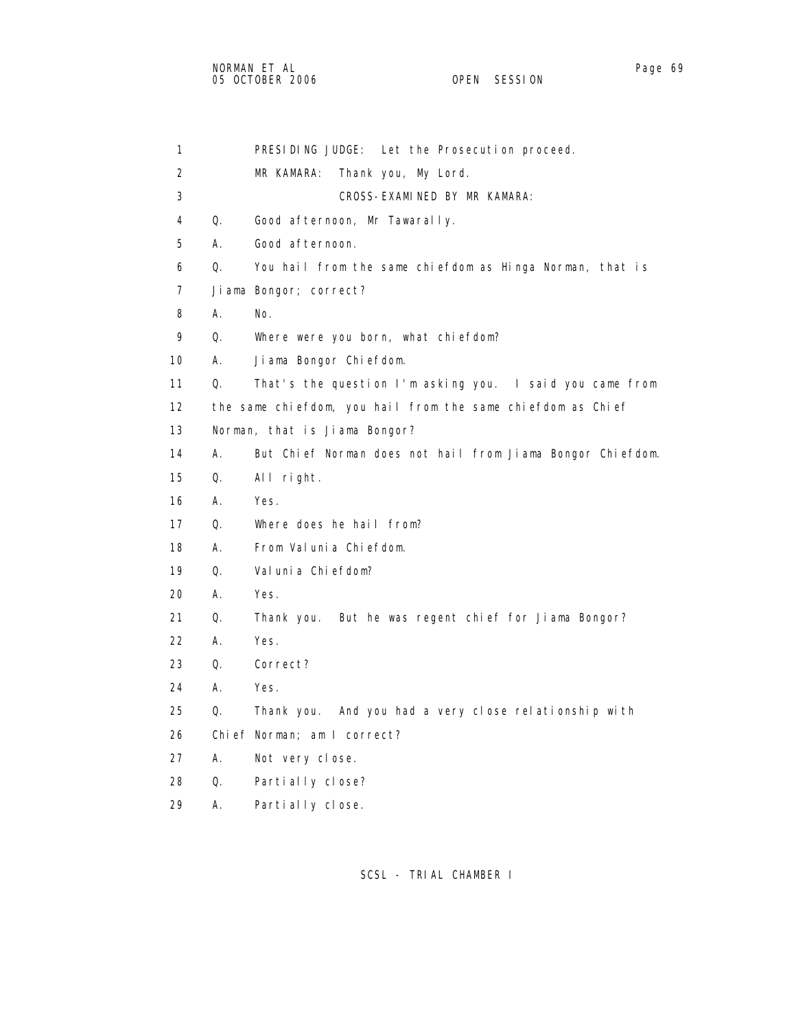1 PRESIDING JUDGE: Let the Prosecution proceed. 2 MR KAMARA: Thank you, My Lord. 3 CROSS-EXAMINED BY MR KAMARA: 4 Q. Good afternoon, Mr Tawarally. 5 A. Good afternoon. 6 Q. You hail from the same chiefdom as Hinga Norman, that is 7 Jiama Bongor; correct? 8 A. No. 9 Q. Where were you born, what chiefdom? 10 A. Jiama Bongor Chiefdom. 11 Q. That's the question I'm asking you. I said you came from 12 the same chiefdom, you hail from the same chiefdom as Chief 13 Norman, that is Jiama Bongor? 14 A. But Chief Norman does not hail from Jiama Bongor Chiefdom. 15 Q. All right. 16 A. Yes. 17 Q. Where does he hail from? 18 A. From Valunia Chiefdom. 19 Q. Valunia Chiefdom? 20 A. Yes. 21 Q. Thank you. But he was regent chief for Jiama Bongor? 22 A. Yes. 23 Q. Correct? 24 A. Yes. 25 Q. Thank you. And you had a very close relationship with 26 Chief Norman; am I correct? 27 A. Not very close. 28 Q. Partially close?

29 A. Partially close.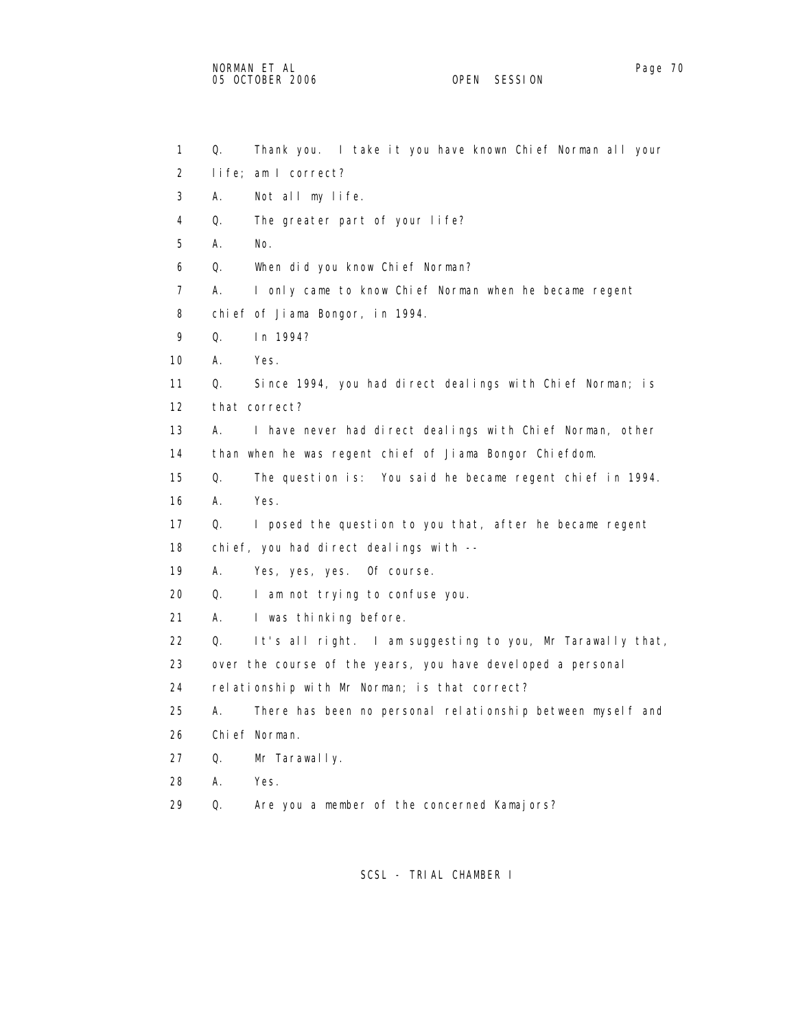2 life; am I correct? 3 A. Not all my life. 4 Q. The greater part of your life? 5 A. No. 6 Q. When did you know Chief Norman? 7 A. I only came to know Chief Norman when he became regent 8 chief of Jiama Bongor, in 1994. 9 Q. In 1994? 10 A. Yes. 11 Q. Since 1994, you had direct dealings with Chief Norman; is 12 that correct? 13 A. I have never had direct dealings with Chief Norman, other 14 than when he was regent chief of Jiama Bongor Chiefdom. 15 Q. The question is: You said he became regent chief in 1994. 16 A. Yes. 17 Q. I posed the question to you that, after he became regent 18 chief, you had direct dealings with -- 19 A. Yes, yes, yes. Of course. 20 Q. I am not trying to confuse you. 21 A. I was thinking before. 22 Q. It's all right. I am suggesting to you, Mr Tarawally that, 23 over the course of the years, you have developed a personal 24 relationship with Mr Norman; is that correct? 25 A. There has been no personal relationship between myself and 26 Chief Norman. 27 Q. Mr Tarawally. 28 A. Yes. 29 Q. Are you a member of the concerned Kamajors?

1 Q. Thank you. I take it you have known Chief Norman all your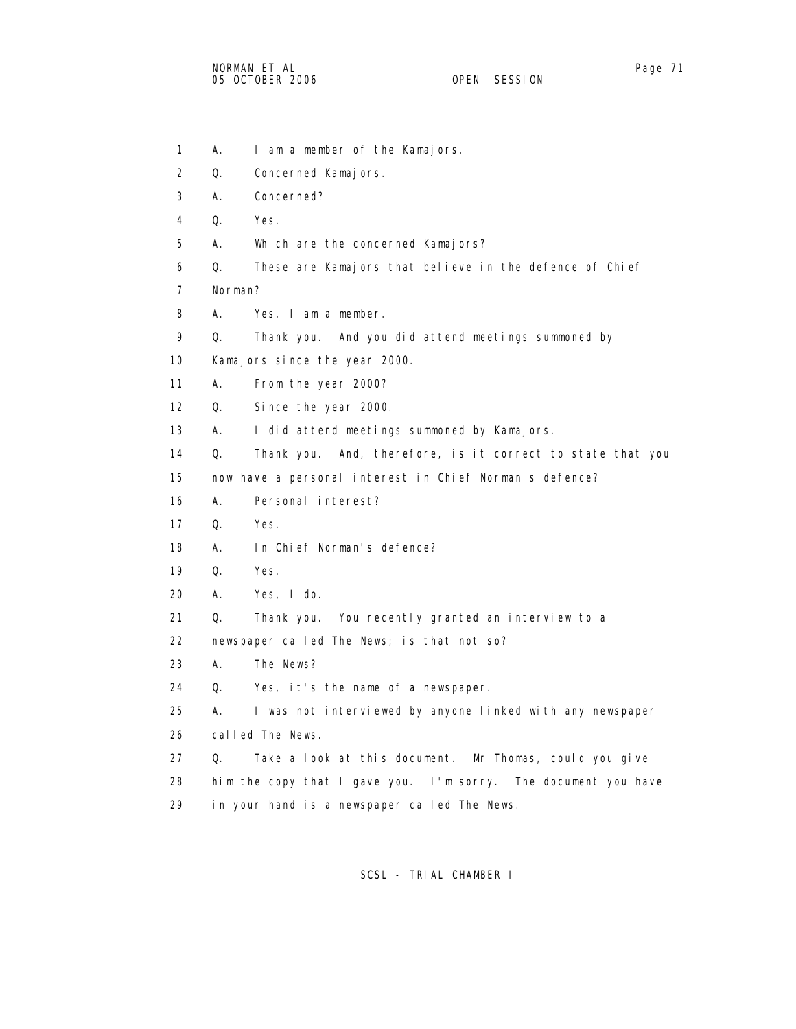- 1 A. I am a member of the Kamajors.
- 2 Q. Concerned Kamajors.
- 3 A. Concerned?
- 4 Q. Yes.
- 5 A. Which are the concerned Kamajors?
- 6 Q. These are Kamajors that believe in the defence of Chief
- 7 Norman?
- 8 A. Yes, I am a member.
- 9 Q. Thank you. And you did attend meetings summoned by
- 10 Kamajors since the year 2000.
- 11 A. From the year 2000?
- 12 Q. Since the year 2000.
- 13 A. I did attend meetings summoned by Kamajors.
- 14 Q. Thank you. And, therefore, is it correct to state that you

15 now have a personal interest in Chief Norman's defence?

- 16 A. Personal interest?
- 17 Q. Yes.
- 18 A. In Chief Norman's defence?
- 19 Q. Yes.
- 20 A. Yes, I do.
- 21 Q. Thank you. You recently granted an interview to a
- 22 newspaper called The News; is that not so?
- 23 A. The News?
- 24 Q. Yes, it's the name of a newspaper.
- 25 A. I was not interviewed by anyone linked with any newspaper
- 26 called The News.
- 27 Q. Take a look at this document. Mr Thomas, could you give
- 28 him the copy that I gave you. I'm sorry. The document you have
- 29 in your hand is a newspaper called The News.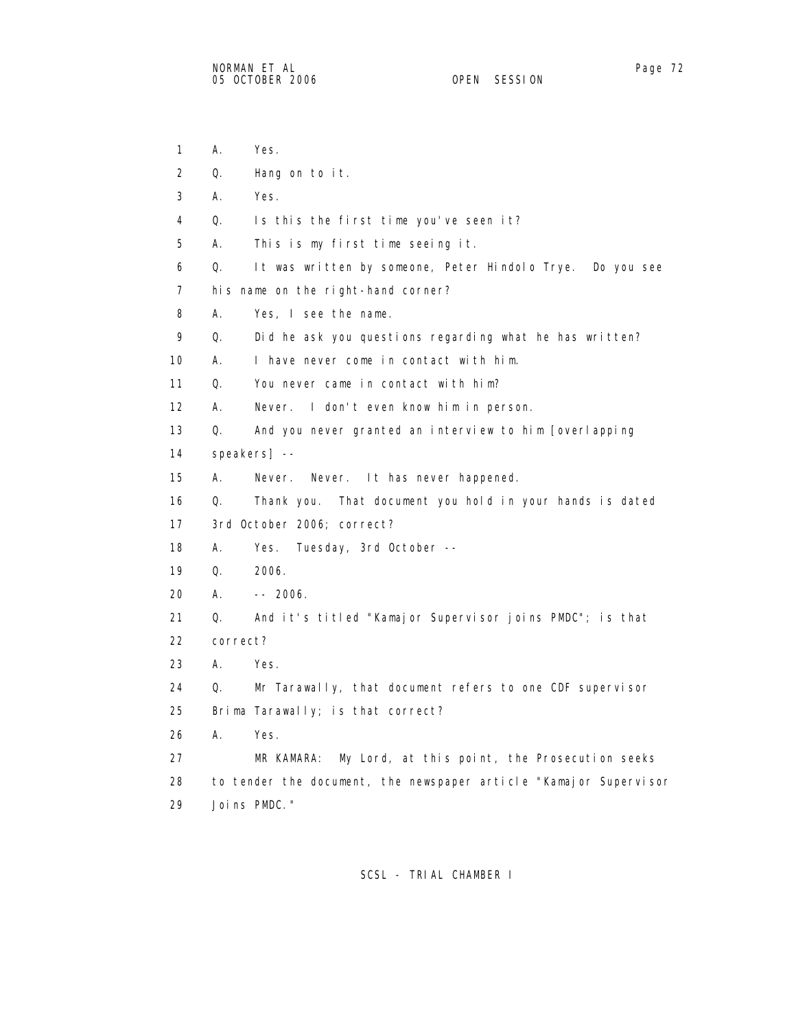1 A. Yes. 2 Q. Hang on to it. 3 A. Yes. 4 Q. Is this the first time you've seen it? 5 A. This is my first time seeing it. 6 Q. It was written by someone, Peter Hindolo Trye. Do you see 7 his name on the right-hand corner? 8 A. Yes, I see the name. 9 Q. Did he ask you questions regarding what he has written? 10 A. I have never come in contact with him. 11 Q. You never came in contact with him? 12 A. Never. I don't even know him in person. 13 Q. And you never granted an interview to him [overlapping 14 speakers] -- 15 A. Never. Never. It has never happened. 16 Q. Thank you. That document you hold in your hands is dated 17 3rd October 2006; correct? 18 A. Yes. Tuesday, 3rd October -- 19 Q. 2006. 20 A. -- 2006. 21 Q. And it's titled "Kamajor Supervisor joins PMDC"; is that 22 correct? 23 A. Yes. 24 Q. Mr Tarawally, that document refers to one CDF supervisor 25 Brima Tarawally; is that correct? 26 A. Yes. 27 MR KAMARA: My Lord, at this point, the Prosecution seeks 28 to tender the document, the newspaper article "Kamajor Supervisor 29 Joins PMDC."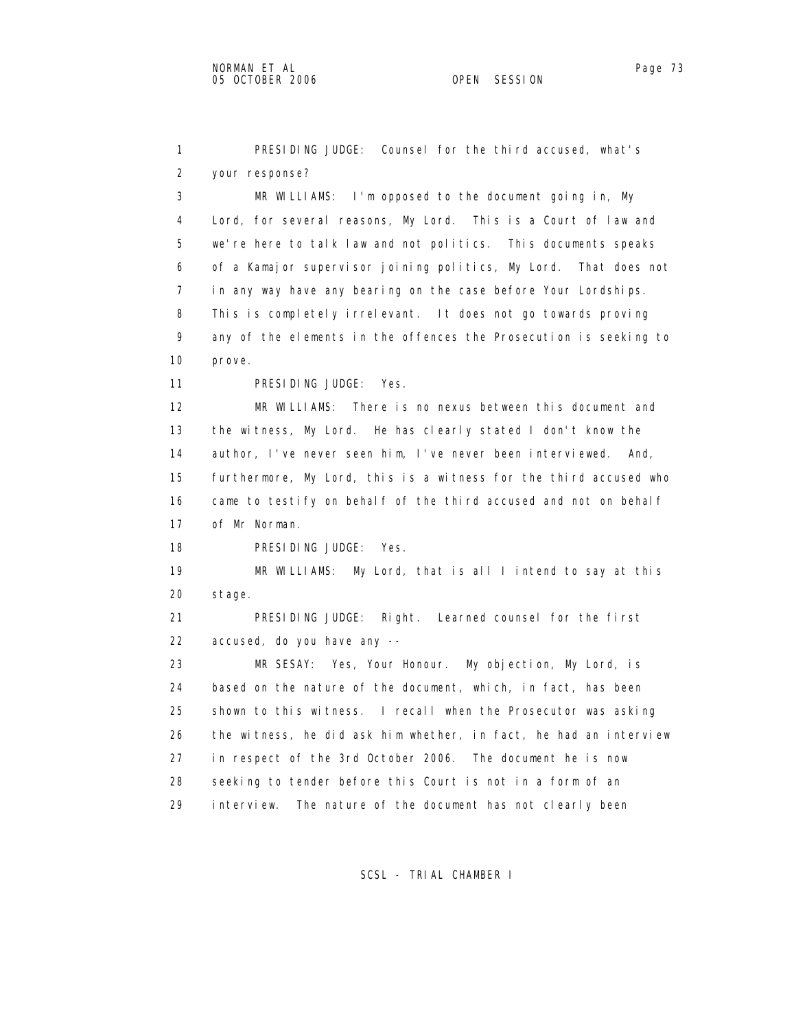1 PRESIDING JUDGE: Counsel for the third accused, what's 2 your response? 3 MR WILLIAMS: I'm opposed to the document going in, My 4 Lord, for several reasons, My Lord. This is a Court of law and 5 we're here to talk law and not politics. This documents speaks 6 of a Kamajor supervisor joining politics, My Lord. That does not 7 in any way have any bearing on the case before Your Lordships. 8 This is completely irrelevant. It does not go towards proving 9 any of the elements in the offences the Prosecution is seeking to 10 prove. 11 PRESIDING JUDGE: Yes. 12 MR WILLIAMS: There is no nexus between this document and 13 the witness, My Lord. He has clearly stated I don't know the 14 author, I've never seen him, I've never been interviewed. And, 15 furthermore, My Lord, this is a witness for the third accused who 16 came to testify on behalf of the third accused and not on behalf 17 of Mr Norman. 18 PRESIDING JUDGE: Yes. 19 MR WILLIAMS: My Lord, that is all I intend to say at this 20 stage. 21 PRESIDING JUDGE: Right. Learned counsel for the first 22 accused, do you have any -- 23 MR SESAY: Yes, Your Honour. My objection, My Lord, is 24 based on the nature of the document, which, in fact, has been 25 shown to this witness. I recall when the Prosecutor was asking 26 the witness, he did ask him whether, in fact, he had an interview 27 in respect of the 3rd October 2006. The document he is now 28 seeking to tender before this Court is not in a form of an 29 interview. The nature of the document has not clearly been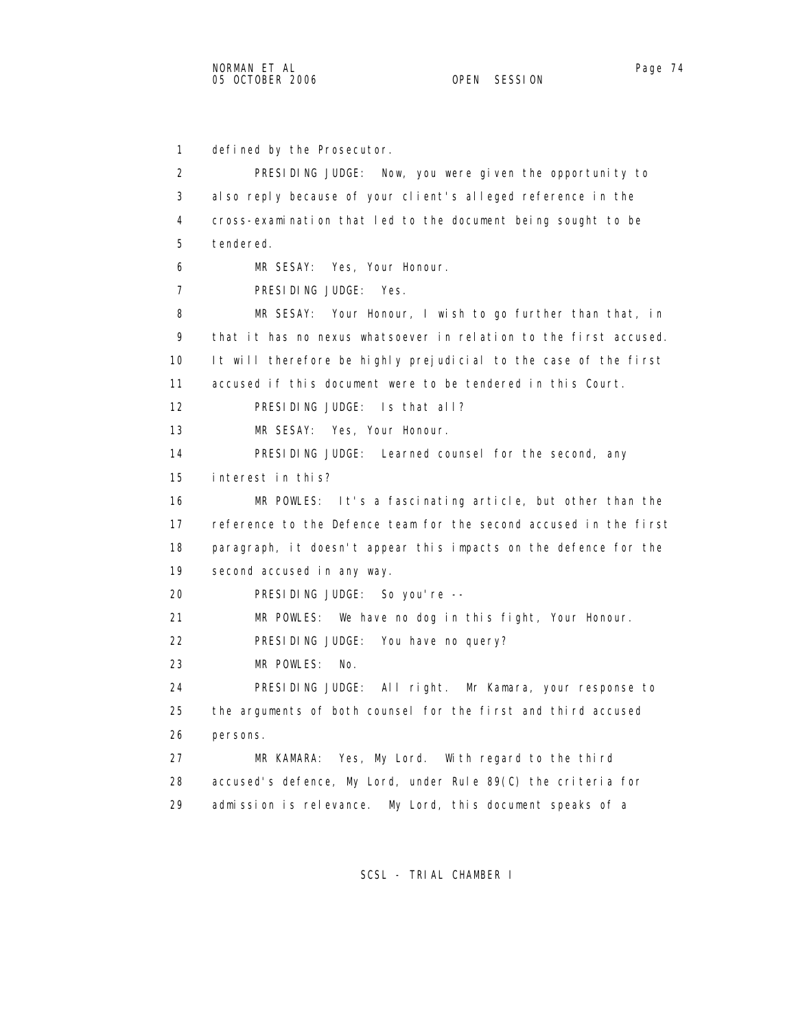1 defined by the Prosecutor. 2 PRESIDING JUDGE: Now, you were given the opportunity to 3 also reply because of your client's alleged reference in the 4 cross-examination that led to the document being sought to be 5 tendered. 6 MR SESAY: Yes, Your Honour. 7 PRESIDING JUDGE: Yes. 8 MR SESAY: Your Honour, I wish to go further than that, in 9 that it has no nexus whatsoever in relation to the first accused. 10 It will therefore be highly prejudicial to the case of the first 11 accused if this document were to be tendered in this Court. 12 PRESIDING JUDGE: Is that all? 13 MR SESAY: Yes, Your Honour. 14 PRESIDING JUDGE: Learned counsel for the second, any 15 interest in this? 16 MR POWLES: It's a fascinating article, but other than the 17 reference to the Defence team for the second accused in the first 18 paragraph, it doesn't appear this impacts on the defence for the 19 second accused in any way. 20 PRESIDING JUDGE: So you're -- 21 MR POWLES: We have no dog in this fight, Your Honour. 22 PRESIDING JUDGE: You have no query? 23 MR POWLES: No. 24 PRESIDING JUDGE: All right. Mr Kamara, your response to 25 the arguments of both counsel for the first and third accused

26 persons.

 27 MR KAMARA: Yes, My Lord. With regard to the third 28 accused's defence, My Lord, under Rule 89(C) the criteria for 29 admission is relevance. My Lord, this document speaks of a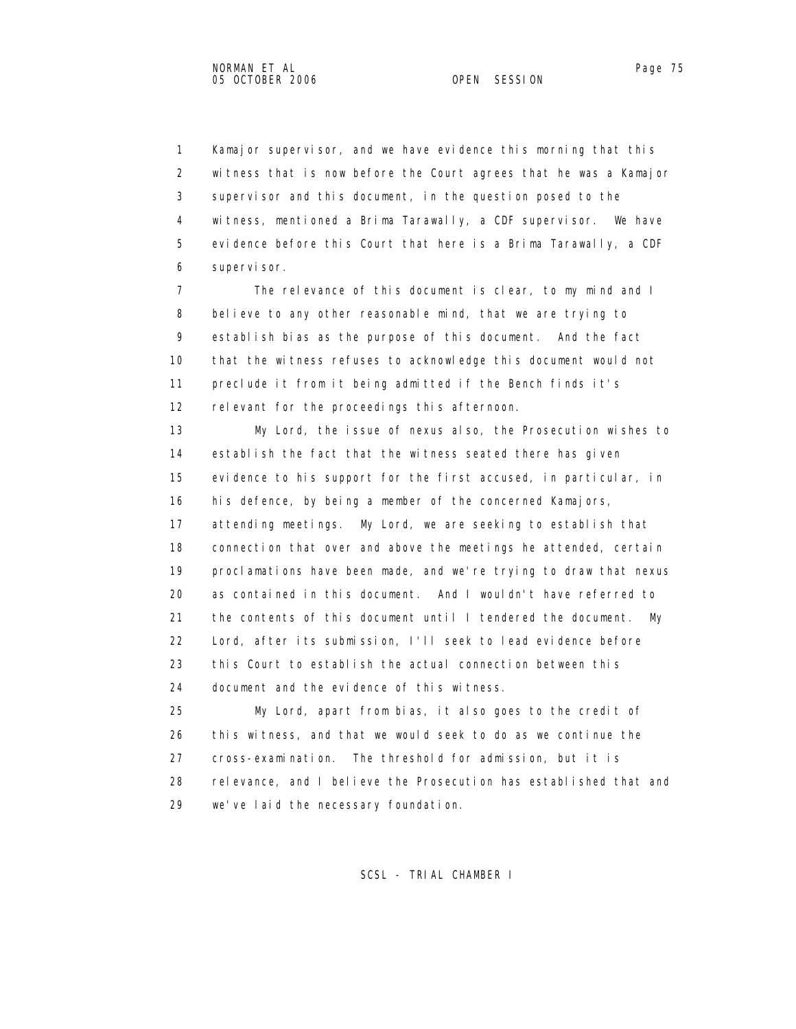1 Kamajor supervisor, and we have evidence this morning that this 2 witness that is now before the Court agrees that he was a Kamajor 3 supervisor and this document, in the question posed to the 4 witness, mentioned a Brima Tarawally, a CDF supervisor. We have 5 evidence before this Court that here is a Brima Tarawally, a CDF 6 supervisor.

 7 The relevance of this document is clear, to my mind and I 8 believe to any other reasonable mind, that we are trying to 9 establish bias as the purpose of this document. And the fact 10 that the witness refuses to acknowledge this document would not 11 preclude it from it being admitted if the Bench finds it's 12 relevant for the proceedings this afternoon.

 13 My Lord, the issue of nexus also, the Prosecution wishes to 14 establish the fact that the witness seated there has given 15 evidence to his support for the first accused, in particular, in 16 his defence, by being a member of the concerned Kamajors, 17 attending meetings. My Lord, we are seeking to establish that 18 connection that over and above the meetings he attended, certain 19 proclamations have been made, and we're trying to draw that nexus 20 as contained in this document. And I wouldn't have referred to 21 the contents of this document until I tendered the document. My 22 Lord, after its submission, I'll seek to lead evidence before 23 this Court to establish the actual connection between this 24 document and the evidence of this witness.

 25 My Lord, apart from bias, it also goes to the credit of 26 this witness, and that we would seek to do as we continue the 27 cross-examination. The threshold for admission, but it is 28 relevance, and I believe the Prosecution has established that and 29 we've laid the necessary foundation.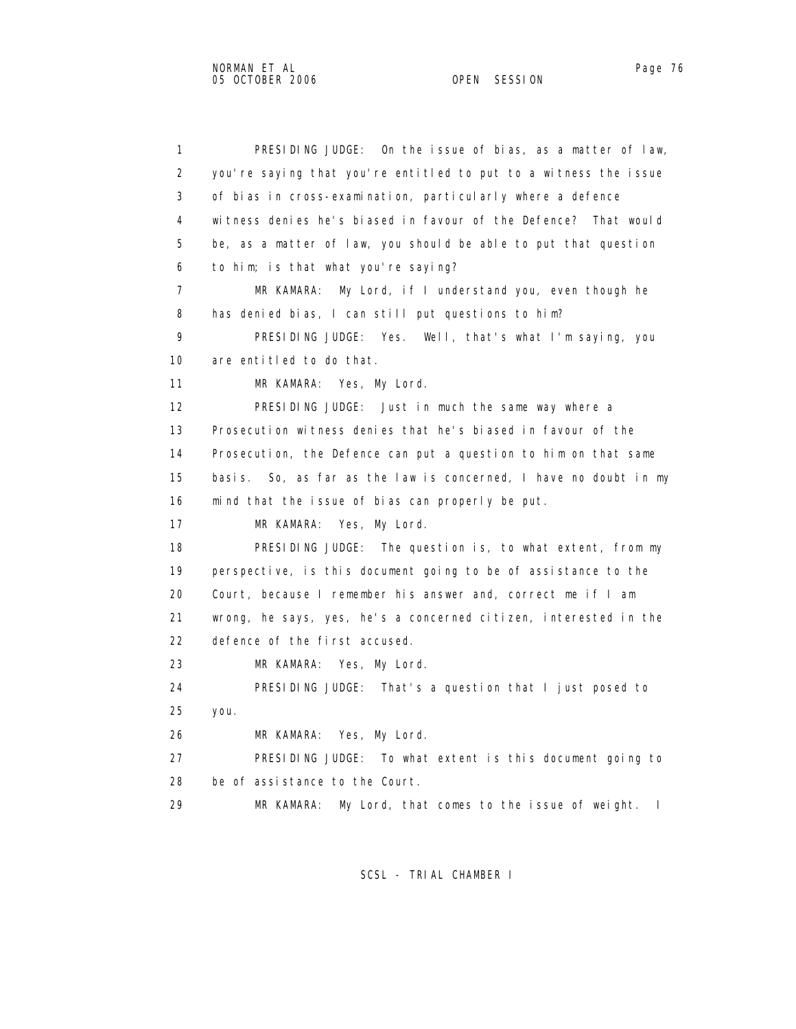1 PRESIDING JUDGE: On the issue of bias, as a matter of law, 2 you're saying that you're entitled to put to a witness the issue 3 of bias in cross-examination, particularly where a defence 4 witness denies he's biased in favour of the Defence? That would 5 be, as a matter of law, you should be able to put that question 6 to him; is that what you're saying? 7 MR KAMARA: My Lord, if I understand you, even though he 8 has denied bias, I can still put questions to him? 9 PRESIDING JUDGE: Yes. Well, that's what I'm saying, you 10 are entitled to do that. 11 MR KAMARA: Yes, My Lord. 12 PRESIDING JUDGE: Just in much the same way where a 13 Prosecution witness denies that he's biased in favour of the 14 Prosecution, the Defence can put a question to him on that same 15 basis. So, as far as the law is concerned, I have no doubt in my 16 mind that the issue of bias can properly be put. 17 MR KAMARA: Yes, My Lord. 18 PRESIDING JUDGE: The question is, to what extent, from my 19 perspective, is this document going to be of assistance to the 20 Court, because I remember his answer and, correct me if I am 21 wrong, he says, yes, he's a concerned citizen, interested in the 22 defence of the first accused. 23 MR KAMARA: Yes, My Lord. 24 PRESIDING JUDGE: That's a question that I just posed to 25 you. 26 MR KAMARA: Yes, My Lord. 27 PRESIDING JUDGE: To what extent is this document going to 28 be of assistance to the Court. 29 MR KAMARA: My Lord, that comes to the issue of weight. I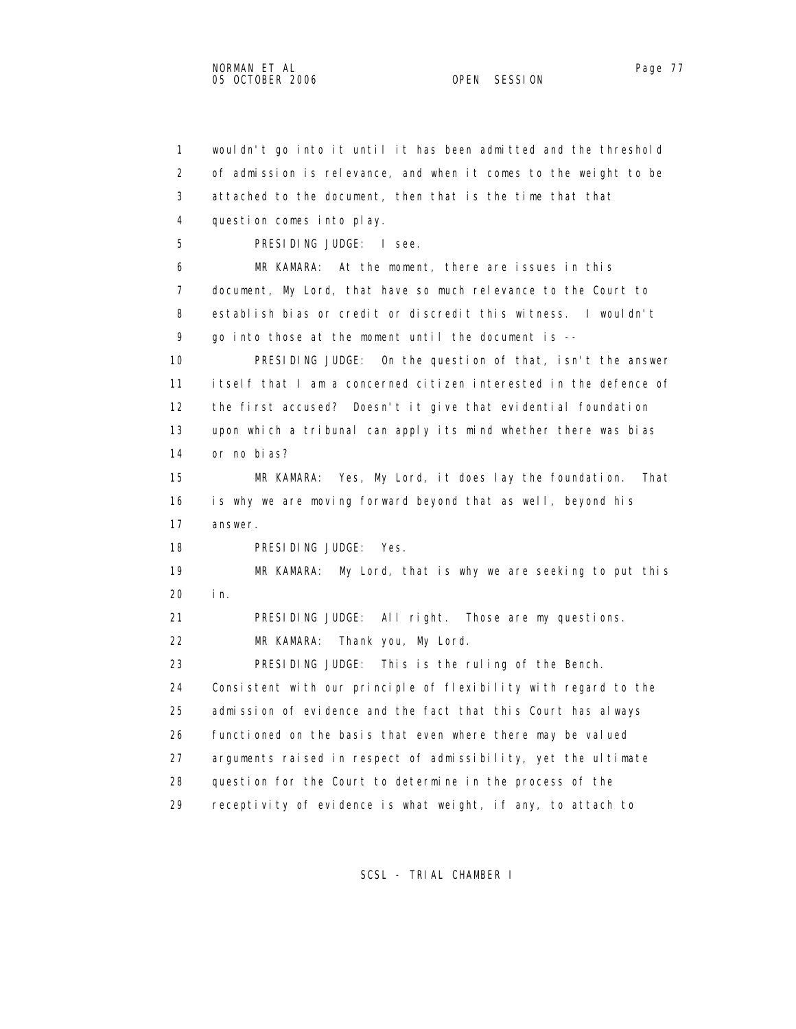1 wouldn't go into it until it has been admitted and the threshold 2 of admission is relevance, and when it comes to the weight to be 3 attached to the document, then that is the time that that 4 question comes into play. 5 PRESIDING JUDGE: I see. 6 MR KAMARA: At the moment, there are issues in this 7 document, My Lord, that have so much relevance to the Court to 8 establish bias or credit or discredit this witness. I wouldn't 9 go into those at the moment until the document is -- 10 PRESIDING JUDGE: On the question of that, isn't the answer 11 itself that I am a concerned citizen interested in the defence of 12 the first accused? Doesn't it give that evidential foundation 13 upon which a tribunal can apply its mind whether there was bias 14 or no bias? 15 MR KAMARA: Yes, My Lord, it does lay the foundation. That 16 is why we are moving forward beyond that as well, beyond his 17 answer. 18 PRESIDING JUDGE: Yes. 19 MR KAMARA: My Lord, that is why we are seeking to put this 20 in. 21 PRESIDING JUDGE: All right. Those are my questions. 22 MR KAMARA: Thank you, My Lord. 23 PRESIDING JUDGE: This is the ruling of the Bench. 24 Consistent with our principle of flexibility with regard to the 25 admission of evidence and the fact that this Court has always 26 functioned on the basis that even where there may be valued 27 arguments raised in respect of admissibility, yet the ultimate 28 question for the Court to determine in the process of the 29 receptivity of evidence is what weight, if any, to attach to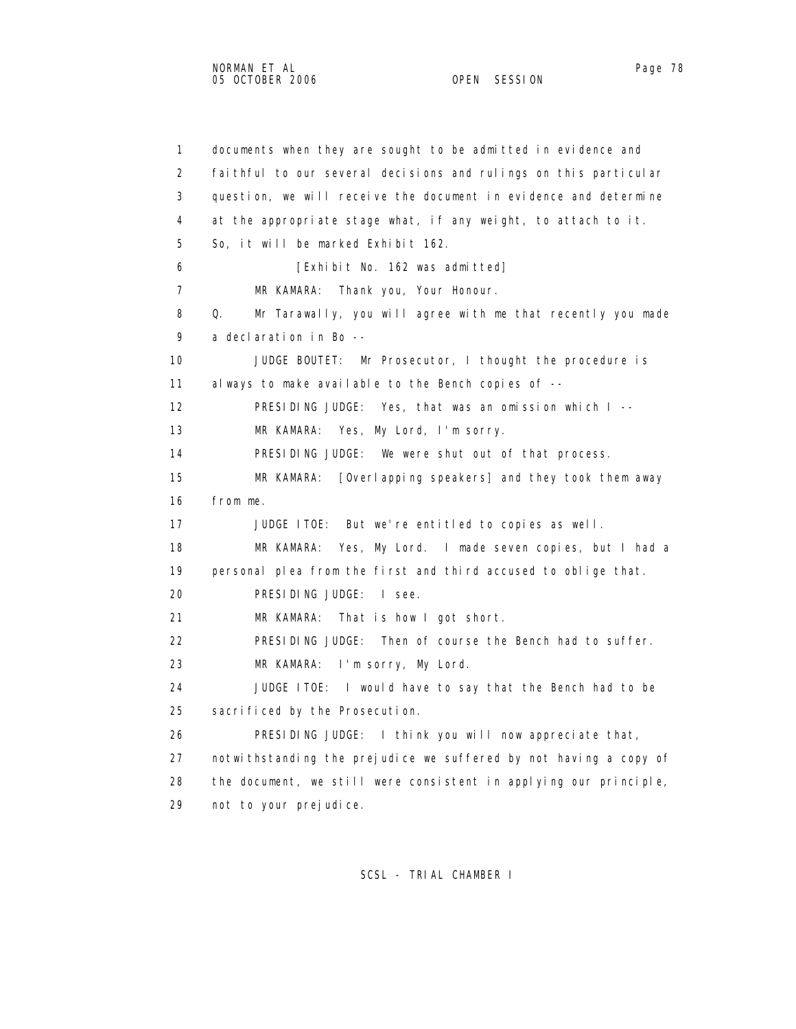1 documents when they are sought to be admitted in evidence and 2 faithful to our several decisions and rulings on this particular 3 question, we will receive the document in evidence and determine 4 at the appropriate stage what, if any weight, to attach to it. 5 So, it will be marked Exhibit 162. 6 [Exhibit No. 162 was admitted] 7 MR KAMARA: Thank you, Your Honour. 8 Q. Mr Tarawally, you will agree with me that recently you made 9 a declaration in Bo -- 10 JUDGE BOUTET: Mr Prosecutor, I thought the procedure is 11 always to make available to the Bench copies of -- 12 PRESIDING JUDGE: Yes, that was an omission which I -- 13 MR KAMARA: Yes, My Lord, I'm sorry. 14 PRESIDING JUDGE: We were shut out of that process. 15 MR KAMARA: [Overlapping speakers] and they took them away 16 from me. 17 JUDGE ITOE: But we're entitled to copies as well. 18 MR KAMARA: Yes, My Lord. I made seven copies, but I had a 19 personal plea from the first and third accused to oblige that. 20 PRESIDING JUDGE: I see. 21 MR KAMARA: That is how I got short. 22 PRESIDING JUDGE: Then of course the Bench had to suffer. 23 MR KAMARA: I'm sorry, My Lord. 24 JUDGE ITOE: I would have to say that the Bench had to be 25 sacrificed by the Prosecution. 26 PRESIDING JUDGE: I think you will now appreciate that, 27 notwithstanding the prejudice we suffered by not having a copy of 28 the document, we still were consistent in applying our principle, 29 not to your prejudice.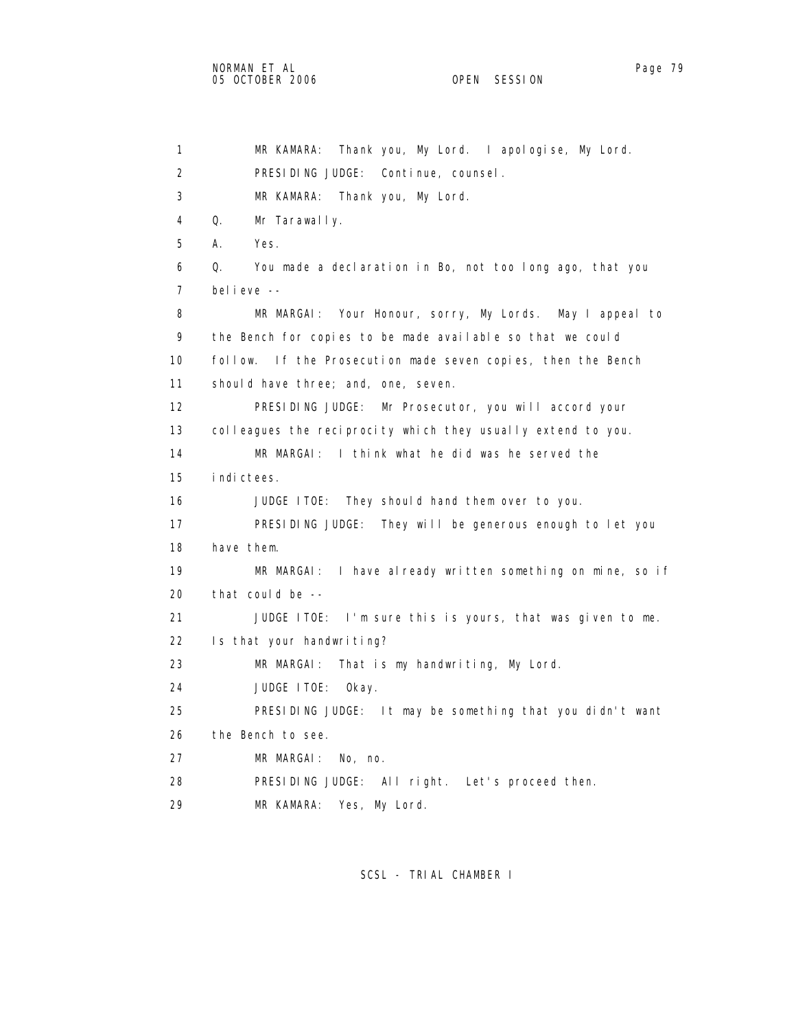1 MR KAMARA: Thank you, My Lord. I apologise, My Lord. 2 PRESIDING JUDGE: Continue, counsel. 3 MR KAMARA: Thank you, My Lord. 4 Q. Mr Tarawally. 5 A. Yes. 6 Q. You made a declaration in Bo, not too long ago, that you 7 believe -- 8 MR MARGAI: Your Honour, sorry, My Lords. May I appeal to 9 the Bench for copies to be made available so that we could 10 follow. If the Prosecution made seven copies, then the Bench 11 should have three; and, one, seven. 12 PRESIDING JUDGE: Mr Prosecutor, you will accord your 13 colleagues the reciprocity which they usually extend to you. 14 MR MARGAI: I think what he did was he served the 15 indictees. 16 JUDGE ITOE: They should hand them over to you. 17 PRESIDING JUDGE: They will be generous enough to let you 18 have them. 19 MR MARGAI: I have already written something on mine, so if 20 that could be -- 21 JUDGE ITOE: I'm sure this is yours, that was given to me. 22 Is that your handwriting? 23 MR MARGAI: That is my handwriting, My Lord. 24 JUDGE ITOE: Okay. 25 PRESIDING JUDGE: It may be something that you didn't want 26 the Bench to see. 27 MR MARGAI: No, no. 28 PRESIDING JUDGE: All right. Let's proceed then. 29 MR KAMARA: Yes, My Lord.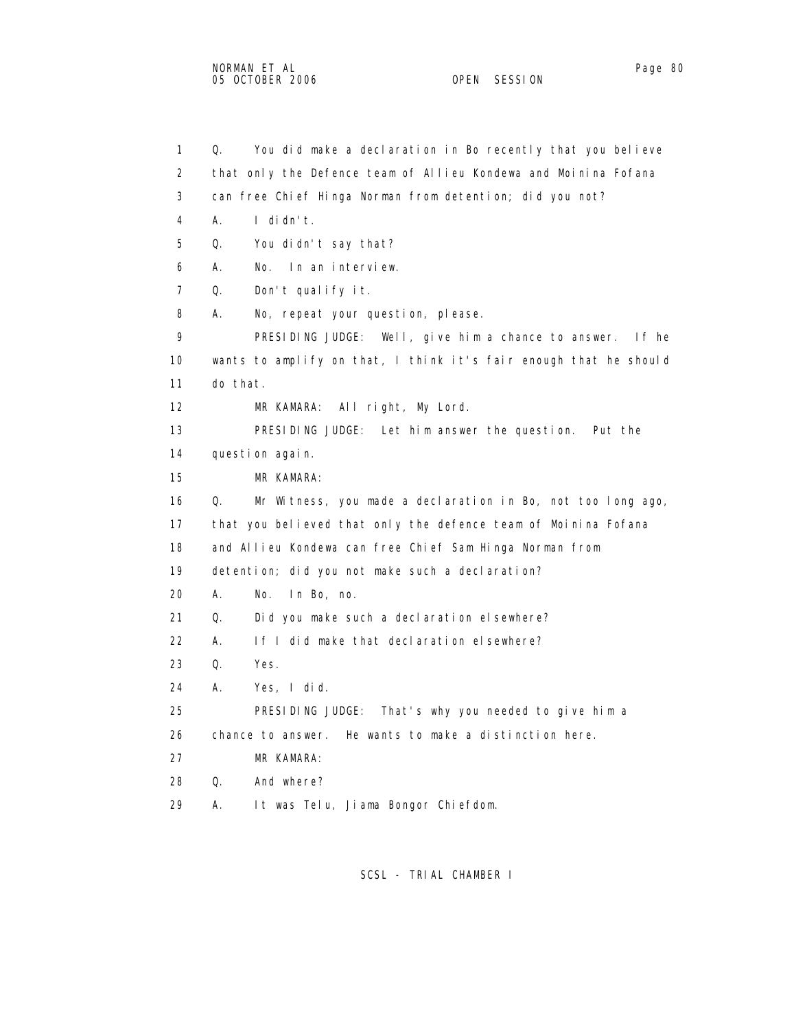1 Q. You did make a declaration in Bo recently that you believe 2 that only the Defence team of Allieu Kondewa and Moinina Fofana 3 can free Chief Hinga Norman from detention; did you not? 4 A. I didn't. 5 Q. You didn't say that? 6 A. No. In an interview. 7 Q. Don't qualify it. 8 A. No, repeat your question, please. 9 PRESIDING JUDGE: Well, give him a chance to answer. If he 10 wants to amplify on that, I think it's fair enough that he should 11 do that. 12 MR KAMARA: All right, My Lord. 13 PRESIDING JUDGE: Let him answer the question. Put the 14 question again. 15 MR KAMARA: 16 Q. Mr Witness, you made a declaration in Bo, not too long ago, 17 that you believed that only the defence team of Moinina Fofana 18 and Allieu Kondewa can free Chief Sam Hinga Norman from 19 detention; did you not make such a declaration? 20 A. No. In Bo, no. 21 Q. Did you make such a declaration elsewhere? 22 A. If I did make that declaration elsewhere? 23 Q. Yes. 24 A. Yes, I did. 25 PRESIDING JUDGE: That's why you needed to give him a 26 chance to answer. He wants to make a distinction here. 27 MR KAMARA: 28 Q. And where? 29 A. It was Telu, Jiama Bongor Chiefdom.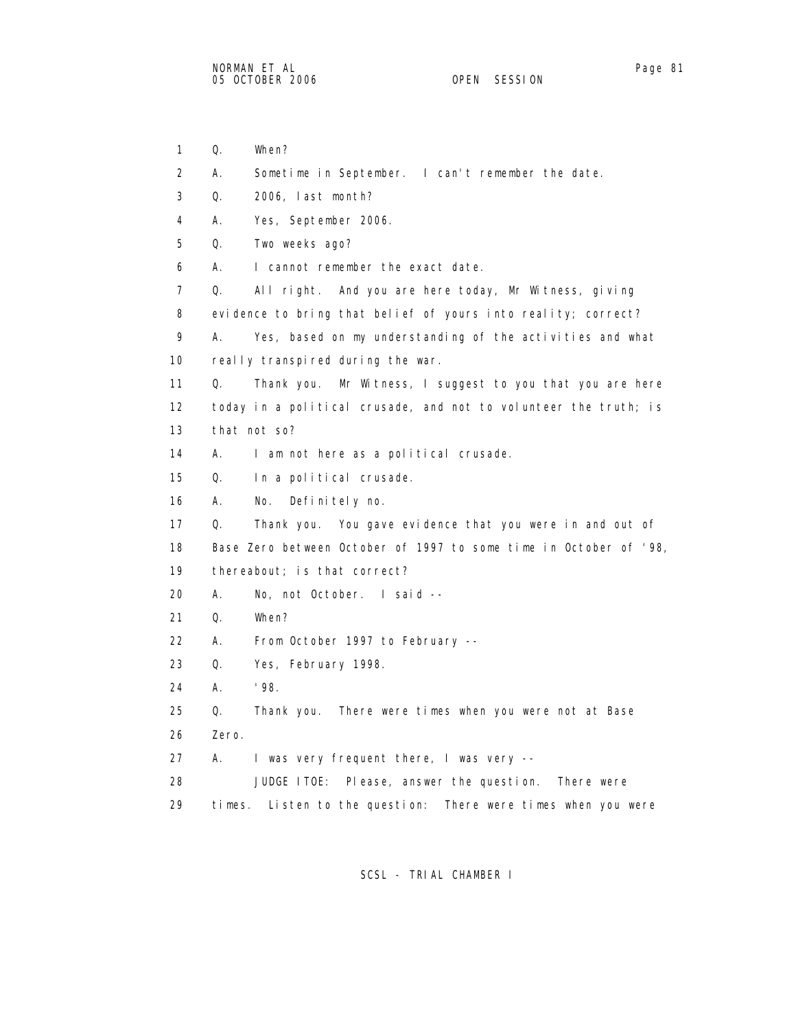- 
- 1 Q. When? 2 A. Sometime in September. I can't remember the date. 3 Q. 2006, last month? 4 A. Yes, September 2006. 5 Q. Two weeks ago? 6 A. I cannot remember the exact date. 7 Q. All right. And you are here today, Mr Witness, giving 8 evidence to bring that belief of yours into reality; correct? 9 A. Yes, based on my understanding of the activities and what 10 really transpired during the war. 11 Q. Thank you. Mr Witness, I suggest to you that you are here 12 today in a political crusade, and not to volunteer the truth; is 13 that not so? 14 A. I am not here as a political crusade. 15 Q. In a political crusade. 16 A. No. Definitely no. 17 Q. Thank you. You gave evidence that you were in and out of 18 Base Zero between October of 1997 to some time in October of '98, 19 thereabout; is that correct? 20 A. No, not October. I said -- 21 Q. When? 22 A. From October 1997 to February -- 23 Q. Yes, February 1998. 24 A. '98. 25 Q. Thank you. There were times when you were not at Base 26 Zero. 27 A. I was very frequent there, I was very -- 28 JUDGE ITOE: Please, answer the question. There were 29 times. Listen to the question: There were times when you were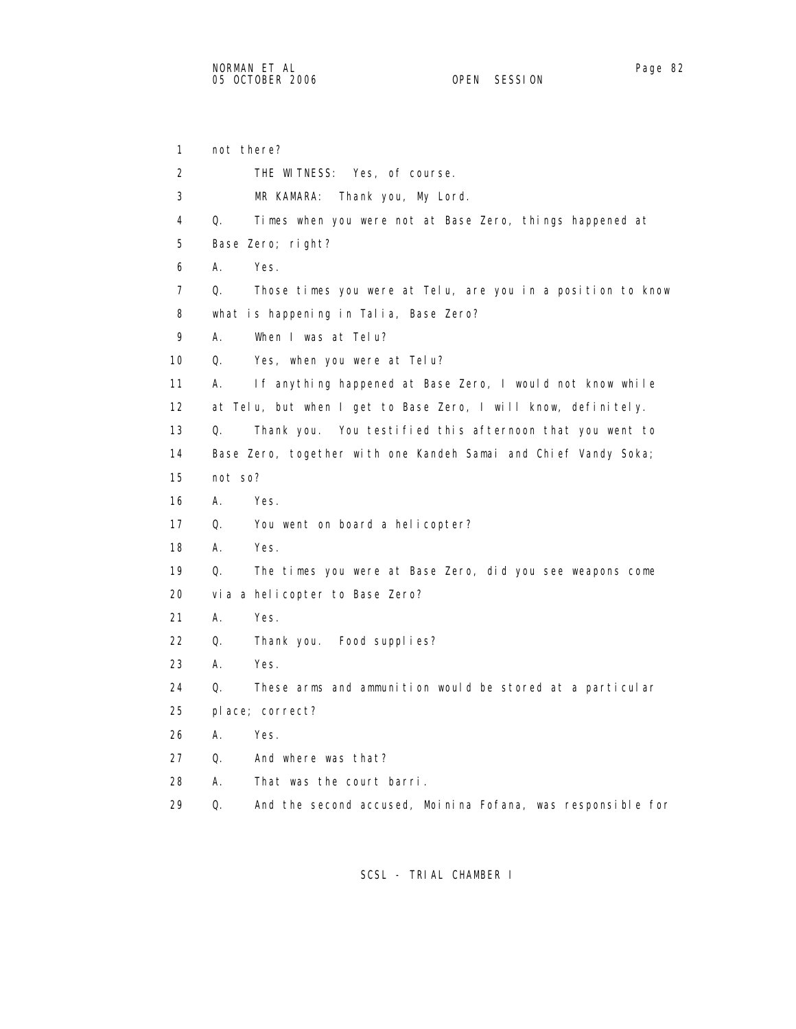1 not there? 2 THE WITNESS: Yes, of course. 3 MR KAMARA: Thank you, My Lord. 4 Q. Times when you were not at Base Zero, things happened at 5 Base Zero; right? 6 A. Yes. 7 Q. Those times you were at Telu, are you in a position to know 8 what is happening in Talia, Base Zero? 9 A. When I was at Telu? 10 Q. Yes, when you were at Telu? 11 A. If anything happened at Base Zero, I would not know while 12 at Telu, but when I get to Base Zero, I will know, definitely. 13 Q. Thank you. You testified this afternoon that you went to 14 Base Zero, together with one Kandeh Samai and Chief Vandy Soka; 15 not so? 16 A. Yes. 17 Q. You went on board a helicopter? 18 A. Yes. 19 Q. The times you were at Base Zero, did you see weapons come 20 via a helicopter to Base Zero? 21 A. Yes. 22 Q. Thank you. Food supplies? 23 A. Yes. 24 Q. These arms and ammunition would be stored at a particular 25 place; correct? 26 A. Yes. 27 Q. And where was that? 28 A. That was the court barri. 29 Q. And the second accused, Moinina Fofana, was responsible for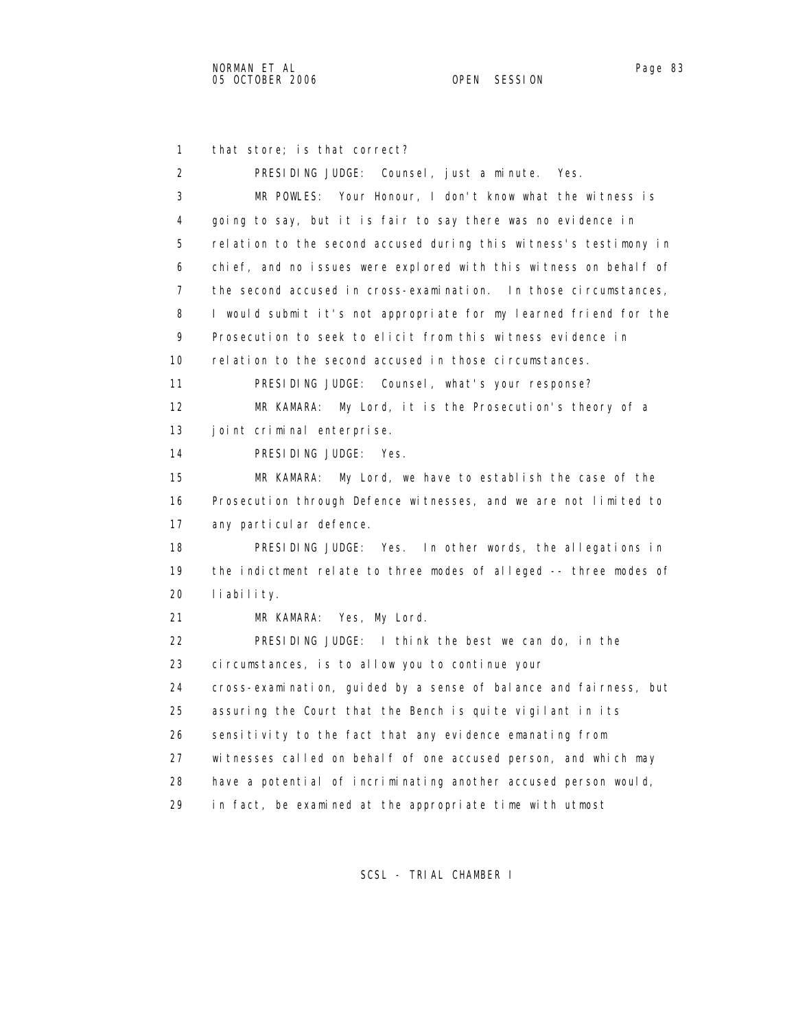1 that store; is that correct? 2 PRESIDING JUDGE: Counsel, just a minute. Yes. 3 MR POWLES: Your Honour, I don't know what the witness is 4 going to say, but it is fair to say there was no evidence in 5 relation to the second accused during this witness's testimony in 6 chief, and no issues were explored with this witness on behalf of 7 the second accused in cross-examination. In those circumstances, 8 I would submit it's not appropriate for my learned friend for the 9 Prosecution to seek to elicit from this witness evidence in 10 relation to the second accused in those circumstances. 11 PRESIDING JUDGE: Counsel, what's your response? 12 MR KAMARA: My Lord, it is the Prosecution's theory of a 13 joint criminal enterprise. 14 PRESIDING JUDGE: Yes. 15 MR KAMARA: My Lord, we have to establish the case of the 16 Prosecution through Defence witnesses, and we are not limited to 17 any particular defence. 18 PRESIDING JUDGE: Yes. In other words, the allegations in 19 the indictment relate to three modes of alleged -- three modes of 20 liability. 21 MR KAMARA: Yes, My Lord. 22 PRESIDING JUDGE: I think the best we can do, in the 23 circumstances, is to allow you to continue your 24 cross-examination, guided by a sense of balance and fairness, but 25 assuring the Court that the Bench is quite vigilant in its 26 sensitivity to the fact that any evidence emanating from 27 witnesses called on behalf of one accused person, and which may 28 have a potential of incriminating another accused person would, 29 in fact, be examined at the appropriate time with utmost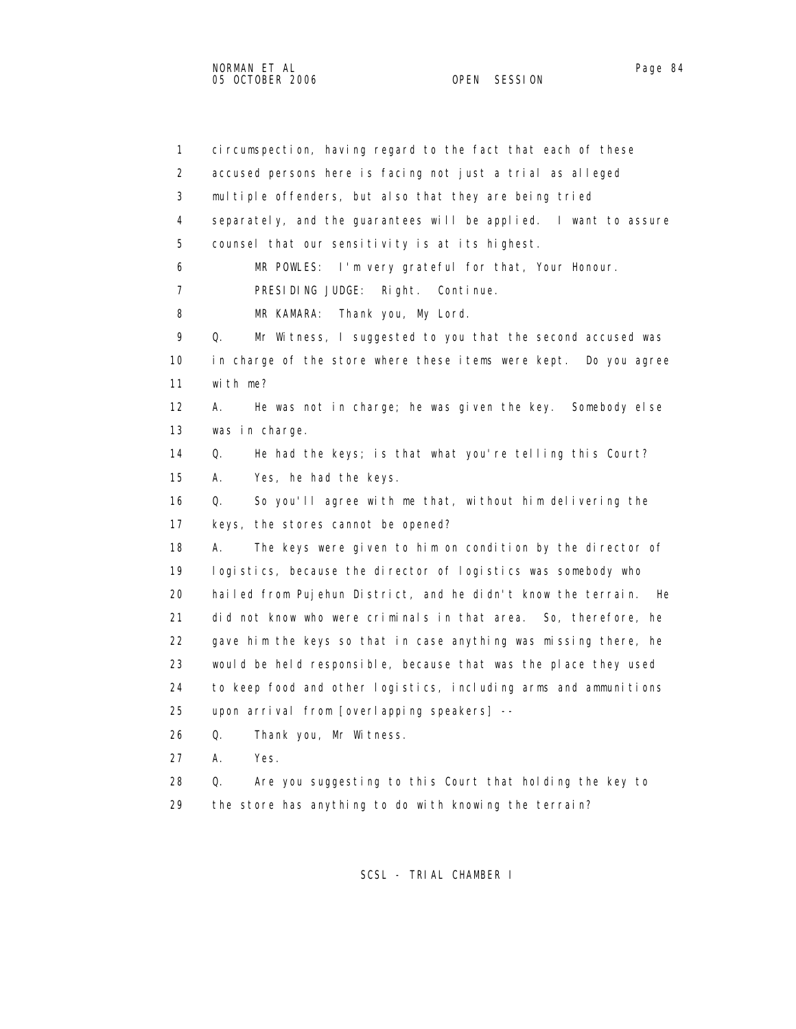1 circumspection, having regard to the fact that each of these 2 accused persons here is facing not just a trial as alleged 3 multiple offenders, but also that they are being tried 4 separately, and the guarantees will be applied. I want to assure 5 counsel that our sensitivity is at its highest. 6 MR POWLES: I'm very grateful for that, Your Honour. 7 PRESIDING JUDGE: Right. Continue. 8 MR KAMARA: Thank you, My Lord. 9 Q. Mr Witness, I suggested to you that the second accused was 10 in charge of the store where these items were kept. Do you agree 11 with me? 12 A. He was not in charge; he was given the key. Somebody else 13 was in charge. 14 Q. He had the keys; is that what you're telling this Court? 15 A. Yes, he had the keys. 16 Q. So you'll agree with me that, without him delivering the 17 keys, the stores cannot be opened? 18 A. The keys were given to him on condition by the director of 19 logistics, because the director of logistics was somebody who 20 hailed from Pujehun District, and he didn't know the terrain. He 21 did not know who were criminals in that area. So, therefore, he 22 gave him the keys so that in case anything was missing there, he 23 would be held responsible, because that was the place they used 24 to keep food and other logistics, including arms and ammunitions 25 upon arrival from [overlapping speakers] -- 26 Q. Thank you, Mr Witness. 27 A. Yes.

 28 Q. Are you suggesting to this Court that holding the key to 29 the store has anything to do with knowing the terrain?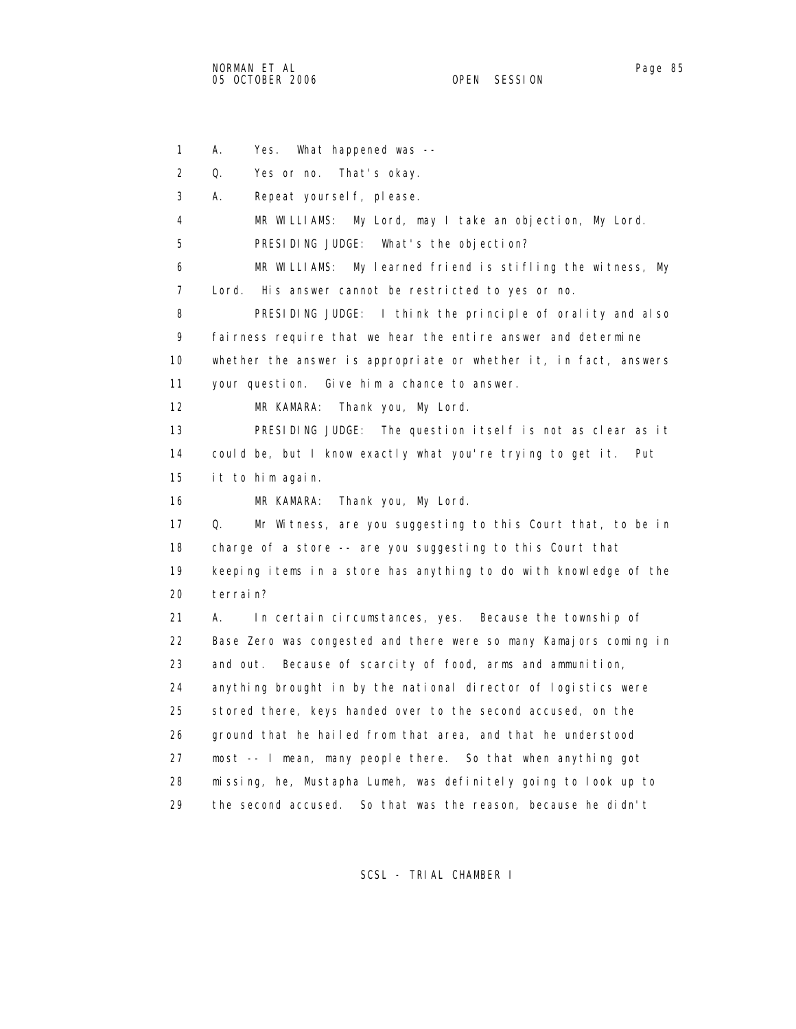1 A. Yes. What happened was -- 2 Q. Yes or no. That's okay. 3 A. Repeat yourself, please. 4 MR WILLIAMS: My Lord, may I take an objection, My Lord. 5 PRESIDING JUDGE: What's the objection? 6 MR WILLIAMS: My learned friend is stifling the witness, My 7 Lord. His answer cannot be restricted to yes or no. 8 PRESIDING JUDGE: I think the principle of orality and also 9 fairness require that we hear the entire answer and determine 10 whether the answer is appropriate or whether it, in fact, answers 11 your question. Give him a chance to answer. 12 MR KAMARA: Thank you, My Lord. 13 PRESIDING JUDGE: The question itself is not as clear as it 14 could be, but I know exactly what you're trying to get it. Put 15 it to him again. 16 MR KAMARA: Thank you, My Lord. 17 Q. Mr Witness, are you suggesting to this Court that, to be in 18 charge of a store -- are you suggesting to this Court that 19 keeping items in a store has anything to do with knowledge of the 20 terrain? 21 A. In certain circumstances, yes. Because the township of 22 Base Zero was congested and there were so many Kamajors coming in 23 and out. Because of scarcity of food, arms and ammunition, 24 anything brought in by the national director of logistics were 25 stored there, keys handed over to the second accused, on the 26 ground that he hailed from that area, and that he understood 27 most -- I mean, many people there. So that when anything got 28 missing, he, Mustapha Lumeh, was definitely going to look up to 29 the second accused. So that was the reason, because he didn't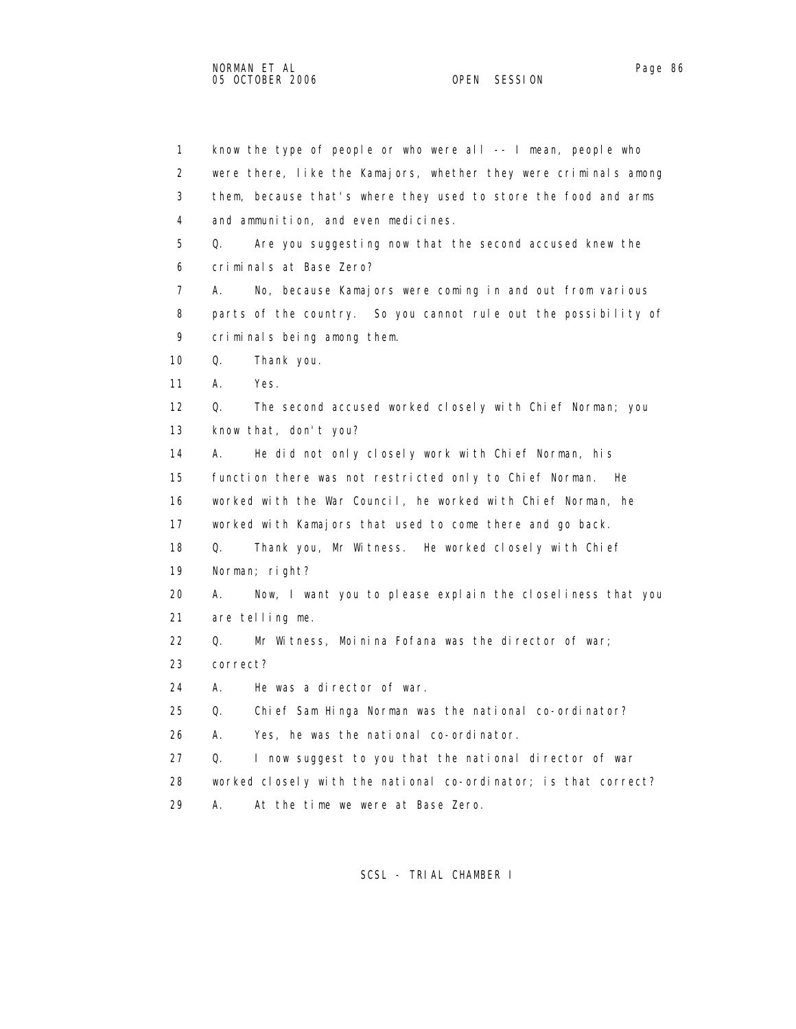1 know the type of people or who were all -- I mean, people who 2 were there, like the Kamajors, whether they were criminals among 3 them, because that's where they used to store the food and arms 4 and ammunition, and even medicines. 5 Q. Are you suggesting now that the second accused knew the 6 criminals at Base Zero? 7 A. No, because Kamajors were coming in and out from various 8 parts of the country. So you cannot rule out the possibility of 9 criminals being among them. 10 Q. Thank you. 11 A. Yes. 12 Q. The second accused worked closely with Chief Norman; you 13 know that, don't you? 14 A. He did not only closely work with Chief Norman, his 15 function there was not restricted only to Chief Norman. He 16 worked with the War Council, he worked with Chief Norman, he 17 worked with Kamajors that used to come there and go back. 18 Q. Thank you, Mr Witness. He worked closely with Chief 19 Norman; right? 20 A. Now, I want you to please explain the closeliness that you 21 are telling me. 22 Q. Mr Witness, Moinina Fofana was the director of war; 23 correct? 24 A. He was a director of war. 25 Q. Chief Sam Hinga Norman was the national co-ordinator? 26 A. Yes, he was the national co-ordinator. 27 Q. I now suggest to you that the national director of war 28 worked closely with the national co-ordinator; is that correct? 29 A. At the time we were at Base Zero.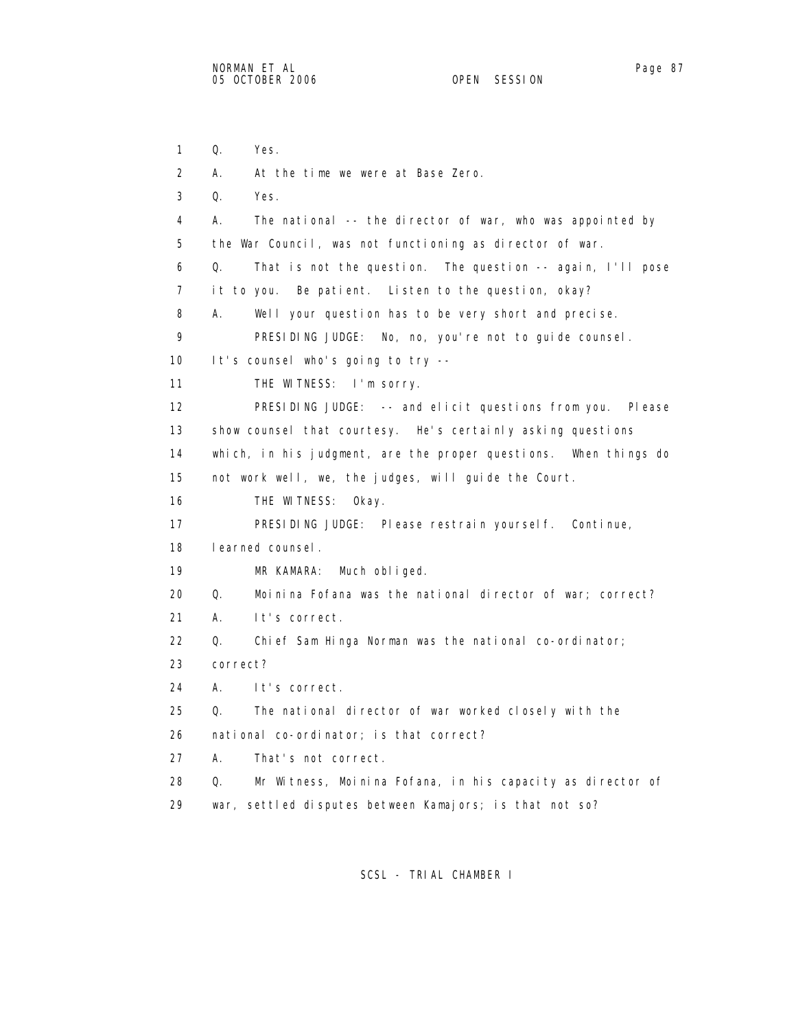1 Q. Yes. 2 A. At the time we were at Base Zero. 3 Q. Yes. 4 A. The national -- the director of war, who was appointed by 5 the War Council, was not functioning as director of war. 6 Q. That is not the question. The question -- again, I'll pose 7 it to you. Be patient. Listen to the question, okay? 8 A. Well your question has to be very short and precise. 9 PRESIDING JUDGE: No, no, you're not to guide counsel. 10 It's counsel who's going to try -- 11 THE WITNESS: I'm sorry. 12 PRESIDING JUDGE: -- and elicit questions from you. Please 13 show counsel that courtesy. He's certainly asking questions 14 which, in his judgment, are the proper questions. When things do 15 not work well, we, the judges, will guide the Court. 16 THE WITNESS: Okay. 17 PRESIDING JUDGE: Please restrain yourself. Continue, 18 learned counsel. 19 MR KAMARA: Much obliged. 20 Q. Moinina Fofana was the national director of war; correct? 21 A. It's correct. 22 Q. Chief Sam Hinga Norman was the national co-ordinator; 23 correct? 24 A. It's correct. 25 Q. The national director of war worked closely with the 26 national co-ordinator; is that correct? 27 A. That's not correct. 28 Q. Mr Witness, Moinina Fofana, in his capacity as director of 29 war, settled disputes between Kamajors; is that not so?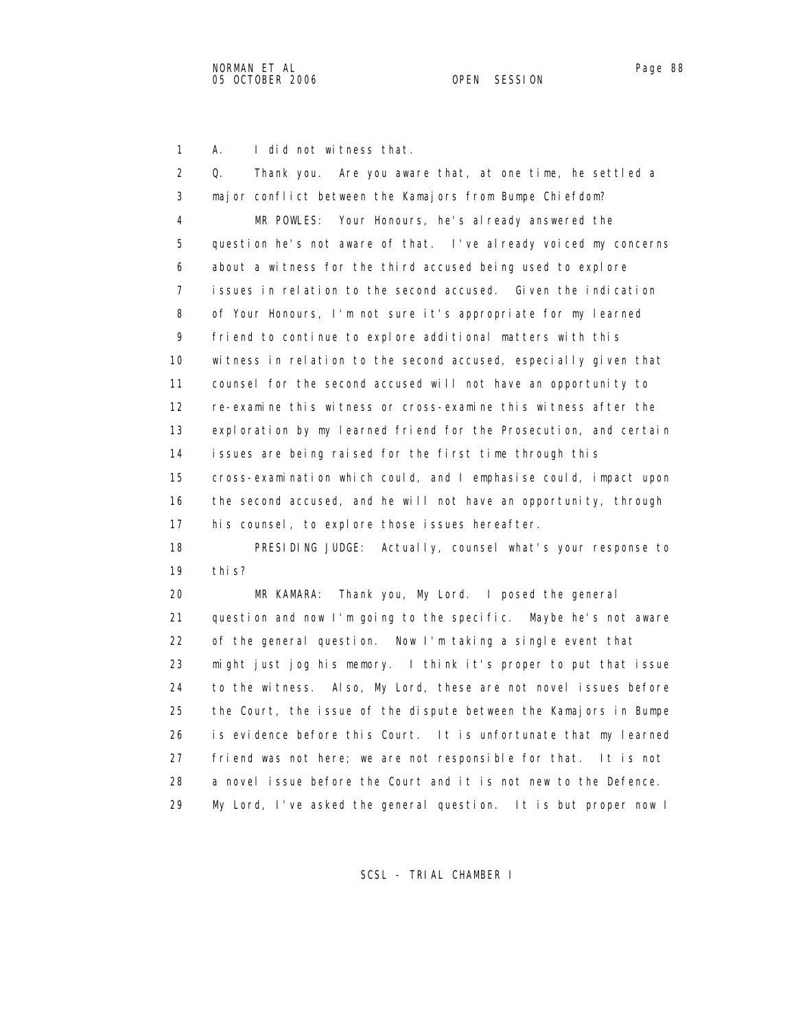1 A. I did not witness that.

| 2              | Q.<br>Thank you. Are you aware that, at one time, he settled a    |
|----------------|-------------------------------------------------------------------|
| 3              | major conflict between the Kamajors from Bumpe Chiefdom?          |
| 4              | MR POWLES: Your Honours, he's al ready answered the               |
| 5              | question he's not aware of that. I've already voiced my concerns  |
| 6              | about a witness for the third accused being used to explore       |
| $\overline{7}$ | issues in relation to the second accused. Given the indication    |
| 8              | of Your Honours, I'm not sure it's appropriate for my learned     |
| 9              | friend to continue to explore additional matters with this        |
| 10             | witness in relation to the second accused, especially given that  |
| 11             | counsel for the second accused will not have an opportunity to    |
| 12             | re-examine this witness or cross-examine this witness after the   |
| 13             | exploration by my learned friend for the Prosecution, and certain |
| 14             | issues are being raised for the first time through this           |
| 15             | cross-examination which could, and I emphasise could, impact upon |
| 16             | the second accused, and he will not have an opportunity, through  |
| 17             | his counsel, to explore those issues hereafter.                   |
| 18             | PRESIDING JUDGE: Actually, counsel what's your response to        |
| 19             | thi s?                                                            |
| 20             | MR KAMARA: Thank you, My Lord. I posed the general                |
| 21             | question and now I'm going to the specific. Maybe he's not aware  |
| 22             | of the general question. Now I'm taking a single event that       |
| 23             | might just jog his memory. I think it's proper to put that issue  |
| 24             | to the witness. Also, My Lord, these are not novel issues before  |
| 25             | the Court, the issue of the dispute between the Kamajors in Bumpe |
| 26             | is evidence before this Court. It is unfortunate that my learned  |
| 27             | friend was not here; we are not responsible for that. It is not   |
| 28             | a novel issue before the Court and it is not new to the Defence.  |
| 29             | My Lord, I've asked the general question. It is but proper now I  |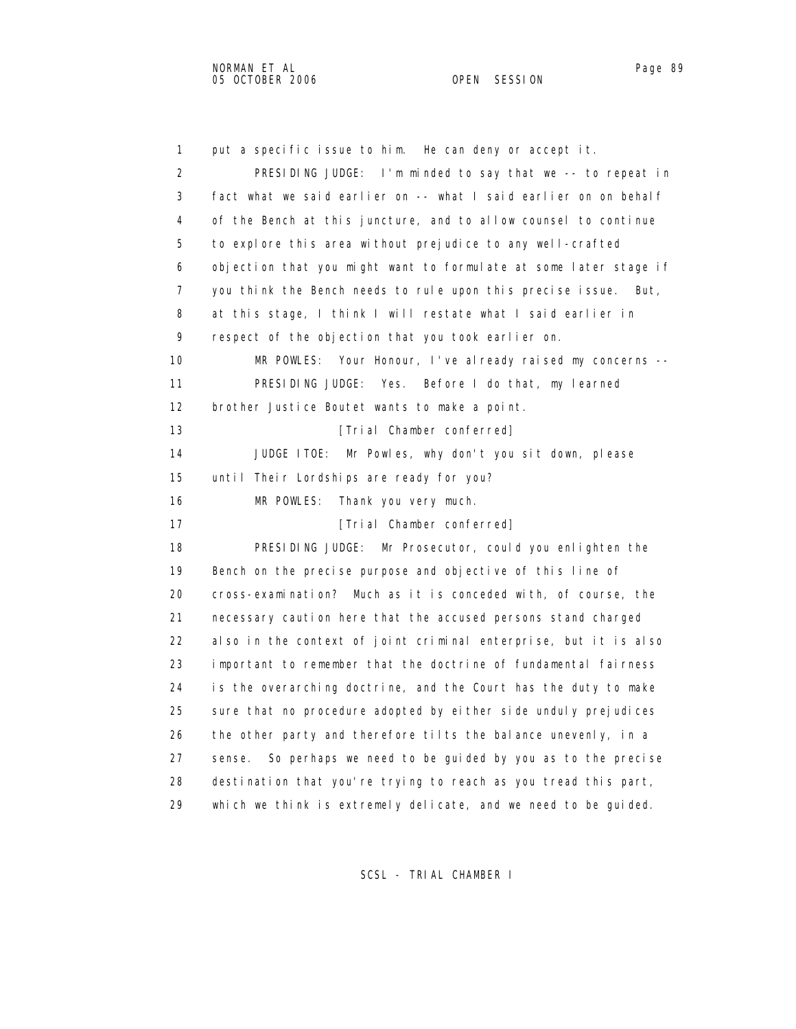2 PRESIDING JUDGE: I'm minded to say that we -- to repeat in 3 fact what we said earlier on -- what I said earlier on on behalf 4 of the Bench at this juncture, and to allow counsel to continue 5 to explore this area without prejudice to any well-crafted 6 objection that you might want to formulate at some later stage if 7 you think the Bench needs to rule upon this precise issue. But, 8 at this stage, I think I will restate what I said earlier in 9 respect of the objection that you took earlier on. 10 MR POWLES: Your Honour, I've already raised my concerns -- 11 PRESIDING JUDGE: Yes. Before I do that, my learned 12 brother Justice Boutet wants to make a point. 13 **Interval Chamber conferred**] 14 JUDGE ITOE: Mr Powles, why don't you sit down, please 15 until Their Lordships are ready for you?

16 MR POWLES: Thank you very much.

17 **Interval Chamber conferred**]

1 put a specific issue to him. He can deny or accept it.

 18 PRESIDING JUDGE: Mr Prosecutor, could you enlighten the 19 Bench on the precise purpose and objective of this line of 20 cross-examination? Much as it is conceded with, of course, the 21 necessary caution here that the accused persons stand charged 22 also in the context of joint criminal enterprise, but it is also 23 important to remember that the doctrine of fundamental fairness 24 is the overarching doctrine, and the Court has the duty to make 25 sure that no procedure adopted by either side unduly prejudices 26 the other party and therefore tilts the balance unevenly, in a 27 sense. So perhaps we need to be guided by you as to the precise 28 destination that you're trying to reach as you tread this part, 29 which we think is extremely delicate, and we need to be guided.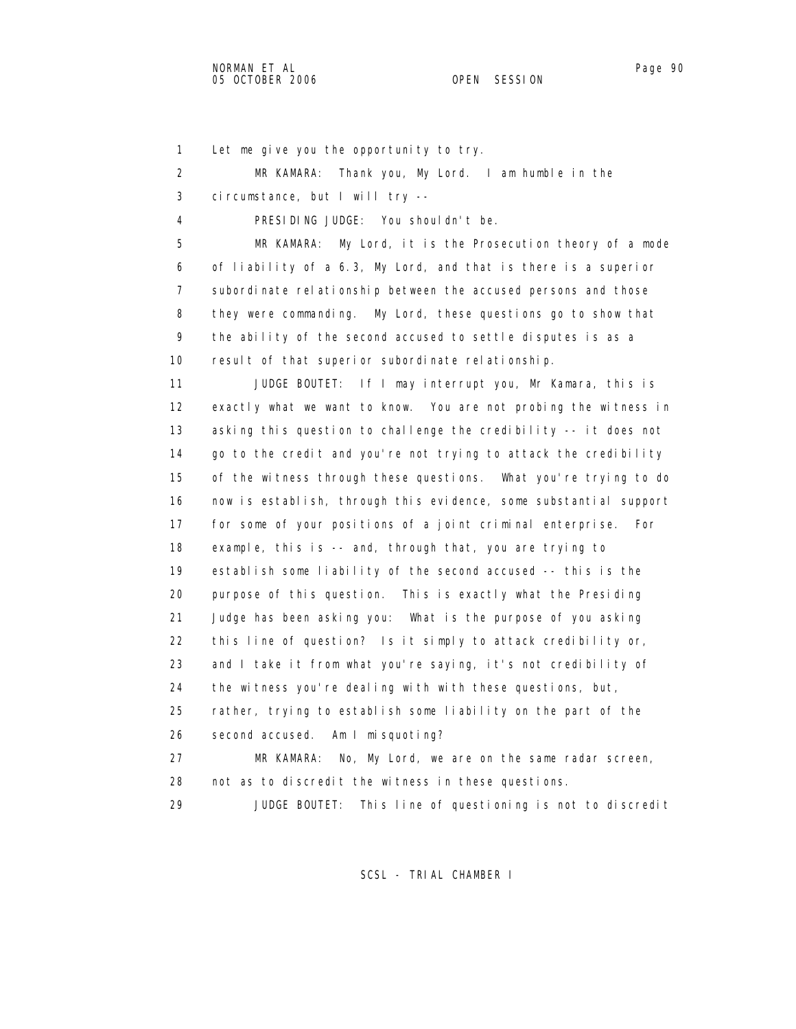| 1  | Let me give you the opportunity to try.                           |
|----|-------------------------------------------------------------------|
| 2  | Thank you, My Lord. I am humble in the<br>MR KAMARA:              |
| 3  | circumstance, but I will try --                                   |
| 4  | PRESIDING JUDGE: You shouldn't be.                                |
| 5  | My Lord, it is the Prosecution theory of a mode<br>MR KAMARA:     |
| 6  | of liability of a 6.3, My Lord, and that is there is a superior   |
| 7  | subordinate relationship between the accused persons and those    |
| 8  | they were commanding. My Lord, these questions go to show that    |
| 9  | the ability of the second accused to settle disputes is as a      |
| 10 | result of that superior subordinate relationship.                 |
| 11 | JUDGE BOUTET: If I may interrupt you, Mr Kamara, this is          |
| 12 | exactly what we want to know. You are not probing the witness in  |
| 13 | asking this question to challenge the credibility -- it does not  |
| 14 | go to the credit and you're not trying to attack the credibility  |
| 15 | of the witness through these questions. What you're trying to do  |
| 16 | now is establish, through this evidence, some substantial support |
| 17 | for some of your positions of a joint criminal enterprise.<br>For |
| 18 | example, this is -- and, through that, you are trying to          |
| 19 | establish some liability of the second accused -- this is the     |
| 20 | purpose of this question. This is exactly what the Presiding      |
| 21 | Judge has been asking you: What is the purpose of you asking      |
| 22 | this line of question? Is it simply to attack credibility or,     |
| 23 | and I take it from what you're saying, it's not credibility of    |
| 24 | the witness you're dealing with with these questions, but,        |
| 25 | rather, trying to establish some liability on the part of the     |
| 26 | second accused. Am I misquoting?                                  |
| 27 | MR KAMARA:<br>No, My Lord, we are on the same radar screen,       |
| 28 | not as to discredit the witness in these questions.               |
| 29 | This line of questioning is not to discredit<br>JUDGE BOUTET:     |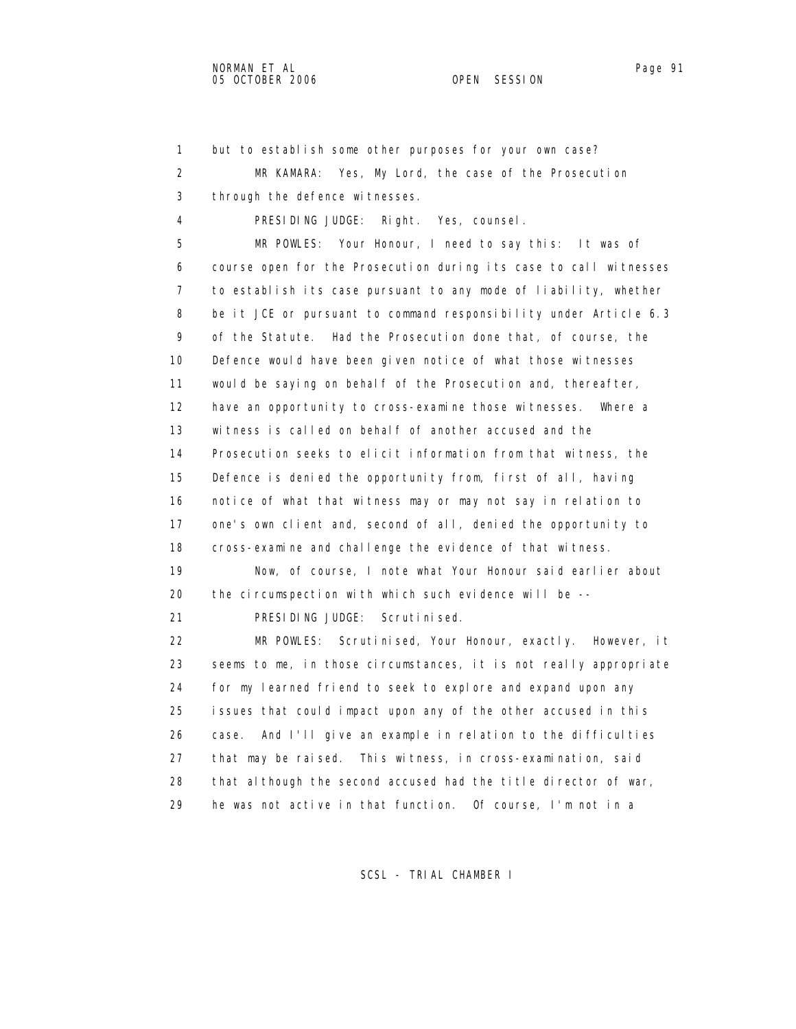2 MR KAMARA: Yes, My Lord, the case of the Prosecution 3 through the defence witnesses. 4 PRESIDING JUDGE: Right. Yes, counsel. 5 MR POWLES: Your Honour, I need to say this: It was of 6 course open for the Prosecution during its case to call witnesses 7 to establish its case pursuant to any mode of liability, whether 8 be it JCE or pursuant to command responsibility under Article 6.3 9 of the Statute. Had the Prosecution done that, of course, the 10 Defence would have been given notice of what those witnesses 11 would be saying on behalf of the Prosecution and, thereafter, 12 have an opportunity to cross-examine those witnesses. Where a 13 witness is called on behalf of another accused and the 14 Prosecution seeks to elicit information from that witness, the 15 Defence is denied the opportunity from, first of all, having 16 notice of what that witness may or may not say in relation to 17 one's own client and, second of all, denied the opportunity to 18 cross-examine and challenge the evidence of that witness. 19 Now, of course, I note what Your Honour said earlier about 20 the circumspection with which such evidence will be -- 21 PRESIDING JUDGE: Scrutinised. 22 MR POWLES: Scrutinised, Your Honour, exactly. However, it 23 seems to me, in those circumstances, it is not really appropriate 24 for my learned friend to seek to explore and expand upon any 25 issues that could impact upon any of the other accused in this 26 case. And I'll give an example in relation to the difficulties 27 that may be raised. This witness, in cross-examination, said 28 that although the second accused had the title director of war,

1 but to establish some other purposes for your own case?

SCSL - TRIAL CHAMBER I

29 he was not active in that function. Of course, I'm not in a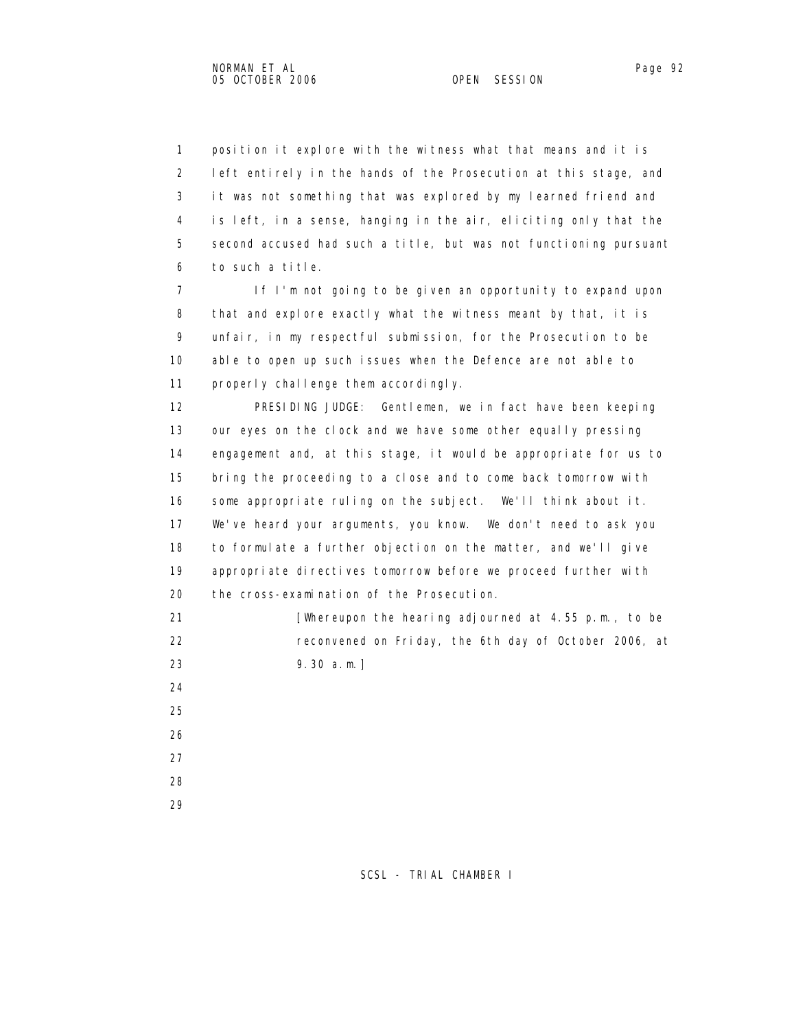1 position it explore with the witness what that means and it is 2 left entirely in the hands of the Prosecution at this stage, and 3 it was not something that was explored by my learned friend and 4 is left, in a sense, hanging in the air, eliciting only that the 5 second accused had such a title, but was not functioning pursuant

6 to such a title.

 7 If I'm not going to be given an opportunity to expand upon 8 that and explore exactly what the witness meant by that, it is 9 unfair, in my respectful submission, for the Prosecution to be 10 able to open up such issues when the Defence are not able to 11 properly challenge them accordingly.

 12 PRESIDING JUDGE: Gentlemen, we in fact have been keeping 13 our eyes on the clock and we have some other equally pressing 14 engagement and, at this stage, it would be appropriate for us to 15 bring the proceeding to a close and to come back tomorrow with 16 some appropriate ruling on the subject. We'll think about it. 17 We've heard your arguments, you know. We don't need to ask you 18 to formulate a further objection on the matter, and we'll give 19 appropriate directives tomorrow before we proceed further with 20 the cross-examination of the Prosecution.

21 **Intermal and Financial Contract Post in the hearing adjourned at 4.55 p.m., to be**  22 reconvened on Friday, the 6th day of October 2006, at 23 9.30 a.m.]

- 24 25 26 27
- 28
- 
- 29